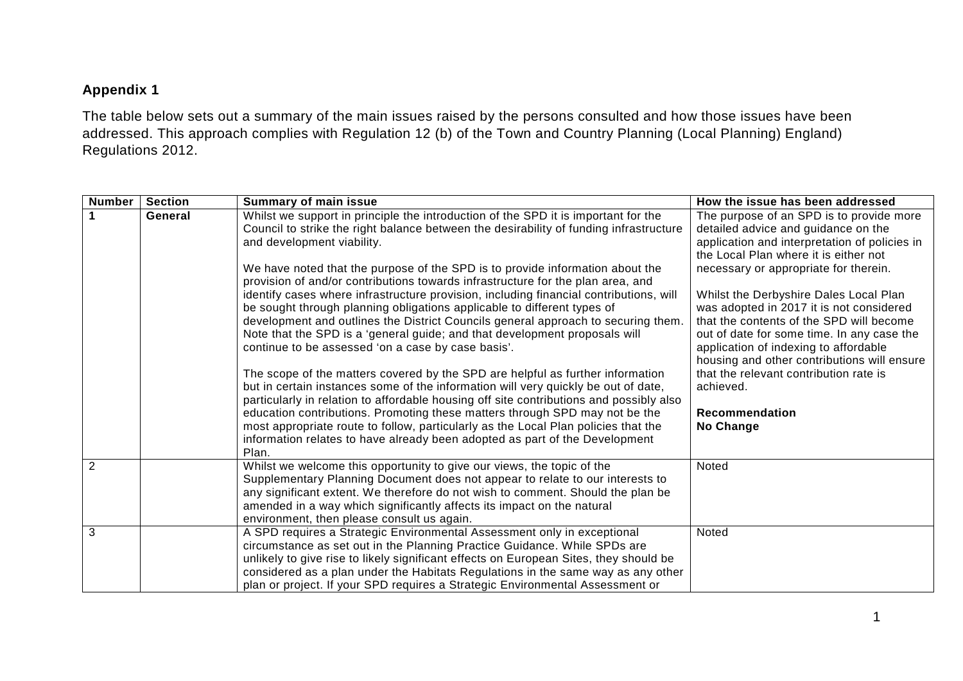## **Appendix 1**

The table below sets out a summary of the main issues raised by the persons consulted and how those issues have been addressed. This approach complies with Regulation 12 (b) of the Town and Country Planning (Local Planning) England) Regulations 2012.

| <b>Number</b> | <b>Section</b> | <b>Summary of main issue</b>                                                                                                                                                                                                                                                                                                                                                                                       | How the issue has been addressed                                                                                                                                               |
|---------------|----------------|--------------------------------------------------------------------------------------------------------------------------------------------------------------------------------------------------------------------------------------------------------------------------------------------------------------------------------------------------------------------------------------------------------------------|--------------------------------------------------------------------------------------------------------------------------------------------------------------------------------|
|               | General        | Whilst we support in principle the introduction of the SPD it is important for the<br>Council to strike the right balance between the desirability of funding infrastructure<br>and development viability.                                                                                                                                                                                                         | The purpose of an SPD is to provide more<br>detailed advice and guidance on the<br>application and interpretation of policies in<br>the Local Plan where it is either not      |
|               |                | We have noted that the purpose of the SPD is to provide information about the<br>provision of and/or contributions towards infrastructure for the plan area, and                                                                                                                                                                                                                                                   | necessary or appropriate for therein.                                                                                                                                          |
|               |                | identify cases where infrastructure provision, including financial contributions, will<br>be sought through planning obligations applicable to different types of                                                                                                                                                                                                                                                  | Whilst the Derbyshire Dales Local Plan<br>was adopted in 2017 it is not considered                                                                                             |
|               |                | development and outlines the District Councils general approach to securing them.<br>Note that the SPD is a 'general guide; and that development proposals will<br>continue to be assessed 'on a case by case basis'.                                                                                                                                                                                              | that the contents of the SPD will become<br>out of date for some time. In any case the<br>application of indexing to affordable<br>housing and other contributions will ensure |
|               |                | The scope of the matters covered by the SPD are helpful as further information<br>but in certain instances some of the information will very quickly be out of date,<br>particularly in relation to affordable housing off site contributions and possibly also                                                                                                                                                    | that the relevant contribution rate is<br>achieved.                                                                                                                            |
|               |                | education contributions. Promoting these matters through SPD may not be the<br>most appropriate route to follow, particularly as the Local Plan policies that the<br>information relates to have already been adopted as part of the Development<br>Plan.                                                                                                                                                          | <b>Recommendation</b><br>No Change                                                                                                                                             |
| 2             |                | Whilst we welcome this opportunity to give our views, the topic of the<br>Supplementary Planning Document does not appear to relate to our interests to<br>any significant extent. We therefore do not wish to comment. Should the plan be<br>amended in a way which significantly affects its impact on the natural<br>environment, then please consult us again.                                                 | Noted                                                                                                                                                                          |
| 3             |                | A SPD requires a Strategic Environmental Assessment only in exceptional<br>circumstance as set out in the Planning Practice Guidance. While SPDs are<br>unlikely to give rise to likely significant effects on European Sites, they should be<br>considered as a plan under the Habitats Regulations in the same way as any other<br>plan or project. If your SPD requires a Strategic Environmental Assessment or | Noted                                                                                                                                                                          |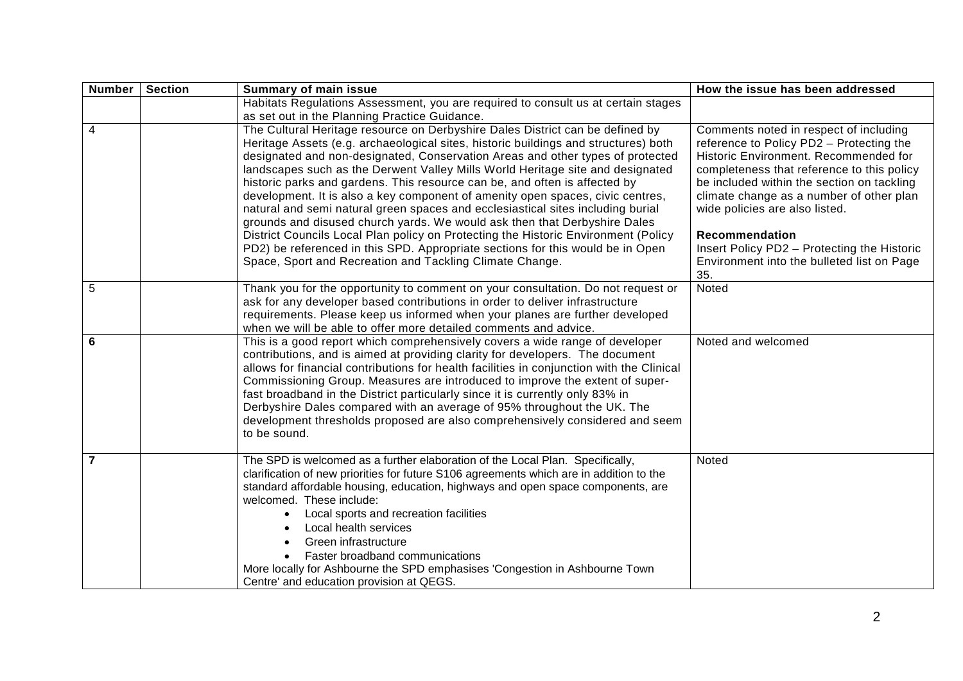| Number   Section | <b>Summary of main issue</b>                                                                                                                                                                                                                                                                                                                                                                                                                                                                                                                                                                                                                                                                                                                                                                                                                                                                                 | How the issue has been addressed                                                                                                                                                                                                                                                                                                                                                                                            |
|------------------|--------------------------------------------------------------------------------------------------------------------------------------------------------------------------------------------------------------------------------------------------------------------------------------------------------------------------------------------------------------------------------------------------------------------------------------------------------------------------------------------------------------------------------------------------------------------------------------------------------------------------------------------------------------------------------------------------------------------------------------------------------------------------------------------------------------------------------------------------------------------------------------------------------------|-----------------------------------------------------------------------------------------------------------------------------------------------------------------------------------------------------------------------------------------------------------------------------------------------------------------------------------------------------------------------------------------------------------------------------|
|                  | Habitats Regulations Assessment, you are required to consult us at certain stages<br>as set out in the Planning Practice Guidance.                                                                                                                                                                                                                                                                                                                                                                                                                                                                                                                                                                                                                                                                                                                                                                           |                                                                                                                                                                                                                                                                                                                                                                                                                             |
| $\overline{4}$   | The Cultural Heritage resource on Derbyshire Dales District can be defined by<br>Heritage Assets (e.g. archaeological sites, historic buildings and structures) both<br>designated and non-designated, Conservation Areas and other types of protected<br>landscapes such as the Derwent Valley Mills World Heritage site and designated<br>historic parks and gardens. This resource can be, and often is affected by<br>development. It is also a key component of amenity open spaces, civic centres,<br>natural and semi natural green spaces and ecclesiastical sites including burial<br>grounds and disused church yards. We would ask then that Derbyshire Dales<br>District Councils Local Plan policy on Protecting the Historic Environment (Policy<br>PD2) be referenced in this SPD. Appropriate sections for this would be in Open<br>Space, Sport and Recreation and Tackling Climate Change. | Comments noted in respect of including<br>reference to Policy PD2 - Protecting the<br>Historic Environment. Recommended for<br>completeness that reference to this policy<br>be included within the section on tackling<br>climate change as a number of other plan<br>wide policies are also listed.<br>Recommendation<br>Insert Policy PD2 - Protecting the Historic<br>Environment into the bulleted list on Page<br>35. |
| 5                | Thank you for the opportunity to comment on your consultation. Do not request or<br>ask for any developer based contributions in order to deliver infrastructure<br>requirements. Please keep us informed when your planes are further developed<br>when we will be able to offer more detailed comments and advice.                                                                                                                                                                                                                                                                                                                                                                                                                                                                                                                                                                                         | Noted                                                                                                                                                                                                                                                                                                                                                                                                                       |
| 6                | This is a good report which comprehensively covers a wide range of developer<br>contributions, and is aimed at providing clarity for developers. The document<br>allows for financial contributions for health facilities in conjunction with the Clinical<br>Commissioning Group. Measures are introduced to improve the extent of super-<br>fast broadband in the District particularly since it is currently only 83% in<br>Derbyshire Dales compared with an average of 95% throughout the UK. The<br>development thresholds proposed are also comprehensively considered and seem<br>to be sound.                                                                                                                                                                                                                                                                                                       | Noted and welcomed                                                                                                                                                                                                                                                                                                                                                                                                          |
| $\overline{7}$   | The SPD is welcomed as a further elaboration of the Local Plan. Specifically,<br>clarification of new priorities for future S106 agreements which are in addition to the<br>standard affordable housing, education, highways and open space components, are<br>welcomed. These include:<br>Local sports and recreation facilities<br>Local health services<br>Green infrastructure<br>Faster broadband communications<br>More locally for Ashbourne the SPD emphasises 'Congestion in Ashbourne Town<br>Centre' and education provision at QEGS.                                                                                                                                                                                                                                                                                                                                                             | Noted                                                                                                                                                                                                                                                                                                                                                                                                                       |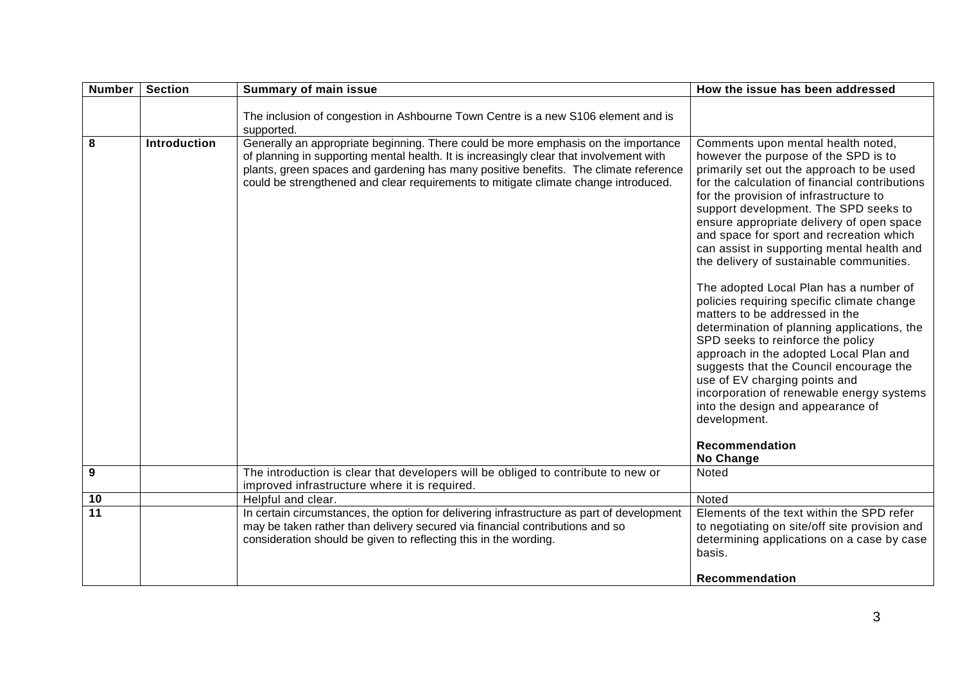| <b>Number</b>   | <b>Section</b>      | <b>Summary of main issue</b>                                                                                                                                                                                                                                                                                                                                 | How the issue has been addressed                                                                                                                                                                                                                                                                                                                                                                                                                                                                                                                                                                                                                                                                                                                                                                                                                                                                                     |
|-----------------|---------------------|--------------------------------------------------------------------------------------------------------------------------------------------------------------------------------------------------------------------------------------------------------------------------------------------------------------------------------------------------------------|----------------------------------------------------------------------------------------------------------------------------------------------------------------------------------------------------------------------------------------------------------------------------------------------------------------------------------------------------------------------------------------------------------------------------------------------------------------------------------------------------------------------------------------------------------------------------------------------------------------------------------------------------------------------------------------------------------------------------------------------------------------------------------------------------------------------------------------------------------------------------------------------------------------------|
|                 |                     | The inclusion of congestion in Ashbourne Town Centre is a new S106 element and is<br>supported.                                                                                                                                                                                                                                                              |                                                                                                                                                                                                                                                                                                                                                                                                                                                                                                                                                                                                                                                                                                                                                                                                                                                                                                                      |
| 8               | <b>Introduction</b> | Generally an appropriate beginning. There could be more emphasis on the importance<br>of planning in supporting mental health. It is increasingly clear that involvement with<br>plants, green spaces and gardening has many positive benefits. The climate reference<br>could be strengthened and clear requirements to mitigate climate change introduced. | Comments upon mental health noted,<br>however the purpose of the SPD is to<br>primarily set out the approach to be used<br>for the calculation of financial contributions<br>for the provision of infrastructure to<br>support development. The SPD seeks to<br>ensure appropriate delivery of open space<br>and space for sport and recreation which<br>can assist in supporting mental health and<br>the delivery of sustainable communities.<br>The adopted Local Plan has a number of<br>policies requiring specific climate change<br>matters to be addressed in the<br>determination of planning applications, the<br>SPD seeks to reinforce the policy<br>approach in the adopted Local Plan and<br>suggests that the Council encourage the<br>use of EV charging points and<br>incorporation of renewable energy systems<br>into the design and appearance of<br>development.<br>Recommendation<br>No Change |
| $\mathbf{9}$    |                     | The introduction is clear that developers will be obliged to contribute to new or<br>improved infrastructure where it is required.                                                                                                                                                                                                                           | Noted                                                                                                                                                                                                                                                                                                                                                                                                                                                                                                                                                                                                                                                                                                                                                                                                                                                                                                                |
| 10              |                     | Helpful and clear.                                                                                                                                                                                                                                                                                                                                           | Noted                                                                                                                                                                                                                                                                                                                                                                                                                                                                                                                                                                                                                                                                                                                                                                                                                                                                                                                |
| $\overline{11}$ |                     | In certain circumstances, the option for delivering infrastructure as part of development<br>may be taken rather than delivery secured via financial contributions and so<br>consideration should be given to reflecting this in the wording.                                                                                                                | Elements of the text within the SPD refer<br>to negotiating on site/off site provision and<br>determining applications on a case by case<br>basis.                                                                                                                                                                                                                                                                                                                                                                                                                                                                                                                                                                                                                                                                                                                                                                   |
|                 |                     |                                                                                                                                                                                                                                                                                                                                                              | Recommendation                                                                                                                                                                                                                                                                                                                                                                                                                                                                                                                                                                                                                                                                                                                                                                                                                                                                                                       |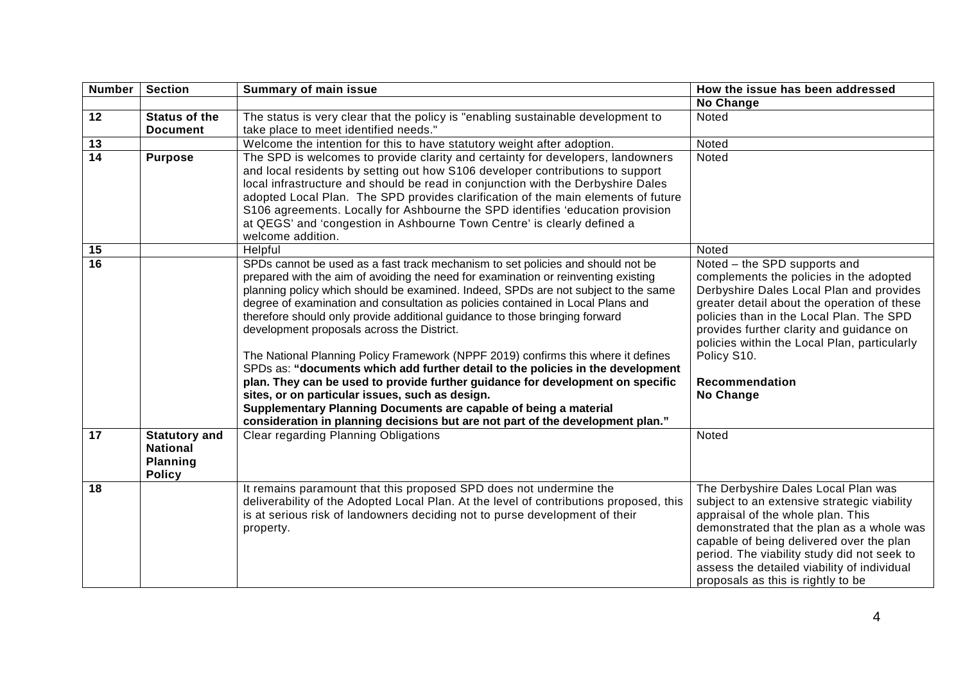| <b>Number</b>   | <b>Section</b>                                                       | <b>Summary of main issue</b>                                                                                                                                                                                                                                                                                                                                                                                                                                                                                                                                                                                                                                                                                                                                                                                                                                                                                                                   | How the issue has been addressed                                                                                                                                                                                                                                                                                                                         |
|-----------------|----------------------------------------------------------------------|------------------------------------------------------------------------------------------------------------------------------------------------------------------------------------------------------------------------------------------------------------------------------------------------------------------------------------------------------------------------------------------------------------------------------------------------------------------------------------------------------------------------------------------------------------------------------------------------------------------------------------------------------------------------------------------------------------------------------------------------------------------------------------------------------------------------------------------------------------------------------------------------------------------------------------------------|----------------------------------------------------------------------------------------------------------------------------------------------------------------------------------------------------------------------------------------------------------------------------------------------------------------------------------------------------------|
|                 |                                                                      |                                                                                                                                                                                                                                                                                                                                                                                                                                                                                                                                                                                                                                                                                                                                                                                                                                                                                                                                                | <b>No Change</b>                                                                                                                                                                                                                                                                                                                                         |
| $\overline{12}$ | <b>Status of the</b>                                                 | The status is very clear that the policy is "enabling sustainable development to                                                                                                                                                                                                                                                                                                                                                                                                                                                                                                                                                                                                                                                                                                                                                                                                                                                               | Noted                                                                                                                                                                                                                                                                                                                                                    |
|                 | <b>Document</b>                                                      | take place to meet identified needs."                                                                                                                                                                                                                                                                                                                                                                                                                                                                                                                                                                                                                                                                                                                                                                                                                                                                                                          |                                                                                                                                                                                                                                                                                                                                                          |
| 13              |                                                                      | Welcome the intention for this to have statutory weight after adoption.                                                                                                                                                                                                                                                                                                                                                                                                                                                                                                                                                                                                                                                                                                                                                                                                                                                                        | Noted                                                                                                                                                                                                                                                                                                                                                    |
| $\overline{14}$ | <b>Purpose</b>                                                       | The SPD is welcomes to provide clarity and certainty for developers, landowners<br>and local residents by setting out how S106 developer contributions to support<br>local infrastructure and should be read in conjunction with the Derbyshire Dales<br>adopted Local Plan. The SPD provides clarification of the main elements of future<br>S106 agreements. Locally for Ashbourne the SPD identifies 'education provision<br>at QEGS' and 'congestion in Ashbourne Town Centre' is clearly defined a<br>welcome addition.                                                                                                                                                                                                                                                                                                                                                                                                                   | Noted                                                                                                                                                                                                                                                                                                                                                    |
| 15              |                                                                      | Helpful                                                                                                                                                                                                                                                                                                                                                                                                                                                                                                                                                                                                                                                                                                                                                                                                                                                                                                                                        | Noted                                                                                                                                                                                                                                                                                                                                                    |
| $\overline{16}$ |                                                                      | SPDs cannot be used as a fast track mechanism to set policies and should not be<br>prepared with the aim of avoiding the need for examination or reinventing existing<br>planning policy which should be examined. Indeed, SPDs are not subject to the same<br>degree of examination and consultation as policies contained in Local Plans and<br>therefore should only provide additional guidance to those bringing forward<br>development proposals across the District.<br>The National Planning Policy Framework (NPPF 2019) confirms this where it defines<br>SPDs as: "documents which add further detail to the policies in the development<br>plan. They can be used to provide further guidance for development on specific<br>sites, or on particular issues, such as design.<br>Supplementary Planning Documents are capable of being a material<br>consideration in planning decisions but are not part of the development plan." | Noted - the SPD supports and<br>complements the policies in the adopted<br>Derbyshire Dales Local Plan and provides<br>greater detail about the operation of these<br>policies than in the Local Plan. The SPD<br>provides further clarity and guidance on<br>policies within the Local Plan, particularly<br>Policy S10.<br>Recommendation<br>No Change |
| 17              | <b>Statutory and</b><br><b>National</b><br>Planning<br><b>Policy</b> | <b>Clear regarding Planning Obligations</b>                                                                                                                                                                                                                                                                                                                                                                                                                                                                                                                                                                                                                                                                                                                                                                                                                                                                                                    | Noted                                                                                                                                                                                                                                                                                                                                                    |
| 18              |                                                                      | It remains paramount that this proposed SPD does not undermine the<br>deliverability of the Adopted Local Plan. At the level of contributions proposed, this<br>is at serious risk of landowners deciding not to purse development of their<br>property.                                                                                                                                                                                                                                                                                                                                                                                                                                                                                                                                                                                                                                                                                       | The Derbyshire Dales Local Plan was<br>subject to an extensive strategic viability<br>appraisal of the whole plan. This<br>demonstrated that the plan as a whole was<br>capable of being delivered over the plan<br>period. The viability study did not seek to<br>assess the detailed viability of individual<br>proposals as this is rightly to be     |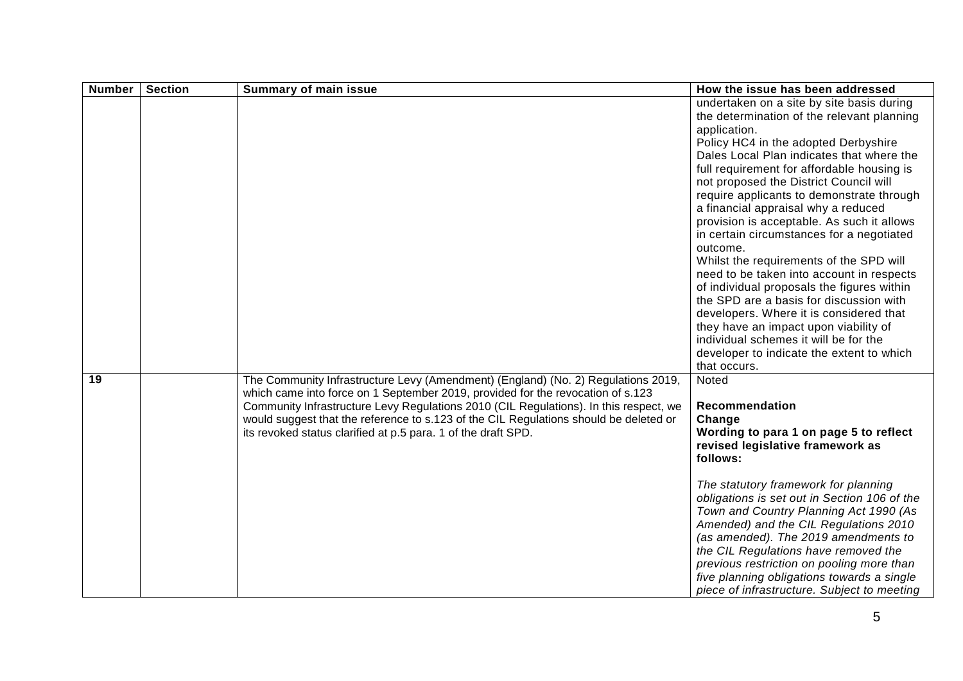| <b>Number</b> | <b>Section</b> | <b>Summary of main issue</b>                                                                                                                                                                                                                                                                                                                                                                                            | How the issue has been addressed                                                                                                                                                                                                                                                                                                                                                                                                                                                                                                                                                                                                                                                                                                                                                                                                                           |
|---------------|----------------|-------------------------------------------------------------------------------------------------------------------------------------------------------------------------------------------------------------------------------------------------------------------------------------------------------------------------------------------------------------------------------------------------------------------------|------------------------------------------------------------------------------------------------------------------------------------------------------------------------------------------------------------------------------------------------------------------------------------------------------------------------------------------------------------------------------------------------------------------------------------------------------------------------------------------------------------------------------------------------------------------------------------------------------------------------------------------------------------------------------------------------------------------------------------------------------------------------------------------------------------------------------------------------------------|
|               |                |                                                                                                                                                                                                                                                                                                                                                                                                                         | undertaken on a site by site basis during<br>the determination of the relevant planning<br>application.<br>Policy HC4 in the adopted Derbyshire<br>Dales Local Plan indicates that where the<br>full requirement for affordable housing is<br>not proposed the District Council will<br>require applicants to demonstrate through<br>a financial appraisal why a reduced<br>provision is acceptable. As such it allows<br>in certain circumstances for a negotiated<br>outcome.<br>Whilst the requirements of the SPD will<br>need to be taken into account in respects<br>of individual proposals the figures within<br>the SPD are a basis for discussion with<br>developers. Where it is considered that<br>they have an impact upon viability of<br>individual schemes it will be for the<br>developer to indicate the extent to which<br>that occurs. |
| 19            |                | The Community Infrastructure Levy (Amendment) (England) (No. 2) Regulations 2019,<br>which came into force on 1 September 2019, provided for the revocation of s.123<br>Community Infrastructure Levy Regulations 2010 (CIL Regulations). In this respect, we<br>would suggest that the reference to s.123 of the CIL Regulations should be deleted or<br>its revoked status clarified at p.5 para. 1 of the draft SPD. | Noted<br>Recommendation<br>Change<br>Wording to para 1 on page 5 to reflect<br>revised legislative framework as<br>follows:<br>The statutory framework for planning<br>obligations is set out in Section 106 of the<br>Town and Country Planning Act 1990 (As<br>Amended) and the CIL Regulations 2010<br>(as amended). The 2019 amendments to<br>the CIL Regulations have removed the<br>previous restriction on pooling more than<br>five planning obligations towards a single<br>piece of infrastructure. Subject to meeting                                                                                                                                                                                                                                                                                                                           |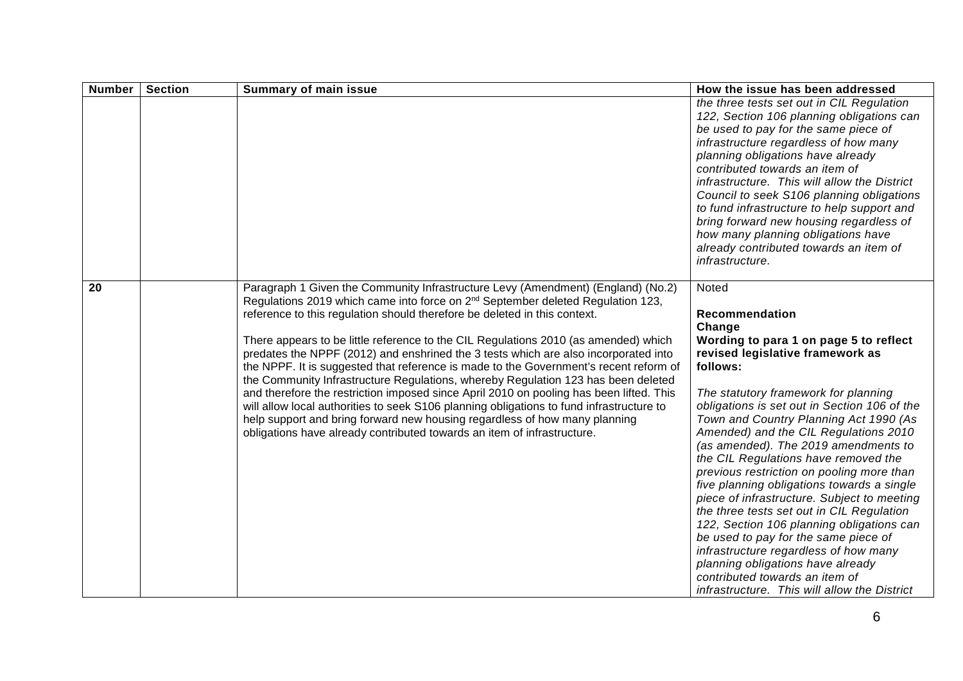| <b>Number</b> | <b>Section</b> | <b>Summary of main issue</b>                                                                                                                                                                                                                                                                                                                                                                                                                                                                                                                                                                                                                                                                                                                                                                                                                                                                                                                                             | How the issue has been addressed                                                                                                                                                                                                                                                                                                                                                                                                                                                                                                                                                                                                                                                                                                                                                                                                   |
|---------------|----------------|--------------------------------------------------------------------------------------------------------------------------------------------------------------------------------------------------------------------------------------------------------------------------------------------------------------------------------------------------------------------------------------------------------------------------------------------------------------------------------------------------------------------------------------------------------------------------------------------------------------------------------------------------------------------------------------------------------------------------------------------------------------------------------------------------------------------------------------------------------------------------------------------------------------------------------------------------------------------------|------------------------------------------------------------------------------------------------------------------------------------------------------------------------------------------------------------------------------------------------------------------------------------------------------------------------------------------------------------------------------------------------------------------------------------------------------------------------------------------------------------------------------------------------------------------------------------------------------------------------------------------------------------------------------------------------------------------------------------------------------------------------------------------------------------------------------------|
|               |                |                                                                                                                                                                                                                                                                                                                                                                                                                                                                                                                                                                                                                                                                                                                                                                                                                                                                                                                                                                          | the three tests set out in CIL Regulation<br>122, Section 106 planning obligations can<br>be used to pay for the same piece of<br>infrastructure regardless of how many<br>planning obligations have already<br>contributed towards an item of<br>infrastructure. This will allow the District<br>Council to seek S106 planning obligations<br>to fund infrastructure to help support and<br>bring forward new housing regardless of<br>how many planning obligations have<br>already contributed towards an item of<br>infrastructure.                                                                                                                                                                                                                                                                                            |
| 20            |                | Paragraph 1 Given the Community Infrastructure Levy (Amendment) (England) (No.2)<br>Regulations 2019 which came into force on 2 <sup>nd</sup> September deleted Regulation 123,<br>reference to this regulation should therefore be deleted in this context.<br>There appears to be little reference to the CIL Regulations 2010 (as amended) which<br>predates the NPPF (2012) and enshrined the 3 tests which are also incorporated into<br>the NPPF. It is suggested that reference is made to the Government's recent reform of<br>the Community Infrastructure Regulations, whereby Regulation 123 has been deleted<br>and therefore the restriction imposed since April 2010 on pooling has been lifted. This<br>will allow local authorities to seek S106 planning obligations to fund infrastructure to<br>help support and bring forward new housing regardless of how many planning<br>obligations have already contributed towards an item of infrastructure. | Noted<br>Recommendation<br>Change<br>Wording to para 1 on page 5 to reflect<br>revised legislative framework as<br>follows:<br>The statutory framework for planning<br>obligations is set out in Section 106 of the<br>Town and Country Planning Act 1990 (As<br>Amended) and the CIL Regulations 2010<br>(as amended). The 2019 amendments to<br>the CIL Regulations have removed the<br>previous restriction on pooling more than<br>five planning obligations towards a single<br>piece of infrastructure. Subject to meeting<br>the three tests set out in CIL Regulation<br>122, Section 106 planning obligations can<br>be used to pay for the same piece of<br>infrastructure regardless of how many<br>planning obligations have already<br>contributed towards an item of<br>infrastructure. This will allow the District |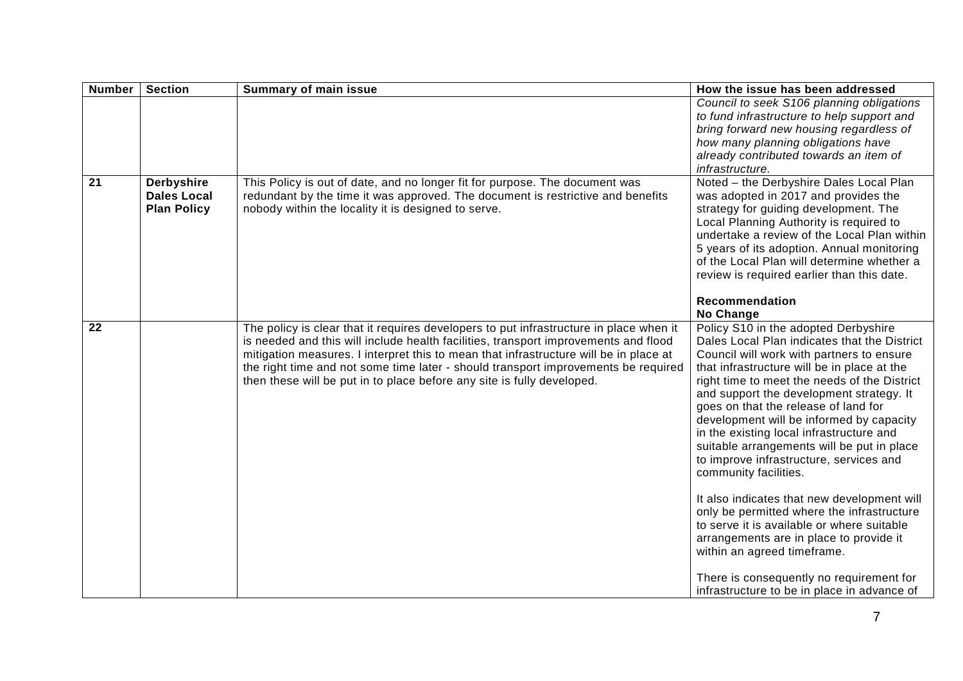| <b>Number</b>   | <b>Section</b>                                                | <b>Summary of main issue</b>                                                                                                                                                                                                                                                                                                                                                                                                           | How the issue has been addressed                                                                                                                                                                                                                                                                                                                                                                                                                                                                                                                                                                                                                                                                                                                                                                                                               |
|-----------------|---------------------------------------------------------------|----------------------------------------------------------------------------------------------------------------------------------------------------------------------------------------------------------------------------------------------------------------------------------------------------------------------------------------------------------------------------------------------------------------------------------------|------------------------------------------------------------------------------------------------------------------------------------------------------------------------------------------------------------------------------------------------------------------------------------------------------------------------------------------------------------------------------------------------------------------------------------------------------------------------------------------------------------------------------------------------------------------------------------------------------------------------------------------------------------------------------------------------------------------------------------------------------------------------------------------------------------------------------------------------|
|                 |                                                               |                                                                                                                                                                                                                                                                                                                                                                                                                                        | Council to seek S106 planning obligations<br>to fund infrastructure to help support and<br>bring forward new housing regardless of<br>how many planning obligations have<br>already contributed towards an item of<br>infrastructure.                                                                                                                                                                                                                                                                                                                                                                                                                                                                                                                                                                                                          |
| $\overline{21}$ | <b>Derbyshire</b><br><b>Dales Local</b><br><b>Plan Policy</b> | This Policy is out of date, and no longer fit for purpose. The document was<br>redundant by the time it was approved. The document is restrictive and benefits<br>nobody within the locality it is designed to serve.                                                                                                                                                                                                                  | Noted - the Derbyshire Dales Local Plan<br>was adopted in 2017 and provides the<br>strategy for guiding development. The<br>Local Planning Authority is required to<br>undertake a review of the Local Plan within<br>5 years of its adoption. Annual monitoring<br>of the Local Plan will determine whether a<br>review is required earlier than this date.<br>Recommendation<br>No Change                                                                                                                                                                                                                                                                                                                                                                                                                                                    |
| 22              |                                                               | The policy is clear that it requires developers to put infrastructure in place when it<br>is needed and this will include health facilities, transport improvements and flood<br>mitigation measures. I interpret this to mean that infrastructure will be in place at<br>the right time and not some time later - should transport improvements be required<br>then these will be put in to place before any site is fully developed. | Policy S10 in the adopted Derbyshire<br>Dales Local Plan indicates that the District<br>Council will work with partners to ensure<br>that infrastructure will be in place at the<br>right time to meet the needs of the District<br>and support the development strategy. It<br>goes on that the release of land for<br>development will be informed by capacity<br>in the existing local infrastructure and<br>suitable arrangements will be put in place<br>to improve infrastructure, services and<br>community facilities.<br>It also indicates that new development will<br>only be permitted where the infrastructure<br>to serve it is available or where suitable<br>arrangements are in place to provide it<br>within an agreed timeframe.<br>There is consequently no requirement for<br>infrastructure to be in place in advance of |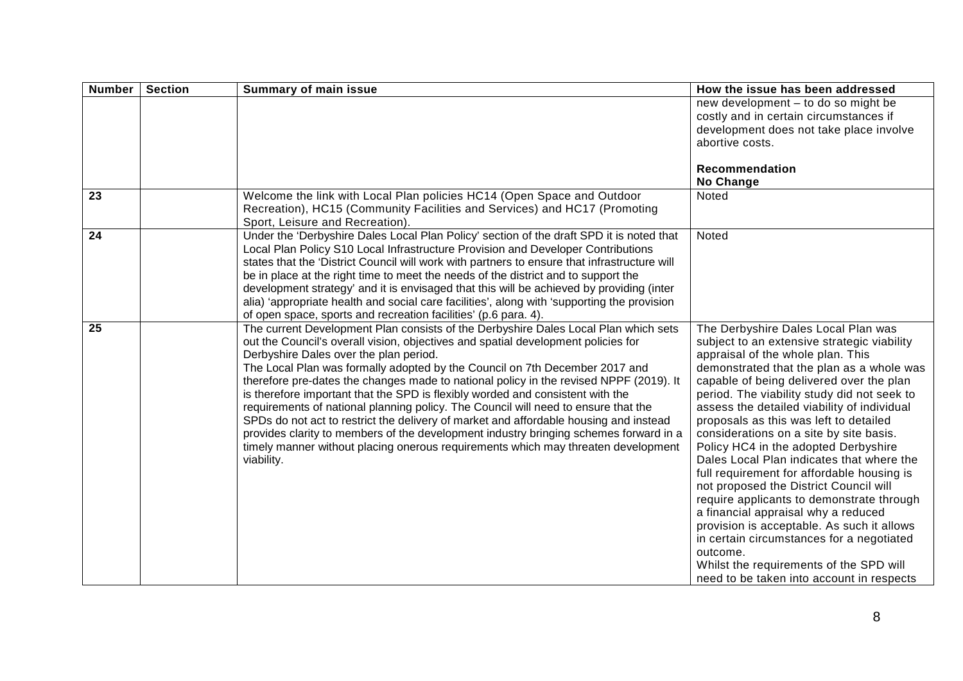| <b>Number</b> | <b>Section</b> | <b>Summary of main issue</b>                                                                                                                                                                                                                                                                                                                                                                                                                                                                                                                                                                                                                                                                                                                                                                                                                             | How the issue has been addressed                                                                                                                                                                                                                                                                                                                                                                                                                                                                                                                                                                                                                                                                                                                                                                                                                                    |
|---------------|----------------|----------------------------------------------------------------------------------------------------------------------------------------------------------------------------------------------------------------------------------------------------------------------------------------------------------------------------------------------------------------------------------------------------------------------------------------------------------------------------------------------------------------------------------------------------------------------------------------------------------------------------------------------------------------------------------------------------------------------------------------------------------------------------------------------------------------------------------------------------------|---------------------------------------------------------------------------------------------------------------------------------------------------------------------------------------------------------------------------------------------------------------------------------------------------------------------------------------------------------------------------------------------------------------------------------------------------------------------------------------------------------------------------------------------------------------------------------------------------------------------------------------------------------------------------------------------------------------------------------------------------------------------------------------------------------------------------------------------------------------------|
|               |                |                                                                                                                                                                                                                                                                                                                                                                                                                                                                                                                                                                                                                                                                                                                                                                                                                                                          | new development - to do so might be<br>costly and in certain circumstances if<br>development does not take place involve<br>abortive costs.                                                                                                                                                                                                                                                                                                                                                                                                                                                                                                                                                                                                                                                                                                                         |
|               |                |                                                                                                                                                                                                                                                                                                                                                                                                                                                                                                                                                                                                                                                                                                                                                                                                                                                          | Recommendation<br>No Change                                                                                                                                                                                                                                                                                                                                                                                                                                                                                                                                                                                                                                                                                                                                                                                                                                         |
| 23            |                | Welcome the link with Local Plan policies HC14 (Open Space and Outdoor<br>Recreation), HC15 (Community Facilities and Services) and HC17 (Promoting<br>Sport, Leisure and Recreation)                                                                                                                                                                                                                                                                                                                                                                                                                                                                                                                                                                                                                                                                    | Noted                                                                                                                                                                                                                                                                                                                                                                                                                                                                                                                                                                                                                                                                                                                                                                                                                                                               |
| 24            |                | Under the 'Derbyshire Dales Local Plan Policy' section of the draft SPD it is noted that<br>Local Plan Policy S10 Local Infrastructure Provision and Developer Contributions<br>states that the 'District Council will work with partners to ensure that infrastructure will<br>be in place at the right time to meet the needs of the district and to support the<br>development strategy' and it is envisaged that this will be achieved by providing (inter<br>alia) 'appropriate health and social care facilities', along with 'supporting the provision<br>of open space, sports and recreation facilities' (p.6 para. 4).                                                                                                                                                                                                                         | Noted                                                                                                                                                                                                                                                                                                                                                                                                                                                                                                                                                                                                                                                                                                                                                                                                                                                               |
| 25            |                | The current Development Plan consists of the Derbyshire Dales Local Plan which sets<br>out the Council's overall vision, objectives and spatial development policies for<br>Derbyshire Dales over the plan period.<br>The Local Plan was formally adopted by the Council on 7th December 2017 and<br>therefore pre-dates the changes made to national policy in the revised NPPF (2019). It<br>is therefore important that the SPD is flexibly worded and consistent with the<br>requirements of national planning policy. The Council will need to ensure that the<br>SPDs do not act to restrict the delivery of market and affordable housing and instead<br>provides clarity to members of the development industry bringing schemes forward in a<br>timely manner without placing onerous requirements which may threaten development<br>viability. | The Derbyshire Dales Local Plan was<br>subject to an extensive strategic viability<br>appraisal of the whole plan. This<br>demonstrated that the plan as a whole was<br>capable of being delivered over the plan<br>period. The viability study did not seek to<br>assess the detailed viability of individual<br>proposals as this was left to detailed<br>considerations on a site by site basis.<br>Policy HC4 in the adopted Derbyshire<br>Dales Local Plan indicates that where the<br>full requirement for affordable housing is<br>not proposed the District Council will<br>require applicants to demonstrate through<br>a financial appraisal why a reduced<br>provision is acceptable. As such it allows<br>in certain circumstances for a negotiated<br>outcome.<br>Whilst the requirements of the SPD will<br>need to be taken into account in respects |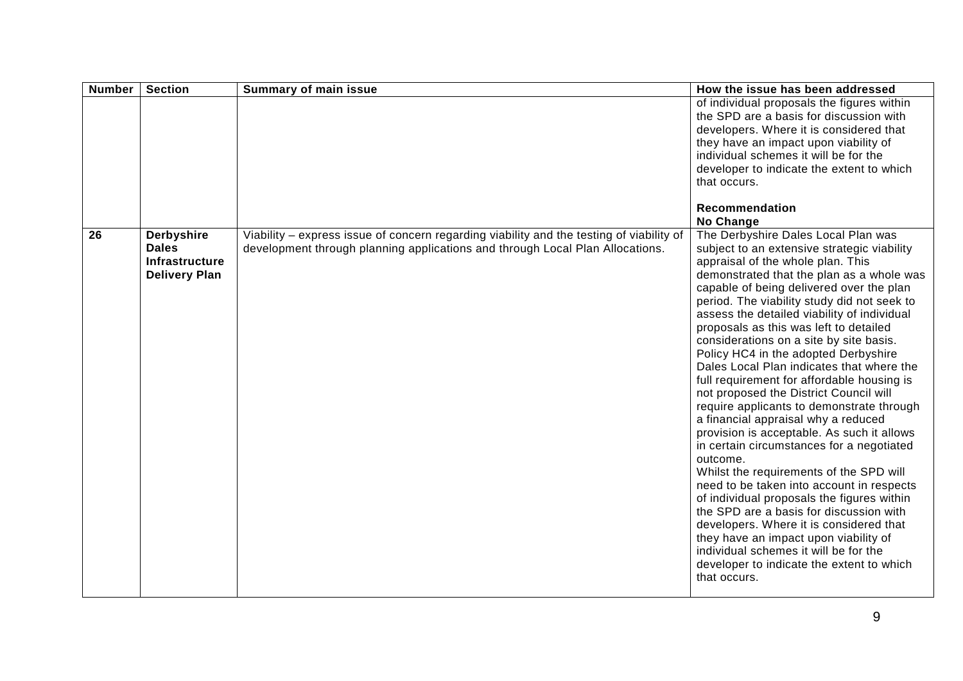| <b>Number</b>   | <b>Section</b>                                                              | <b>Summary of main issue</b>                                                                                                                                              | How the issue has been addressed                                                                                                                                                                                                                                                                                                                                                                                                                                                                                                                                                                                                                                                                                                                                                                                                                                                                                                                                                                                                                                                                                                                       |
|-----------------|-----------------------------------------------------------------------------|---------------------------------------------------------------------------------------------------------------------------------------------------------------------------|--------------------------------------------------------------------------------------------------------------------------------------------------------------------------------------------------------------------------------------------------------------------------------------------------------------------------------------------------------------------------------------------------------------------------------------------------------------------------------------------------------------------------------------------------------------------------------------------------------------------------------------------------------------------------------------------------------------------------------------------------------------------------------------------------------------------------------------------------------------------------------------------------------------------------------------------------------------------------------------------------------------------------------------------------------------------------------------------------------------------------------------------------------|
|                 |                                                                             |                                                                                                                                                                           | of individual proposals the figures within<br>the SPD are a basis for discussion with<br>developers. Where it is considered that<br>they have an impact upon viability of<br>individual schemes it will be for the<br>developer to indicate the extent to which<br>that occurs.                                                                                                                                                                                                                                                                                                                                                                                                                                                                                                                                                                                                                                                                                                                                                                                                                                                                        |
|                 |                                                                             |                                                                                                                                                                           | Recommendation<br>No Change                                                                                                                                                                                                                                                                                                                                                                                                                                                                                                                                                                                                                                                                                                                                                                                                                                                                                                                                                                                                                                                                                                                            |
| $\overline{26}$ | <b>Derbyshire</b><br><b>Dales</b><br>Infrastructure<br><b>Delivery Plan</b> | Viability - express issue of concern regarding viability and the testing of viability of<br>development through planning applications and through Local Plan Allocations. | The Derbyshire Dales Local Plan was<br>subject to an extensive strategic viability<br>appraisal of the whole plan. This<br>demonstrated that the plan as a whole was<br>capable of being delivered over the plan<br>period. The viability study did not seek to<br>assess the detailed viability of individual<br>proposals as this was left to detailed<br>considerations on a site by site basis.<br>Policy HC4 in the adopted Derbyshire<br>Dales Local Plan indicates that where the<br>full requirement for affordable housing is<br>not proposed the District Council will<br>require applicants to demonstrate through<br>a financial appraisal why a reduced<br>provision is acceptable. As such it allows<br>in certain circumstances for a negotiated<br>outcome.<br>Whilst the requirements of the SPD will<br>need to be taken into account in respects<br>of individual proposals the figures within<br>the SPD are a basis for discussion with<br>developers. Where it is considered that<br>they have an impact upon viability of<br>individual schemes it will be for the<br>developer to indicate the extent to which<br>that occurs. |
|                 |                                                                             |                                                                                                                                                                           |                                                                                                                                                                                                                                                                                                                                                                                                                                                                                                                                                                                                                                                                                                                                                                                                                                                                                                                                                                                                                                                                                                                                                        |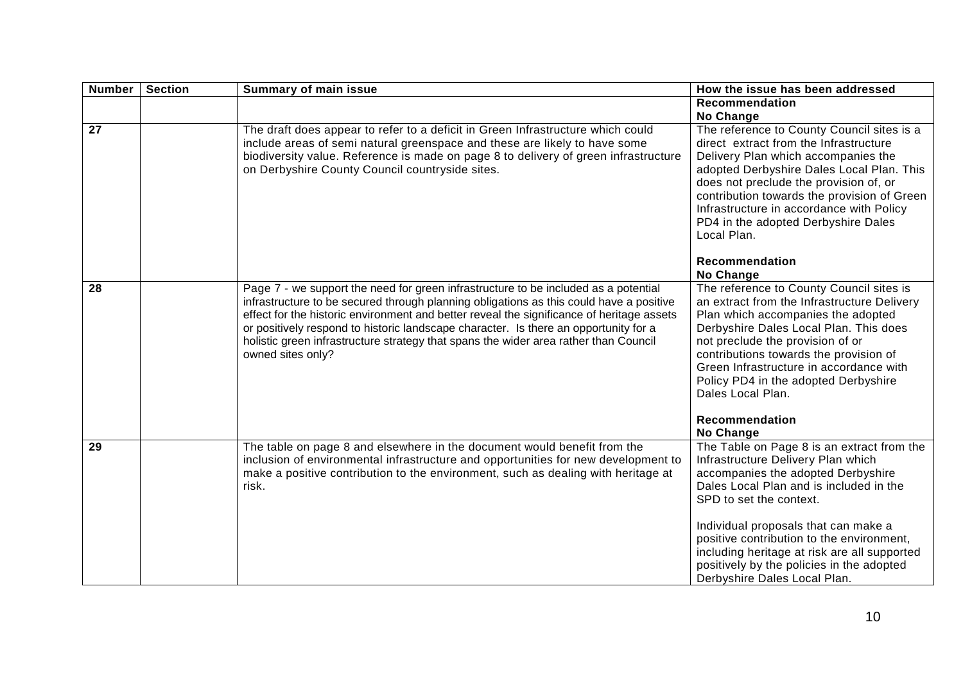| <b>Number</b>   | <b>Section</b> | <b>Summary of main issue</b>                                                                                                                                                                                                                                                                                                                                                                                                                                                     | How the issue has been addressed                                                                                                                                                                                                                                                                                                                                                                               |
|-----------------|----------------|----------------------------------------------------------------------------------------------------------------------------------------------------------------------------------------------------------------------------------------------------------------------------------------------------------------------------------------------------------------------------------------------------------------------------------------------------------------------------------|----------------------------------------------------------------------------------------------------------------------------------------------------------------------------------------------------------------------------------------------------------------------------------------------------------------------------------------------------------------------------------------------------------------|
|                 |                |                                                                                                                                                                                                                                                                                                                                                                                                                                                                                  | <b>Recommendation</b><br><b>No Change</b>                                                                                                                                                                                                                                                                                                                                                                      |
| $\overline{27}$ |                | The draft does appear to refer to a deficit in Green Infrastructure which could<br>include areas of semi natural greenspace and these are likely to have some<br>biodiversity value. Reference is made on page 8 to delivery of green infrastructure<br>on Derbyshire County Council countryside sites.                                                                                                                                                                          | The reference to County Council sites is a<br>direct extract from the Infrastructure<br>Delivery Plan which accompanies the<br>adopted Derbyshire Dales Local Plan. This<br>does not preclude the provision of, or<br>contribution towards the provision of Green<br>Infrastructure in accordance with Policy<br>PD4 in the adopted Derbyshire Dales<br>Local Plan.<br>Recommendation<br>No Change             |
| 28              |                | Page 7 - we support the need for green infrastructure to be included as a potential<br>infrastructure to be secured through planning obligations as this could have a positive<br>effect for the historic environment and better reveal the significance of heritage assets<br>or positively respond to historic landscape character. Is there an opportunity for a<br>holistic green infrastructure strategy that spans the wider area rather than Council<br>owned sites only? | The reference to County Council sites is<br>an extract from the Infrastructure Delivery<br>Plan which accompanies the adopted<br>Derbyshire Dales Local Plan. This does<br>not preclude the provision of or<br>contributions towards the provision of<br>Green Infrastructure in accordance with<br>Policy PD4 in the adopted Derbyshire<br>Dales Local Plan.<br>Recommendation<br><b>No Change</b>            |
| 29              |                | The table on page 8 and elsewhere in the document would benefit from the<br>inclusion of environmental infrastructure and opportunities for new development to<br>make a positive contribution to the environment, such as dealing with heritage at<br>risk.                                                                                                                                                                                                                     | The Table on Page 8 is an extract from the<br>Infrastructure Delivery Plan which<br>accompanies the adopted Derbyshire<br>Dales Local Plan and is included in the<br>SPD to set the context.<br>Individual proposals that can make a<br>positive contribution to the environment,<br>including heritage at risk are all supported<br>positively by the policies in the adopted<br>Derbyshire Dales Local Plan. |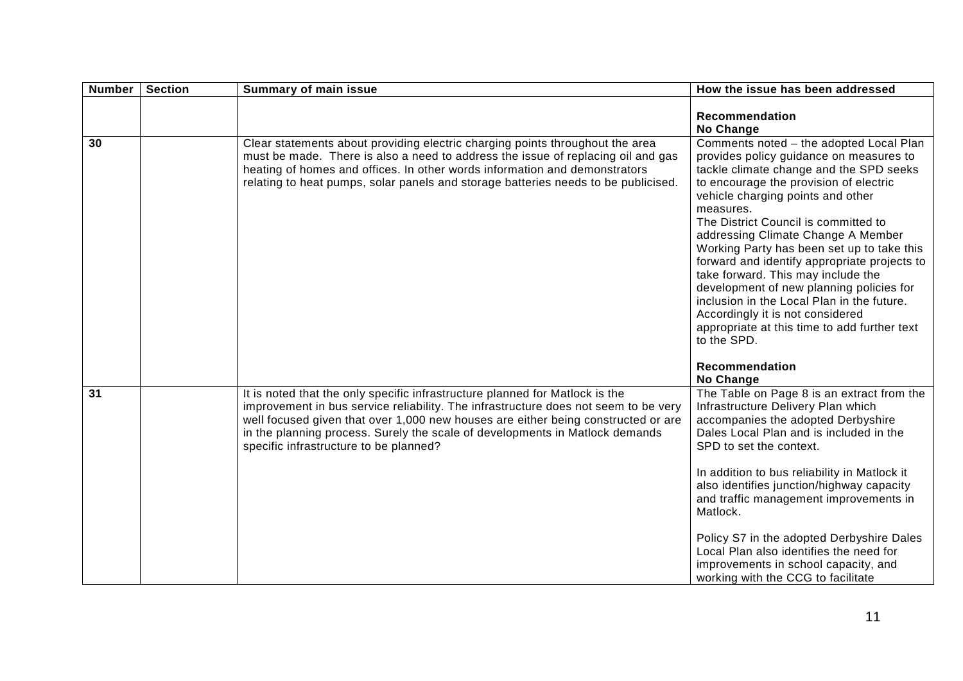| <b>Number</b> | <b>Section</b> | <b>Summary of main issue</b>                                                                                                                                                                                                                                                                                                                                                       | How the issue has been addressed                                                                                                                                                                                                                                                                                                                                                                                                                                                                                                                                                                                                                                        |
|---------------|----------------|------------------------------------------------------------------------------------------------------------------------------------------------------------------------------------------------------------------------------------------------------------------------------------------------------------------------------------------------------------------------------------|-------------------------------------------------------------------------------------------------------------------------------------------------------------------------------------------------------------------------------------------------------------------------------------------------------------------------------------------------------------------------------------------------------------------------------------------------------------------------------------------------------------------------------------------------------------------------------------------------------------------------------------------------------------------------|
|               |                |                                                                                                                                                                                                                                                                                                                                                                                    | Recommendation<br>No Change                                                                                                                                                                                                                                                                                                                                                                                                                                                                                                                                                                                                                                             |
| 30            |                | Clear statements about providing electric charging points throughout the area<br>must be made. There is also a need to address the issue of replacing oil and gas<br>heating of homes and offices. In other words information and demonstrators<br>relating to heat pumps, solar panels and storage batteries needs to be publicised.                                              | Comments noted - the adopted Local Plan<br>provides policy guidance on measures to<br>tackle climate change and the SPD seeks<br>to encourage the provision of electric<br>vehicle charging points and other<br>measures.<br>The District Council is committed to<br>addressing Climate Change A Member<br>Working Party has been set up to take this<br>forward and identify appropriate projects to<br>take forward. This may include the<br>development of new planning policies for<br>inclusion in the Local Plan in the future.<br>Accordingly it is not considered<br>appropriate at this time to add further text<br>to the SPD.<br>Recommendation<br>No Change |
| 31            |                | It is noted that the only specific infrastructure planned for Matlock is the<br>improvement in bus service reliability. The infrastructure does not seem to be very<br>well focused given that over 1,000 new houses are either being constructed or are<br>in the planning process. Surely the scale of developments in Matlock demands<br>specific infrastructure to be planned? | The Table on Page $8$ is an extract from the<br>Infrastructure Delivery Plan which<br>accompanies the adopted Derbyshire<br>Dales Local Plan and is included in the<br>SPD to set the context.<br>In addition to bus reliability in Matlock it<br>also identifies junction/highway capacity<br>and traffic management improvements in<br>Matlock.<br>Policy S7 in the adopted Derbyshire Dales<br>Local Plan also identifies the need for<br>improvements in school capacity, and<br>working with the CCG to facilitate                                                                                                                                                 |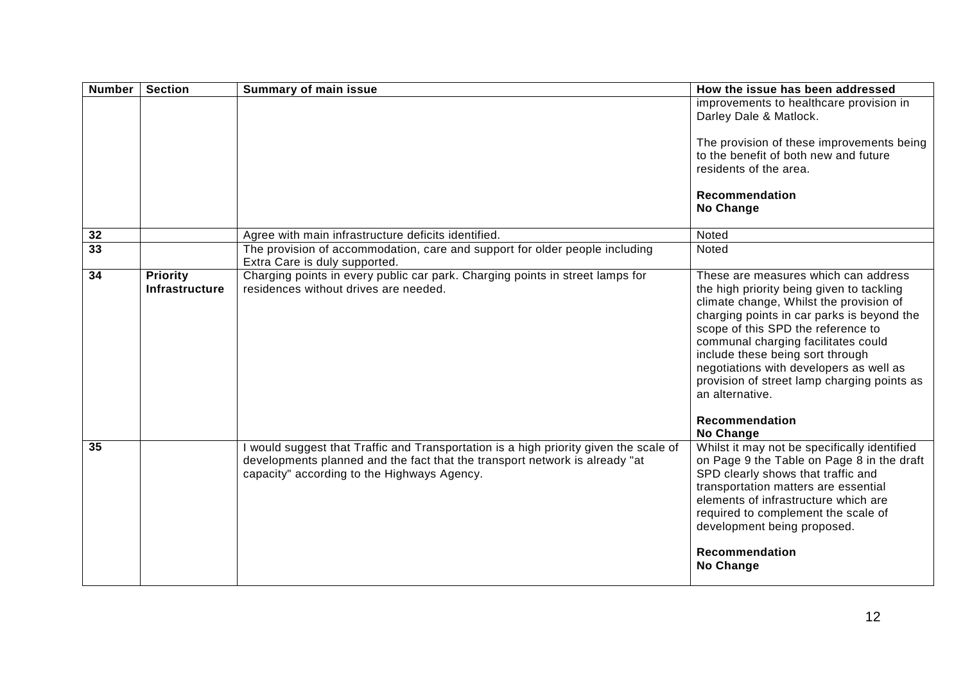| <b>Number</b>   | <b>Section</b>                    | <b>Summary of main issue</b>                                                                                                                                                                                        | How the issue has been addressed                                                                                                                                                                                                                                                                                                                                                                                                               |
|-----------------|-----------------------------------|---------------------------------------------------------------------------------------------------------------------------------------------------------------------------------------------------------------------|------------------------------------------------------------------------------------------------------------------------------------------------------------------------------------------------------------------------------------------------------------------------------------------------------------------------------------------------------------------------------------------------------------------------------------------------|
|                 |                                   |                                                                                                                                                                                                                     | improvements to healthcare provision in<br>Darley Dale & Matlock.                                                                                                                                                                                                                                                                                                                                                                              |
|                 |                                   |                                                                                                                                                                                                                     | The provision of these improvements being<br>to the benefit of both new and future<br>residents of the area.                                                                                                                                                                                                                                                                                                                                   |
|                 |                                   |                                                                                                                                                                                                                     | Recommendation<br>No Change                                                                                                                                                                                                                                                                                                                                                                                                                    |
|                 |                                   |                                                                                                                                                                                                                     |                                                                                                                                                                                                                                                                                                                                                                                                                                                |
| 32              |                                   | Agree with main infrastructure deficits identified.                                                                                                                                                                 | Noted                                                                                                                                                                                                                                                                                                                                                                                                                                          |
| $\overline{33}$ |                                   | The provision of accommodation, care and support for older people including<br>Extra Care is duly supported.                                                                                                        | Noted                                                                                                                                                                                                                                                                                                                                                                                                                                          |
| $\overline{34}$ | <b>Priority</b><br>Infrastructure | Charging points in every public car park. Charging points in street lamps for<br>residences without drives are needed.                                                                                              | These are measures which can address<br>the high priority being given to tackling<br>climate change, Whilst the provision of<br>charging points in car parks is beyond the<br>scope of this SPD the reference to<br>communal charging facilitates could<br>include these being sort through<br>negotiations with developers as well as<br>provision of street lamp charging points as<br>an alternative.<br><b>Recommendation</b><br>No Change |
| 35              |                                   | I would suggest that Traffic and Transportation is a high priority given the scale of<br>developments planned and the fact that the transport network is already "at<br>capacity" according to the Highways Agency. | Whilst it may not be specifically identified<br>on Page 9 the Table on Page 8 in the draft<br>SPD clearly shows that traffic and<br>transportation matters are essential<br>elements of infrastructure which are<br>required to complement the scale of<br>development being proposed.<br>Recommendation<br>No Change                                                                                                                          |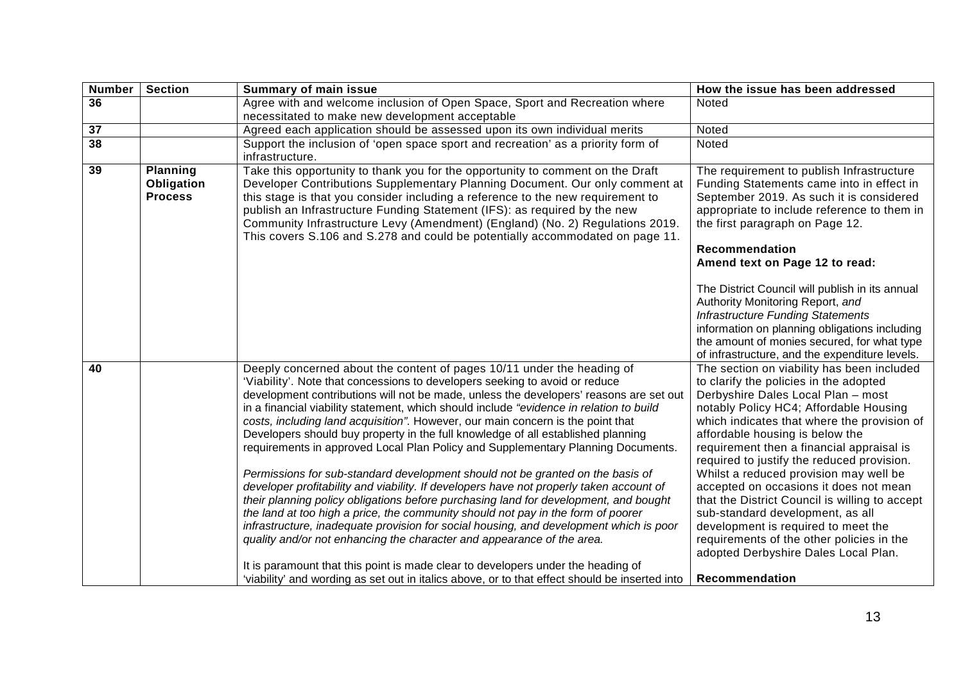| <b>Number</b> | <b>Section</b>                                  | <b>Summary of main issue</b>                                                                                                                                                                                                                                                                                                                                                                                                                                                                                                                                                                                                                                                                                                                                                                                                                                                                                                                                                                                                                                                                                                                                                                                           | How the issue has been addressed                                                                                                                                                                                                                                                                                                                                                                                                                                                                                                                                                                                                                        |
|---------------|-------------------------------------------------|------------------------------------------------------------------------------------------------------------------------------------------------------------------------------------------------------------------------------------------------------------------------------------------------------------------------------------------------------------------------------------------------------------------------------------------------------------------------------------------------------------------------------------------------------------------------------------------------------------------------------------------------------------------------------------------------------------------------------------------------------------------------------------------------------------------------------------------------------------------------------------------------------------------------------------------------------------------------------------------------------------------------------------------------------------------------------------------------------------------------------------------------------------------------------------------------------------------------|---------------------------------------------------------------------------------------------------------------------------------------------------------------------------------------------------------------------------------------------------------------------------------------------------------------------------------------------------------------------------------------------------------------------------------------------------------------------------------------------------------------------------------------------------------------------------------------------------------------------------------------------------------|
| 36            |                                                 | Agree with and welcome inclusion of Open Space, Sport and Recreation where                                                                                                                                                                                                                                                                                                                                                                                                                                                                                                                                                                                                                                                                                                                                                                                                                                                                                                                                                                                                                                                                                                                                             | Noted                                                                                                                                                                                                                                                                                                                                                                                                                                                                                                                                                                                                                                                   |
|               |                                                 | necessitated to make new development acceptable                                                                                                                                                                                                                                                                                                                                                                                                                                                                                                                                                                                                                                                                                                                                                                                                                                                                                                                                                                                                                                                                                                                                                                        |                                                                                                                                                                                                                                                                                                                                                                                                                                                                                                                                                                                                                                                         |
| 37            |                                                 | Agreed each application should be assessed upon its own individual merits                                                                                                                                                                                                                                                                                                                                                                                                                                                                                                                                                                                                                                                                                                                                                                                                                                                                                                                                                                                                                                                                                                                                              | Noted                                                                                                                                                                                                                                                                                                                                                                                                                                                                                                                                                                                                                                                   |
| 38            |                                                 | Support the inclusion of 'open space sport and recreation' as a priority form of                                                                                                                                                                                                                                                                                                                                                                                                                                                                                                                                                                                                                                                                                                                                                                                                                                                                                                                                                                                                                                                                                                                                       | Noted                                                                                                                                                                                                                                                                                                                                                                                                                                                                                                                                                                                                                                                   |
|               |                                                 | infrastructure.                                                                                                                                                                                                                                                                                                                                                                                                                                                                                                                                                                                                                                                                                                                                                                                                                                                                                                                                                                                                                                                                                                                                                                                                        |                                                                                                                                                                                                                                                                                                                                                                                                                                                                                                                                                                                                                                                         |
| 39            | <b>Planning</b><br>Obligation<br><b>Process</b> | Take this opportunity to thank you for the opportunity to comment on the Draft<br>Developer Contributions Supplementary Planning Document. Our only comment at<br>this stage is that you consider including a reference to the new requirement to<br>publish an Infrastructure Funding Statement (IFS): as required by the new<br>Community Infrastructure Levy (Amendment) (England) (No. 2) Regulations 2019.<br>This covers S.106 and S.278 and could be potentially accommodated on page 11.                                                                                                                                                                                                                                                                                                                                                                                                                                                                                                                                                                                                                                                                                                                       | The requirement to publish Infrastructure<br>Funding Statements came into in effect in<br>September 2019. As such it is considered<br>appropriate to include reference to them in<br>the first paragraph on Page 12.<br>Recommendation<br>Amend text on Page 12 to read:                                                                                                                                                                                                                                                                                                                                                                                |
|               |                                                 |                                                                                                                                                                                                                                                                                                                                                                                                                                                                                                                                                                                                                                                                                                                                                                                                                                                                                                                                                                                                                                                                                                                                                                                                                        | The District Council will publish in its annual<br>Authority Monitoring Report, and<br><b>Infrastructure Funding Statements</b><br>information on planning obligations including<br>the amount of monies secured, for what type<br>of infrastructure, and the expenditure levels.                                                                                                                                                                                                                                                                                                                                                                       |
| 40            |                                                 | Deeply concerned about the content of pages 10/11 under the heading of<br>'Viability'. Note that concessions to developers seeking to avoid or reduce<br>development contributions will not be made, unless the developers' reasons are set out<br>in a financial viability statement, which should include "evidence in relation to build<br>costs, including land acquisition". However, our main concern is the point that<br>Developers should buy property in the full knowledge of all established planning<br>requirements in approved Local Plan Policy and Supplementary Planning Documents.<br>Permissions for sub-standard development should not be granted on the basis of<br>developer profitability and viability. If developers have not properly taken account of<br>their planning policy obligations before purchasing land for development, and bought<br>the land at too high a price, the community should not pay in the form of poorer<br>infrastructure, inadequate provision for social housing, and development which is poor<br>quality and/or not enhancing the character and appearance of the area.<br>It is paramount that this point is made clear to developers under the heading of | The section on viability has been included<br>to clarify the policies in the adopted<br>Derbyshire Dales Local Plan - most<br>notably Policy HC4; Affordable Housing<br>which indicates that where the provision of<br>affordable housing is below the<br>requirement then a financial appraisal is<br>required to justify the reduced provision.<br>Whilst a reduced provision may well be<br>accepted on occasions it does not mean<br>that the District Council is willing to accept<br>sub-standard development, as all<br>development is required to meet the<br>requirements of the other policies in the<br>adopted Derbyshire Dales Local Plan. |
|               |                                                 | 'viability' and wording as set out in italics above, or to that effect should be inserted into                                                                                                                                                                                                                                                                                                                                                                                                                                                                                                                                                                                                                                                                                                                                                                                                                                                                                                                                                                                                                                                                                                                         | Recommendation                                                                                                                                                                                                                                                                                                                                                                                                                                                                                                                                                                                                                                          |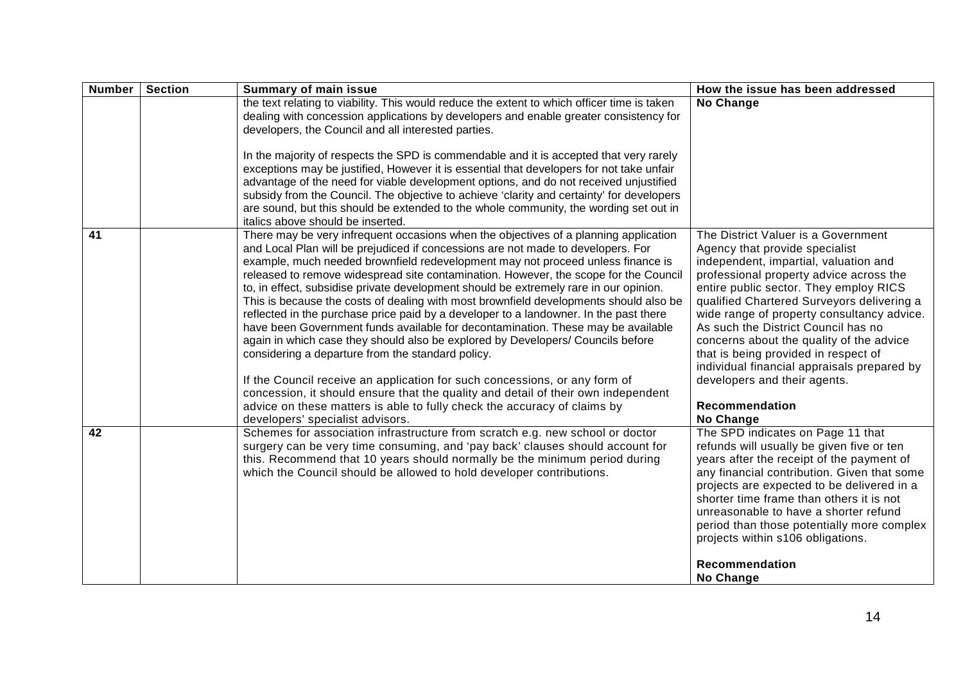| <b>Number</b> | <b>Section</b> | <b>Summary of main issue</b>                                                                                                                                                                                                                                                                                                                                                                                                                                                                                                                                                                                                                                                                                                                                                                                                                                                                                                                                                                                                                                                                                                                  | How the issue has been addressed                                                                                                                                                                                                                                                                                                                                                                                                                                                                                                         |
|---------------|----------------|-----------------------------------------------------------------------------------------------------------------------------------------------------------------------------------------------------------------------------------------------------------------------------------------------------------------------------------------------------------------------------------------------------------------------------------------------------------------------------------------------------------------------------------------------------------------------------------------------------------------------------------------------------------------------------------------------------------------------------------------------------------------------------------------------------------------------------------------------------------------------------------------------------------------------------------------------------------------------------------------------------------------------------------------------------------------------------------------------------------------------------------------------|------------------------------------------------------------------------------------------------------------------------------------------------------------------------------------------------------------------------------------------------------------------------------------------------------------------------------------------------------------------------------------------------------------------------------------------------------------------------------------------------------------------------------------------|
|               |                | the text relating to viability. This would reduce the extent to which officer time is taken<br>dealing with concession applications by developers and enable greater consistency for<br>developers, the Council and all interested parties.                                                                                                                                                                                                                                                                                                                                                                                                                                                                                                                                                                                                                                                                                                                                                                                                                                                                                                   | No Change                                                                                                                                                                                                                                                                                                                                                                                                                                                                                                                                |
|               |                | In the majority of respects the SPD is commendable and it is accepted that very rarely<br>exceptions may be justified, However it is essential that developers for not take unfair<br>advantage of the need for viable development options, and do not received unjustified<br>subsidy from the Council. The objective to achieve 'clarity and certainty' for developers<br>are sound, but this should be extended to the whole community, the wording set out in<br>italics above should be inserted.                                                                                                                                                                                                                                                                                                                                                                                                                                                                                                                                                                                                                                        |                                                                                                                                                                                                                                                                                                                                                                                                                                                                                                                                          |
| 41            |                | There may be very infrequent occasions when the objectives of a planning application<br>and Local Plan will be prejudiced if concessions are not made to developers. For<br>example, much needed brownfield redevelopment may not proceed unless finance is<br>released to remove widespread site contamination. However, the scope for the Council<br>to, in effect, subsidise private development should be extremely rare in our opinion.<br>This is because the costs of dealing with most brownfield developments should also be<br>reflected in the purchase price paid by a developer to a landowner. In the past there<br>have been Government funds available for decontamination. These may be available<br>again in which case they should also be explored by Developers/ Councils before<br>considering a departure from the standard policy.<br>If the Council receive an application for such concessions, or any form of<br>concession, it should ensure that the quality and detail of their own independent<br>advice on these matters is able to fully check the accuracy of claims by<br>developers' specialist advisors. | The District Valuer is a Government<br>Agency that provide specialist<br>independent, impartial, valuation and<br>professional property advice across the<br>entire public sector. They employ RICS<br>qualified Chartered Surveyors delivering a<br>wide range of property consultancy advice.<br>As such the District Council has no<br>concerns about the quality of the advice<br>that is being provided in respect of<br>individual financial appraisals prepared by<br>developers and their agents.<br>Recommendation<br>No Change |
| 42            |                | Schemes for association infrastructure from scratch e.g. new school or doctor<br>surgery can be very time consuming, and 'pay back' clauses should account for<br>this. Recommend that 10 years should normally be the minimum period during<br>which the Council should be allowed to hold developer contributions.                                                                                                                                                                                                                                                                                                                                                                                                                                                                                                                                                                                                                                                                                                                                                                                                                          | The SPD indicates on Page 11 that<br>refunds will usually be given five or ten<br>years after the receipt of the payment of<br>any financial contribution. Given that some<br>projects are expected to be delivered in a<br>shorter time frame than others it is not<br>unreasonable to have a shorter refund<br>period than those potentially more complex<br>projects within s106 obligations.<br>Recommendation<br>No Change                                                                                                          |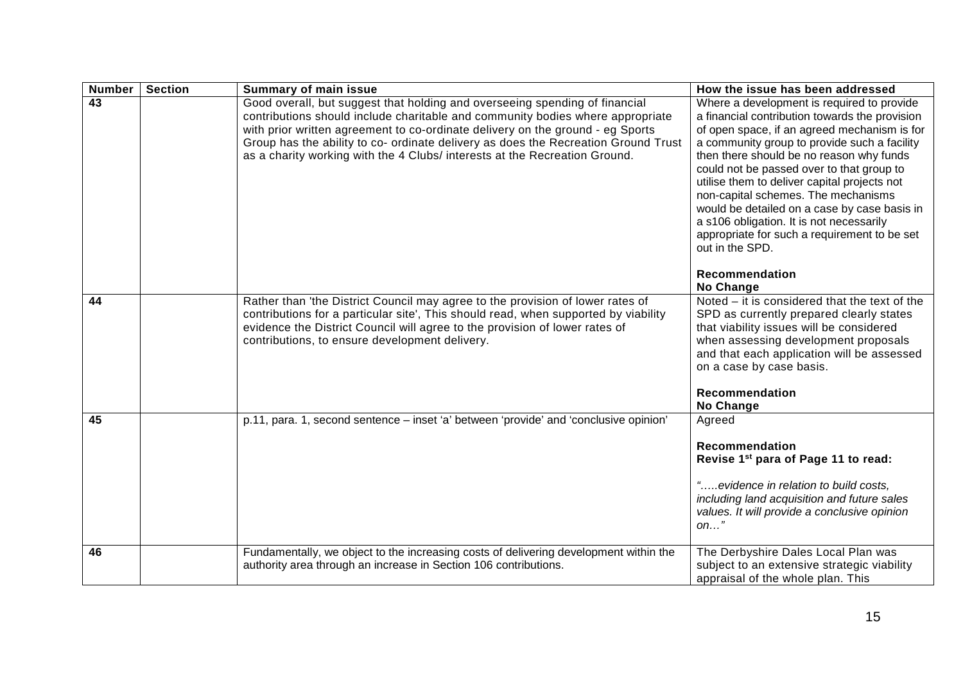| <b>Number</b> | <b>Section</b> | <b>Summary of main issue</b>                                                                                                                                                                                                                                                                                                                                                                                        | How the issue has been addressed                                                                                                                                                                                                                                                                                                                                                                                                                                                                                                                              |
|---------------|----------------|---------------------------------------------------------------------------------------------------------------------------------------------------------------------------------------------------------------------------------------------------------------------------------------------------------------------------------------------------------------------------------------------------------------------|---------------------------------------------------------------------------------------------------------------------------------------------------------------------------------------------------------------------------------------------------------------------------------------------------------------------------------------------------------------------------------------------------------------------------------------------------------------------------------------------------------------------------------------------------------------|
| 43            |                | Good overall, but suggest that holding and overseeing spending of financial<br>contributions should include charitable and community bodies where appropriate<br>with prior written agreement to co-ordinate delivery on the ground - eg Sports<br>Group has the ability to co- ordinate delivery as does the Recreation Ground Trust<br>as a charity working with the 4 Clubs/ interests at the Recreation Ground. | Where a development is required to provide<br>a financial contribution towards the provision<br>of open space, if an agreed mechanism is for<br>a community group to provide such a facility<br>then there should be no reason why funds<br>could not be passed over to that group to<br>utilise them to deliver capital projects not<br>non-capital schemes. The mechanisms<br>would be detailed on a case by case basis in<br>a s106 obligation. It is not necessarily<br>appropriate for such a requirement to be set<br>out in the SPD.<br>Recommendation |
| 44            |                | Rather than 'the District Council may agree to the provision of lower rates of<br>contributions for a particular site', This should read, when supported by viability<br>evidence the District Council will agree to the provision of lower rates of<br>contributions, to ensure development delivery.                                                                                                              | No Change<br>Noted – it is considered that the text of the<br>SPD as currently prepared clearly states<br>that viability issues will be considered<br>when assessing development proposals<br>and that each application will be assessed<br>on a case by case basis.<br><b>Recommendation</b><br>No Change                                                                                                                                                                                                                                                    |
| 45            |                | p.11, para. 1, second sentence - inset 'a' between 'provide' and 'conclusive opinion'                                                                                                                                                                                                                                                                                                                               | Agreed<br>Recommendation<br>Revise 1 <sup>st</sup> para of Page 11 to read:<br>"evidence in relation to build costs,<br>including land acquisition and future sales<br>values. It will provide a conclusive opinion<br>$on$ "                                                                                                                                                                                                                                                                                                                                 |
| 46            |                | Fundamentally, we object to the increasing costs of delivering development within the<br>authority area through an increase in Section 106 contributions.                                                                                                                                                                                                                                                           | The Derbyshire Dales Local Plan was<br>subject to an extensive strategic viability<br>appraisal of the whole plan. This                                                                                                                                                                                                                                                                                                                                                                                                                                       |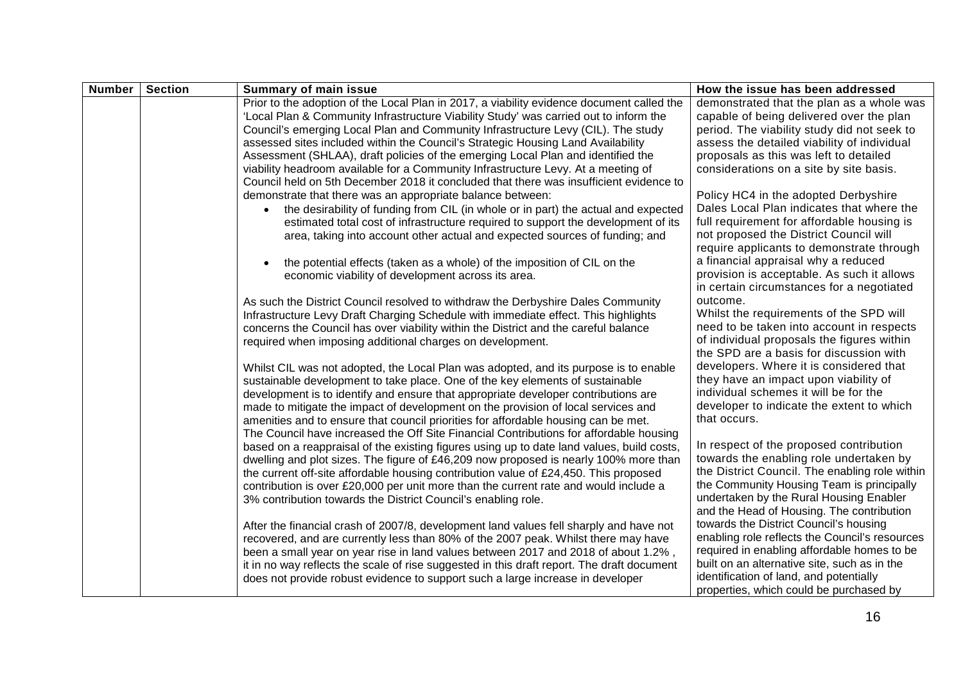| <b>Number</b> | <b>Section</b> | <b>Summary of main issue</b>                                                               | How the issue has been addressed               |
|---------------|----------------|--------------------------------------------------------------------------------------------|------------------------------------------------|
|               |                | Prior to the adoption of the Local Plan in 2017, a viability evidence document called the  | demonstrated that the plan as a whole was      |
|               |                | 'Local Plan & Community Infrastructure Viability Study' was carried out to inform the      | capable of being delivered over the plan       |
|               |                | Council's emerging Local Plan and Community Infrastructure Levy (CIL). The study           | period. The viability study did not seek to    |
|               |                | assessed sites included within the Council's Strategic Housing Land Availability           | assess the detailed viability of individual    |
|               |                | Assessment (SHLAA), draft policies of the emerging Local Plan and identified the           | proposals as this was left to detailed         |
|               |                | viability headroom available for a Community Infrastructure Levy. At a meeting of          | considerations on a site by site basis.        |
|               |                | Council held on 5th December 2018 it concluded that there was insufficient evidence to     |                                                |
|               |                | demonstrate that there was an appropriate balance between:                                 | Policy HC4 in the adopted Derbyshire           |
|               |                | the desirability of funding from CIL (in whole or in part) the actual and expected         | Dales Local Plan indicates that where the      |
|               |                | estimated total cost of infrastructure required to support the development of its          | full requirement for affordable housing is     |
|               |                | area, taking into account other actual and expected sources of funding; and                | not proposed the District Council will         |
|               |                |                                                                                            | require applicants to demonstrate through      |
|               |                | the potential effects (taken as a whole) of the imposition of CIL on the                   | a financial appraisal why a reduced            |
|               |                | economic viability of development across its area.                                         | provision is acceptable. As such it allows     |
|               |                |                                                                                            | in certain circumstances for a negotiated      |
|               |                | As such the District Council resolved to withdraw the Derbyshire Dales Community           | outcome.                                       |
|               |                | Infrastructure Levy Draft Charging Schedule with immediate effect. This highlights         | Whilst the requirements of the SPD will        |
|               |                | concerns the Council has over viability within the District and the careful balance        | need to be taken into account in respects      |
|               |                | required when imposing additional charges on development.                                  | of individual proposals the figures within     |
|               |                |                                                                                            | the SPD are a basis for discussion with        |
|               |                | Whilst CIL was not adopted, the Local Plan was adopted, and its purpose is to enable       | developers. Where it is considered that        |
|               |                | sustainable development to take place. One of the key elements of sustainable              | they have an impact upon viability of          |
|               |                | development is to identify and ensure that appropriate developer contributions are         | individual schemes it will be for the          |
|               |                | made to mitigate the impact of development on the provision of local services and          | developer to indicate the extent to which      |
|               |                | amenities and to ensure that council priorities for affordable housing can be met.         | that occurs.                                   |
|               |                | The Council have increased the Off Site Financial Contributions for affordable housing     |                                                |
|               |                | based on a reappraisal of the existing figures using up to date land values, build costs,  | In respect of the proposed contribution        |
|               |                | dwelling and plot sizes. The figure of £46,209 now proposed is nearly 100% more than       | towards the enabling role undertaken by        |
|               |                | the current off-site affordable housing contribution value of £24,450. This proposed       | the District Council. The enabling role within |
|               |                | contribution is over £20,000 per unit more than the current rate and would include a       | the Community Housing Team is principally      |
|               |                | 3% contribution towards the District Council's enabling role.                              | undertaken by the Rural Housing Enabler        |
|               |                |                                                                                            | and the Head of Housing. The contribution      |
|               |                | After the financial crash of 2007/8, development land values fell sharply and have not     | towards the District Council's housing         |
|               |                | recovered, and are currently less than 80% of the 2007 peak. Whilst there may have         | enabling role reflects the Council's resources |
|               |                | been a small year on year rise in land values between 2017 and 2018 of about 1.2%,         | required in enabling affordable homes to be    |
|               |                | it in no way reflects the scale of rise suggested in this draft report. The draft document | built on an alternative site, such as in the   |
|               |                | does not provide robust evidence to support such a large increase in developer             | identification of land, and potentially        |
|               |                |                                                                                            | properties, which could be purchased by        |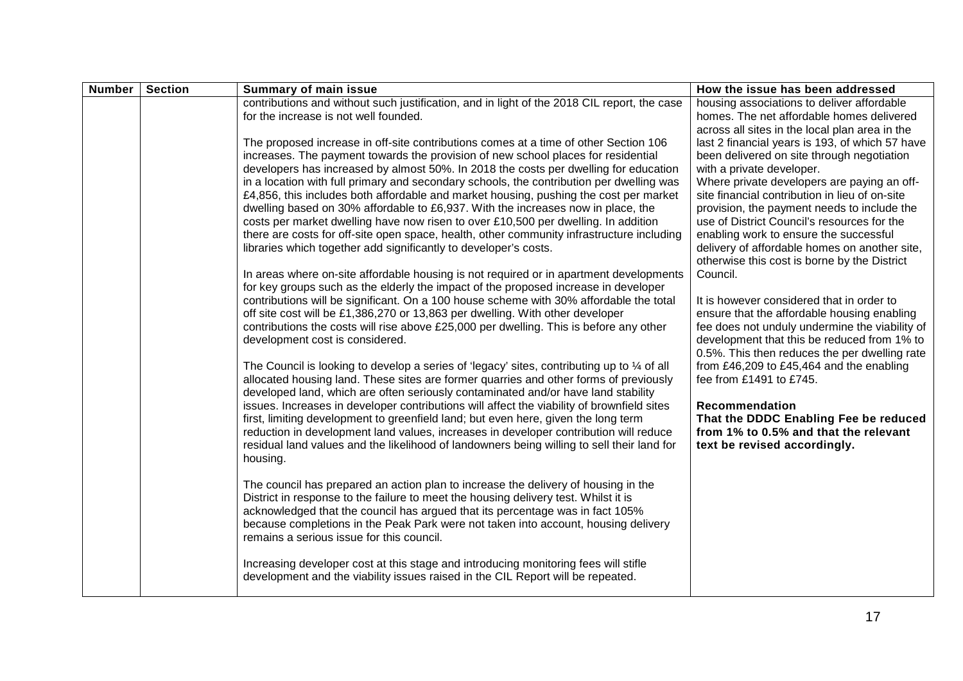| <b>Number</b> | <b>Section</b> | <b>Summary of main issue</b>                                                                                                                                                                                                                                                                                                                                                                                                                                                                                                                                                                                                                                                                                                                                                                                                                                                                                                                                                                                                                                                                                                                                        | How the issue has been addressed                                                                                                                                                                                                                                                                                                                                                                                                                                                                                       |
|---------------|----------------|---------------------------------------------------------------------------------------------------------------------------------------------------------------------------------------------------------------------------------------------------------------------------------------------------------------------------------------------------------------------------------------------------------------------------------------------------------------------------------------------------------------------------------------------------------------------------------------------------------------------------------------------------------------------------------------------------------------------------------------------------------------------------------------------------------------------------------------------------------------------------------------------------------------------------------------------------------------------------------------------------------------------------------------------------------------------------------------------------------------------------------------------------------------------|------------------------------------------------------------------------------------------------------------------------------------------------------------------------------------------------------------------------------------------------------------------------------------------------------------------------------------------------------------------------------------------------------------------------------------------------------------------------------------------------------------------------|
|               |                | contributions and without such justification, and in light of the 2018 CIL report, the case<br>for the increase is not well founded.                                                                                                                                                                                                                                                                                                                                                                                                                                                                                                                                                                                                                                                                                                                                                                                                                                                                                                                                                                                                                                | housing associations to deliver affordable<br>homes. The net affordable homes delivered                                                                                                                                                                                                                                                                                                                                                                                                                                |
|               |                | The proposed increase in off-site contributions comes at a time of other Section 106<br>increases. The payment towards the provision of new school places for residential<br>developers has increased by almost 50%. In 2018 the costs per dwelling for education<br>in a location with full primary and secondary schools, the contribution per dwelling was<br>£4,856, this includes both affordable and market housing, pushing the cost per market<br>dwelling based on 30% affordable to £6,937. With the increases now in place, the<br>costs per market dwelling have now risen to over £10,500 per dwelling. In addition<br>there are costs for off-site open space, health, other community infrastructure including<br>libraries which together add significantly to developer's costs.                                                                                                                                                                                                                                                                                                                                                                   | across all sites in the local plan area in the<br>last 2 financial years is 193, of which 57 have<br>been delivered on site through negotiation<br>with a private developer.<br>Where private developers are paying an off-<br>site financial contribution in lieu of on-site<br>provision, the payment needs to include the<br>use of District Council's resources for the<br>enabling work to ensure the successful<br>delivery of affordable homes on another site,<br>otherwise this cost is borne by the District |
|               |                | In areas where on-site affordable housing is not required or in apartment developments<br>for key groups such as the elderly the impact of the proposed increase in developer<br>contributions will be significant. On a 100 house scheme with 30% affordable the total<br>off site cost will be £1,386,270 or 13,863 per dwelling. With other developer<br>contributions the costs will rise above £25,000 per dwelling. This is before any other<br>development cost is considered.<br>The Council is looking to develop a series of 'legacy' sites, contributing up to $\frac{1}{4}$ of all<br>allocated housing land. These sites are former quarries and other forms of previously<br>developed land, which are often seriously contaminated and/or have land stability<br>issues. Increases in developer contributions will affect the viability of brownfield sites<br>first, limiting development to greenfield land; but even here, given the long term<br>reduction in development land values, increases in developer contribution will reduce<br>residual land values and the likelihood of landowners being willing to sell their land for<br>housing. | Council.<br>It is however considered that in order to<br>ensure that the affordable housing enabling<br>fee does not unduly undermine the viability of<br>development that this be reduced from 1% to<br>0.5%. This then reduces the per dwelling rate<br>from £46,209 to £45,464 and the enabling<br>fee from £1491 to £745.<br>Recommendation<br>That the DDDC Enabling Fee be reduced<br>from 1% to 0.5% and that the relevant<br>text be revised accordingly.                                                      |
|               |                | The council has prepared an action plan to increase the delivery of housing in the<br>District in response to the failure to meet the housing delivery test. Whilst it is<br>acknowledged that the council has argued that its percentage was in fact 105%<br>because completions in the Peak Park were not taken into account, housing delivery<br>remains a serious issue for this council.<br>Increasing developer cost at this stage and introducing monitoring fees will stifle                                                                                                                                                                                                                                                                                                                                                                                                                                                                                                                                                                                                                                                                                |                                                                                                                                                                                                                                                                                                                                                                                                                                                                                                                        |
|               |                | development and the viability issues raised in the CIL Report will be repeated.                                                                                                                                                                                                                                                                                                                                                                                                                                                                                                                                                                                                                                                                                                                                                                                                                                                                                                                                                                                                                                                                                     |                                                                                                                                                                                                                                                                                                                                                                                                                                                                                                                        |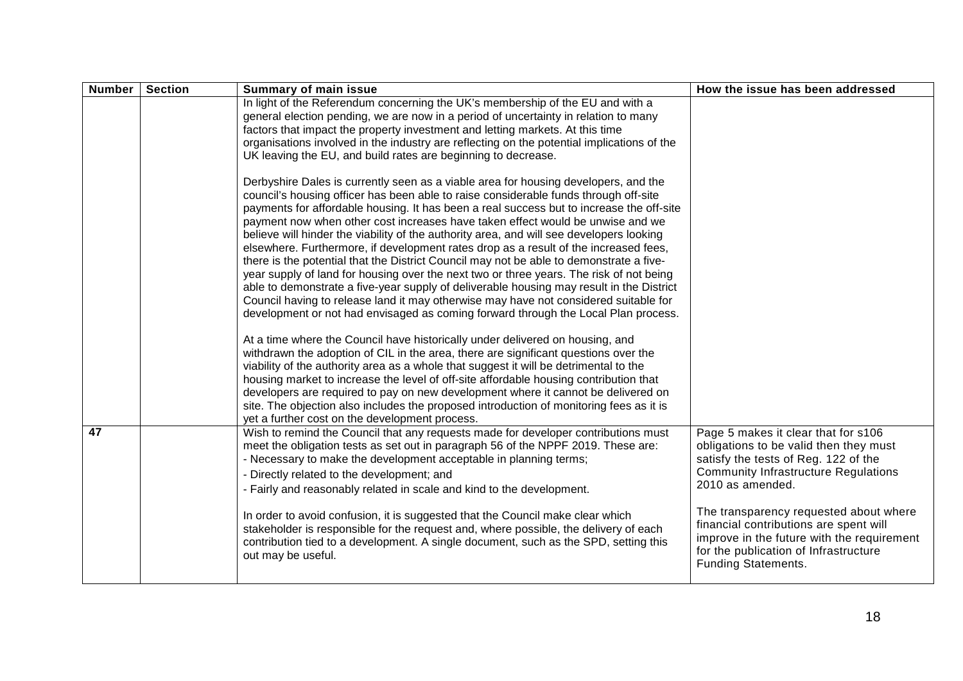| <b>Number</b> | <b>Section</b> | <b>Summary of main issue</b>                                                                                                                                                                                                                                                                                                                                                                                                                                                                                                                                                                                                                                                                                                                                                                                                                                                                                                                                                                                  | How the issue has been addressed                                                                                                                                                                                                   |
|---------------|----------------|---------------------------------------------------------------------------------------------------------------------------------------------------------------------------------------------------------------------------------------------------------------------------------------------------------------------------------------------------------------------------------------------------------------------------------------------------------------------------------------------------------------------------------------------------------------------------------------------------------------------------------------------------------------------------------------------------------------------------------------------------------------------------------------------------------------------------------------------------------------------------------------------------------------------------------------------------------------------------------------------------------------|------------------------------------------------------------------------------------------------------------------------------------------------------------------------------------------------------------------------------------|
|               |                | In light of the Referendum concerning the UK's membership of the EU and with a<br>general election pending, we are now in a period of uncertainty in relation to many<br>factors that impact the property investment and letting markets. At this time<br>organisations involved in the industry are reflecting on the potential implications of the<br>UK leaving the EU, and build rates are beginning to decrease.                                                                                                                                                                                                                                                                                                                                                                                                                                                                                                                                                                                         |                                                                                                                                                                                                                                    |
|               |                | Derbyshire Dales is currently seen as a viable area for housing developers, and the<br>council's housing officer has been able to raise considerable funds through off-site<br>payments for affordable housing. It has been a real success but to increase the off-site<br>payment now when other cost increases have taken effect would be unwise and we<br>believe will hinder the viability of the authority area, and will see developers looking<br>elsewhere. Furthermore, if development rates drop as a result of the increased fees,<br>there is the potential that the District Council may not be able to demonstrate a five-<br>year supply of land for housing over the next two or three years. The risk of not being<br>able to demonstrate a five-year supply of deliverable housing may result in the District<br>Council having to release land it may otherwise may have not considered suitable for<br>development or not had envisaged as coming forward through the Local Plan process. |                                                                                                                                                                                                                                    |
|               |                | At a time where the Council have historically under delivered on housing, and<br>withdrawn the adoption of CIL in the area, there are significant questions over the<br>viability of the authority area as a whole that suggest it will be detrimental to the<br>housing market to increase the level of off-site affordable housing contribution that<br>developers are required to pay on new development where it cannot be delivered on<br>site. The objection also includes the proposed introduction of monitoring fees as it is<br>yet a further cost on the development process.                                                                                                                                                                                                                                                                                                                                                                                                                      |                                                                                                                                                                                                                                    |
| 47            |                | Wish to remind the Council that any requests made for developer contributions must<br>meet the obligation tests as set out in paragraph 56 of the NPPF 2019. These are:<br>- Necessary to make the development acceptable in planning terms;<br>- Directly related to the development; and<br>- Fairly and reasonably related in scale and kind to the development.                                                                                                                                                                                                                                                                                                                                                                                                                                                                                                                                                                                                                                           | Page 5 makes it clear that for s106<br>obligations to be valid then they must<br>satisfy the tests of Reg. 122 of the<br><b>Community Infrastructure Regulations</b><br>2010 as amended.<br>The transparency requested about where |
|               |                | In order to avoid confusion, it is suggested that the Council make clear which<br>stakeholder is responsible for the request and, where possible, the delivery of each<br>contribution tied to a development. A single document, such as the SPD, setting this<br>out may be useful.                                                                                                                                                                                                                                                                                                                                                                                                                                                                                                                                                                                                                                                                                                                          | financial contributions are spent will<br>improve in the future with the requirement<br>for the publication of Infrastructure<br><b>Funding Statements.</b>                                                                        |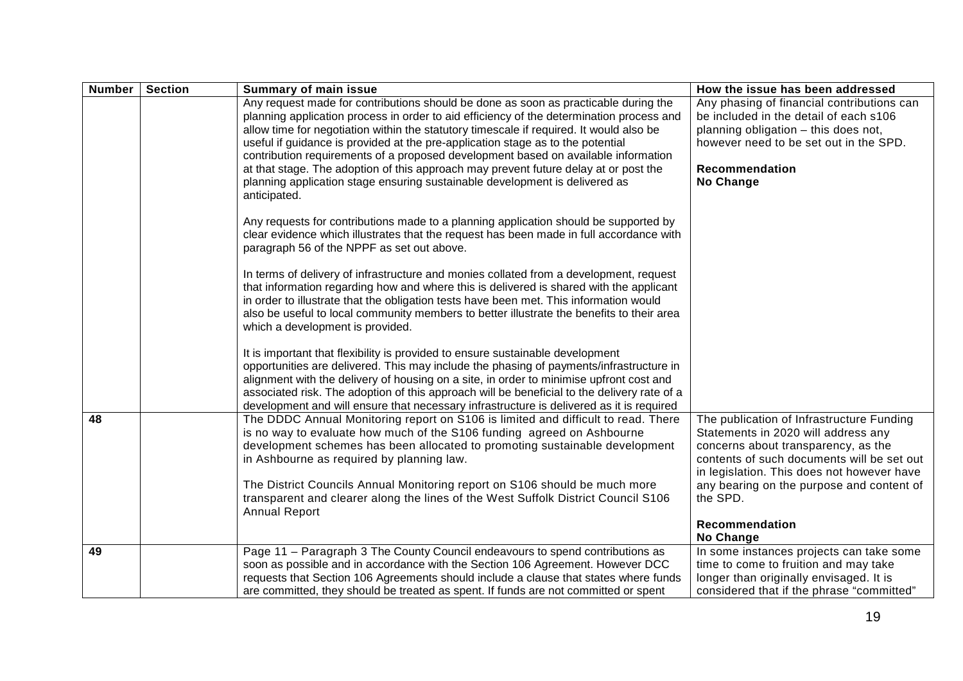| <b>Number</b> | <b>Section</b> | <b>Summary of main issue</b>                                                                                                                                                                                                                                                                                                                                                                                                                                                                                                                                                                                                               | How the issue has been addressed                                                                                                                                                                                                                                                               |
|---------------|----------------|--------------------------------------------------------------------------------------------------------------------------------------------------------------------------------------------------------------------------------------------------------------------------------------------------------------------------------------------------------------------------------------------------------------------------------------------------------------------------------------------------------------------------------------------------------------------------------------------------------------------------------------------|------------------------------------------------------------------------------------------------------------------------------------------------------------------------------------------------------------------------------------------------------------------------------------------------|
|               |                | Any request made for contributions should be done as soon as practicable during the<br>planning application process in order to aid efficiency of the determination process and<br>allow time for negotiation within the statutory timescale if required. It would also be<br>useful if guidance is provided at the pre-application stage as to the potential<br>contribution requirements of a proposed development based on available information<br>at that stage. The adoption of this approach may prevent future delay at or post the<br>planning application stage ensuring sustainable development is delivered as<br>anticipated. | Any phasing of financial contributions can<br>be included in the detail of each s106<br>planning obligation - this does not,<br>however need to be set out in the SPD.<br>Recommendation<br>No Change                                                                                          |
|               |                | Any requests for contributions made to a planning application should be supported by<br>clear evidence which illustrates that the request has been made in full accordance with<br>paragraph 56 of the NPPF as set out above.                                                                                                                                                                                                                                                                                                                                                                                                              |                                                                                                                                                                                                                                                                                                |
|               |                | In terms of delivery of infrastructure and monies collated from a development, request<br>that information regarding how and where this is delivered is shared with the applicant<br>in order to illustrate that the obligation tests have been met. This information would<br>also be useful to local community members to better illustrate the benefits to their area<br>which a development is provided.                                                                                                                                                                                                                               |                                                                                                                                                                                                                                                                                                |
|               |                | It is important that flexibility is provided to ensure sustainable development<br>opportunities are delivered. This may include the phasing of payments/infrastructure in<br>alignment with the delivery of housing on a site, in order to minimise upfront cost and<br>associated risk. The adoption of this approach will be beneficial to the delivery rate of a<br>development and will ensure that necessary infrastructure is delivered as it is required                                                                                                                                                                            |                                                                                                                                                                                                                                                                                                |
| 48            |                | The DDDC Annual Monitoring report on S106 is limited and difficult to read. There<br>is no way to evaluate how much of the S106 funding agreed on Ashbourne<br>development schemes has been allocated to promoting sustainable development<br>in Ashbourne as required by planning law.<br>The District Councils Annual Monitoring report on S106 should be much more<br>transparent and clearer along the lines of the West Suffolk District Council S106<br><b>Annual Report</b>                                                                                                                                                         | The publication of Infrastructure Funding<br>Statements in 2020 will address any<br>concerns about transparency, as the<br>contents of such documents will be set out<br>in legislation. This does not however have<br>any bearing on the purpose and content of<br>the SPD.<br>Recommendation |
|               |                |                                                                                                                                                                                                                                                                                                                                                                                                                                                                                                                                                                                                                                            | No Change                                                                                                                                                                                                                                                                                      |
| 49            |                | Page 11 - Paragraph 3 The County Council endeavours to spend contributions as<br>soon as possible and in accordance with the Section 106 Agreement. However DCC<br>requests that Section 106 Agreements should include a clause that states where funds<br>are committed, they should be treated as spent. If funds are not committed or spent                                                                                                                                                                                                                                                                                             | In some instances projects can take some<br>time to come to fruition and may take<br>longer than originally envisaged. It is<br>considered that if the phrase "committed"                                                                                                                      |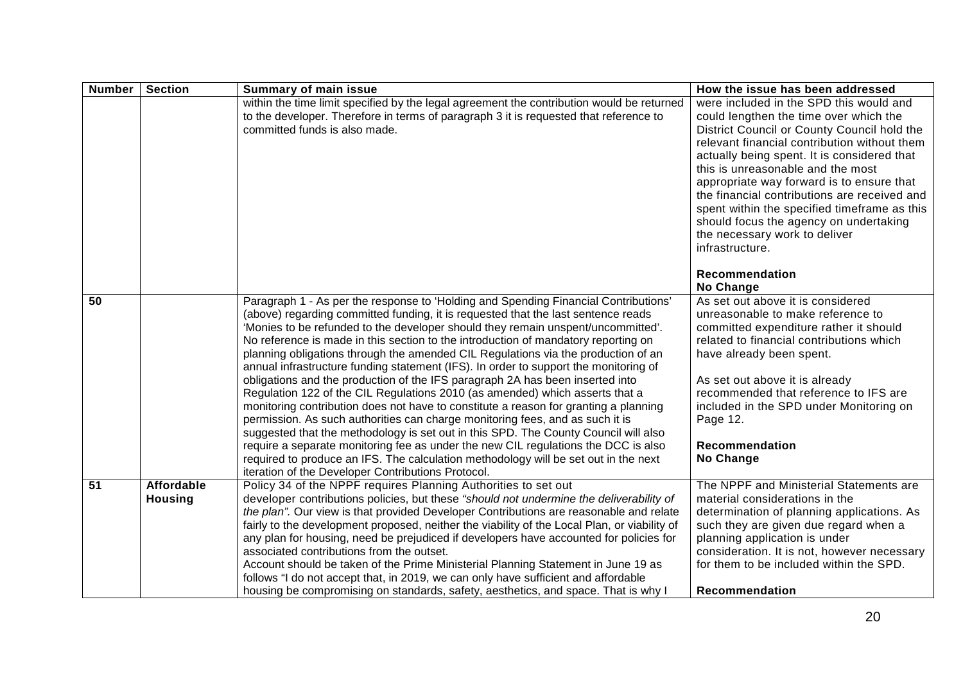| <b>Number</b>   | <b>Section</b>                      | <b>Summary of main issue</b>                                                                                                                                                                                                                                                                                                                                                                                                                                                                                                                                                                                                                                                                                                                                                                                                                                                                                                                                                                                                                                                                                                                                                                        | How the issue has been addressed                                                                                                                                                                                                                                                                                                                                                                                                                                                                                |
|-----------------|-------------------------------------|-----------------------------------------------------------------------------------------------------------------------------------------------------------------------------------------------------------------------------------------------------------------------------------------------------------------------------------------------------------------------------------------------------------------------------------------------------------------------------------------------------------------------------------------------------------------------------------------------------------------------------------------------------------------------------------------------------------------------------------------------------------------------------------------------------------------------------------------------------------------------------------------------------------------------------------------------------------------------------------------------------------------------------------------------------------------------------------------------------------------------------------------------------------------------------------------------------|-----------------------------------------------------------------------------------------------------------------------------------------------------------------------------------------------------------------------------------------------------------------------------------------------------------------------------------------------------------------------------------------------------------------------------------------------------------------------------------------------------------------|
|                 |                                     | within the time limit specified by the legal agreement the contribution would be returned<br>to the developer. Therefore in terms of paragraph 3 it is requested that reference to<br>committed funds is also made.                                                                                                                                                                                                                                                                                                                                                                                                                                                                                                                                                                                                                                                                                                                                                                                                                                                                                                                                                                                 | were included in the SPD this would and<br>could lengthen the time over which the<br>District Council or County Council hold the<br>relevant financial contribution without them<br>actually being spent. It is considered that<br>this is unreasonable and the most<br>appropriate way forward is to ensure that<br>the financial contributions are received and<br>spent within the specified timeframe as this<br>should focus the agency on undertaking<br>the necessary work to deliver<br>infrastructure. |
|                 |                                     |                                                                                                                                                                                                                                                                                                                                                                                                                                                                                                                                                                                                                                                                                                                                                                                                                                                                                                                                                                                                                                                                                                                                                                                                     | <b>Recommendation</b><br><b>No Change</b>                                                                                                                                                                                                                                                                                                                                                                                                                                                                       |
| 50              |                                     | Paragraph 1 - As per the response to 'Holding and Spending Financial Contributions'<br>(above) regarding committed funding, it is requested that the last sentence reads<br>'Monies to be refunded to the developer should they remain unspent/uncommitted'.<br>No reference is made in this section to the introduction of mandatory reporting on<br>planning obligations through the amended CIL Regulations via the production of an<br>annual infrastructure funding statement (IFS). In order to support the monitoring of<br>obligations and the production of the IFS paragraph 2A has been inserted into<br>Regulation 122 of the CIL Regulations 2010 (as amended) which asserts that a<br>monitoring contribution does not have to constitute a reason for granting a planning<br>permission. As such authorities can charge monitoring fees, and as such it is<br>suggested that the methodology is set out in this SPD. The County Council will also<br>require a separate monitoring fee as under the new CIL regulations the DCC is also<br>required to produce an IFS. The calculation methodology will be set out in the next<br>iteration of the Developer Contributions Protocol. | As set out above it is considered<br>unreasonable to make reference to<br>committed expenditure rather it should<br>related to financial contributions which<br>have already been spent.<br>As set out above it is already<br>recommended that reference to IFS are<br>included in the SPD under Monitoring on<br>Page 12.<br><b>Recommendation</b><br>No Change                                                                                                                                                |
| $\overline{51}$ | <b>Affordable</b><br><b>Housing</b> | Policy 34 of the NPPF requires Planning Authorities to set out<br>developer contributions policies, but these "should not undermine the deliverability of<br>the plan". Our view is that provided Developer Contributions are reasonable and relate<br>fairly to the development proposed, neither the viability of the Local Plan, or viability of<br>any plan for housing, need be prejudiced if developers have accounted for policies for<br>associated contributions from the outset.<br>Account should be taken of the Prime Ministerial Planning Statement in June 19 as<br>follows "I do not accept that, in 2019, we can only have sufficient and affordable<br>housing be compromising on standards, safety, aesthetics, and space. That is why I                                                                                                                                                                                                                                                                                                                                                                                                                                         | The NPPF and Ministerial Statements are<br>material considerations in the<br>determination of planning applications. As<br>such they are given due regard when a<br>planning application is under<br>consideration. It is not, however necessary<br>for them to be included within the SPD.<br>Recommendation                                                                                                                                                                                                   |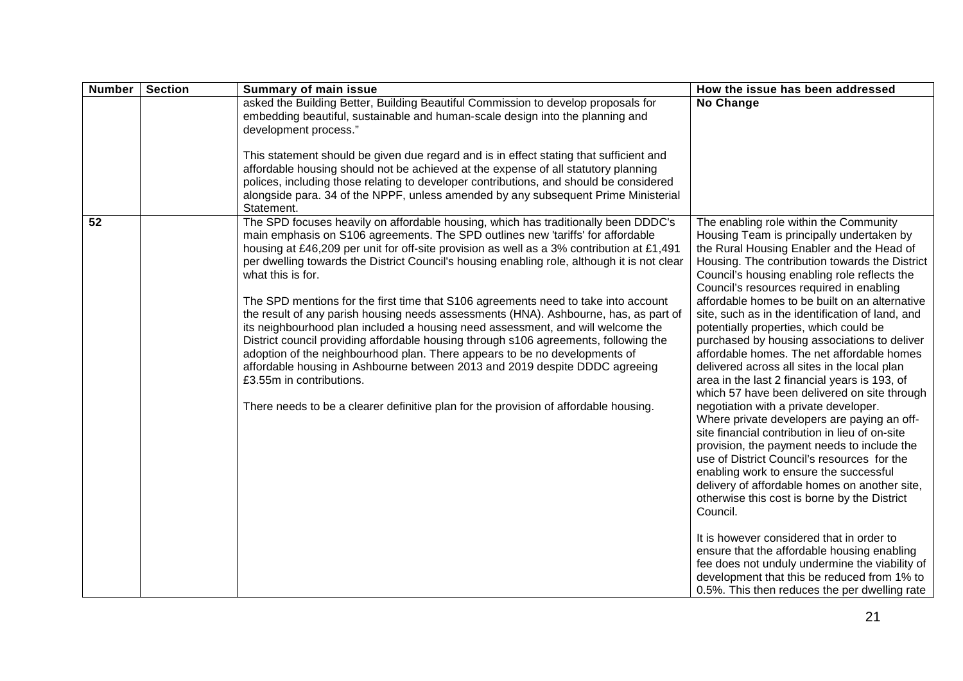| <b>Number</b> | <b>Section</b> | <b>Summary of main issue</b>                                                                                                                                                                                                                                                                                                                                                                                                                                                                                                                                                                                                                                                                                                                                                                                                                                                                                                                                                                                                     | How the issue has been addressed                                                                                                                                                                                                                                                                                                                                                                                                                                                                                                                                                                                                                                                                                                                                                                                                                                                                                                                                                                                                                                                                                                                                                                                                                                                                                           |
|---------------|----------------|----------------------------------------------------------------------------------------------------------------------------------------------------------------------------------------------------------------------------------------------------------------------------------------------------------------------------------------------------------------------------------------------------------------------------------------------------------------------------------------------------------------------------------------------------------------------------------------------------------------------------------------------------------------------------------------------------------------------------------------------------------------------------------------------------------------------------------------------------------------------------------------------------------------------------------------------------------------------------------------------------------------------------------|----------------------------------------------------------------------------------------------------------------------------------------------------------------------------------------------------------------------------------------------------------------------------------------------------------------------------------------------------------------------------------------------------------------------------------------------------------------------------------------------------------------------------------------------------------------------------------------------------------------------------------------------------------------------------------------------------------------------------------------------------------------------------------------------------------------------------------------------------------------------------------------------------------------------------------------------------------------------------------------------------------------------------------------------------------------------------------------------------------------------------------------------------------------------------------------------------------------------------------------------------------------------------------------------------------------------------|
|               |                | asked the Building Better, Building Beautiful Commission to develop proposals for<br>embedding beautiful, sustainable and human-scale design into the planning and<br>development process."<br>This statement should be given due regard and is in effect stating that sufficient and<br>affordable housing should not be achieved at the expense of all statutory planning<br>polices, including those relating to developer contributions, and should be considered<br>alongside para. 34 of the NPPF, unless amended by any subsequent Prime Ministerial<br>Statement.                                                                                                                                                                                                                                                                                                                                                                                                                                                        | No Change                                                                                                                                                                                                                                                                                                                                                                                                                                                                                                                                                                                                                                                                                                                                                                                                                                                                                                                                                                                                                                                                                                                                                                                                                                                                                                                  |
| 52            |                | The SPD focuses heavily on affordable housing, which has traditionally been DDDC's<br>main emphasis on S106 agreements. The SPD outlines new 'tariffs' for affordable<br>housing at £46,209 per unit for off-site provision as well as a 3% contribution at £1,491<br>per dwelling towards the District Council's housing enabling role, although it is not clear<br>what this is for.<br>The SPD mentions for the first time that S106 agreements need to take into account<br>the result of any parish housing needs assessments (HNA). Ashbourne, has, as part of<br>its neighbourhood plan included a housing need assessment, and will welcome the<br>District council providing affordable housing through s106 agreements, following the<br>adoption of the neighbourhood plan. There appears to be no developments of<br>affordable housing in Ashbourne between 2013 and 2019 despite DDDC agreeing<br>£3.55m in contributions.<br>There needs to be a clearer definitive plan for the provision of affordable housing. | The enabling role within the Community<br>Housing Team is principally undertaken by<br>the Rural Housing Enabler and the Head of<br>Housing. The contribution towards the District<br>Council's housing enabling role reflects the<br>Council's resources required in enabling<br>affordable homes to be built on an alternative<br>site, such as in the identification of land, and<br>potentially properties, which could be<br>purchased by housing associations to deliver<br>affordable homes. The net affordable homes<br>delivered across all sites in the local plan<br>area in the last 2 financial years is 193, of<br>which 57 have been delivered on site through<br>negotiation with a private developer.<br>Where private developers are paying an off-<br>site financial contribution in lieu of on-site<br>provision, the payment needs to include the<br>use of District Council's resources for the<br>enabling work to ensure the successful<br>delivery of affordable homes on another site,<br>otherwise this cost is borne by the District<br>Council.<br>It is however considered that in order to<br>ensure that the affordable housing enabling<br>fee does not unduly undermine the viability of<br>development that this be reduced from 1% to<br>0.5%. This then reduces the per dwelling rate |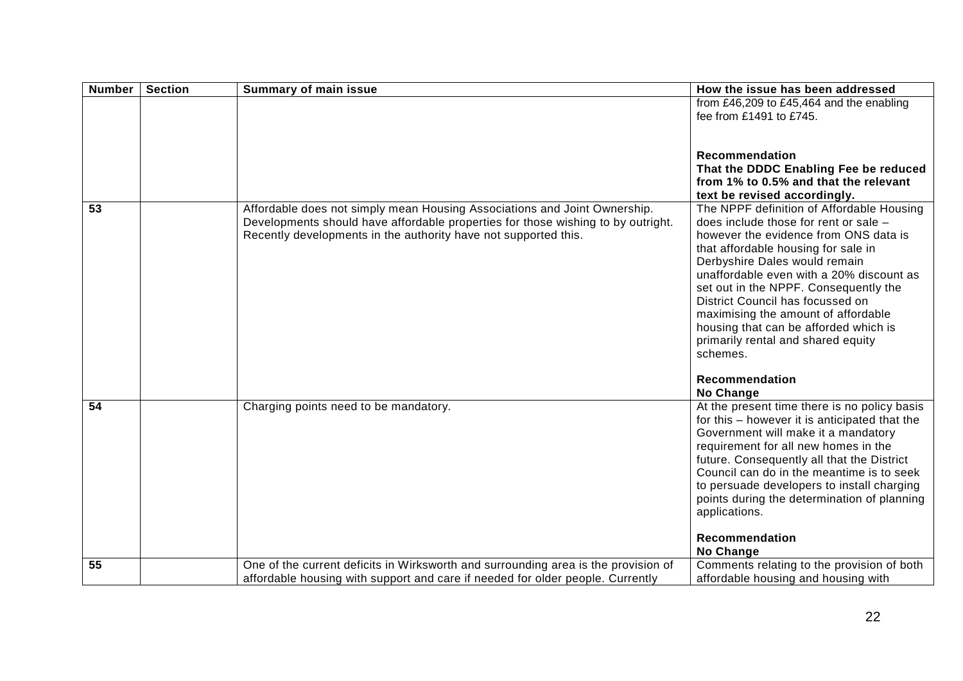| <b>Number</b>   | <b>Section</b> | <b>Summary of main issue</b>                                                                                                                                                                                                     | How the issue has been addressed                                                                                                                                                                                                                                                                                                                                                                                                                                                                     |
|-----------------|----------------|----------------------------------------------------------------------------------------------------------------------------------------------------------------------------------------------------------------------------------|------------------------------------------------------------------------------------------------------------------------------------------------------------------------------------------------------------------------------------------------------------------------------------------------------------------------------------------------------------------------------------------------------------------------------------------------------------------------------------------------------|
|                 |                |                                                                                                                                                                                                                                  | from £46,209 to £45,464 and the enabling<br>fee from £1491 to £745.                                                                                                                                                                                                                                                                                                                                                                                                                                  |
|                 |                |                                                                                                                                                                                                                                  | <b>Recommendation</b><br>That the DDDC Enabling Fee be reduced<br>from 1% to 0.5% and that the relevant<br>text be revised accordingly.                                                                                                                                                                                                                                                                                                                                                              |
| $\overline{53}$ |                | Affordable does not simply mean Housing Associations and Joint Ownership.<br>Developments should have affordable properties for those wishing to by outright.<br>Recently developments in the authority have not supported this. | The NPPF definition of Affordable Housing<br>does include those for rent or sale -<br>however the evidence from ONS data is<br>that affordable housing for sale in<br>Derbyshire Dales would remain<br>unaffordable even with a 20% discount as<br>set out in the NPPF. Consequently the<br>District Council has focussed on<br>maximising the amount of affordable<br>housing that can be afforded which is<br>primarily rental and shared equity<br>schemes.<br><b>Recommendation</b><br>No Change |
| 54              |                | Charging points need to be mandatory.                                                                                                                                                                                            | At the present time there is no policy basis<br>for this - however it is anticipated that the<br>Government will make it a mandatory<br>requirement for all new homes in the<br>future. Consequently all that the District<br>Council can do in the meantime is to seek<br>to persuade developers to install charging<br>points during the determination of planning<br>applications.<br>Recommendation                                                                                              |
| 55              |                | One of the current deficits in Wirksworth and surrounding area is the provision of                                                                                                                                               | <b>No Change</b><br>Comments relating to the provision of both                                                                                                                                                                                                                                                                                                                                                                                                                                       |
|                 |                | affordable housing with support and care if needed for older people. Currently                                                                                                                                                   | affordable housing and housing with                                                                                                                                                                                                                                                                                                                                                                                                                                                                  |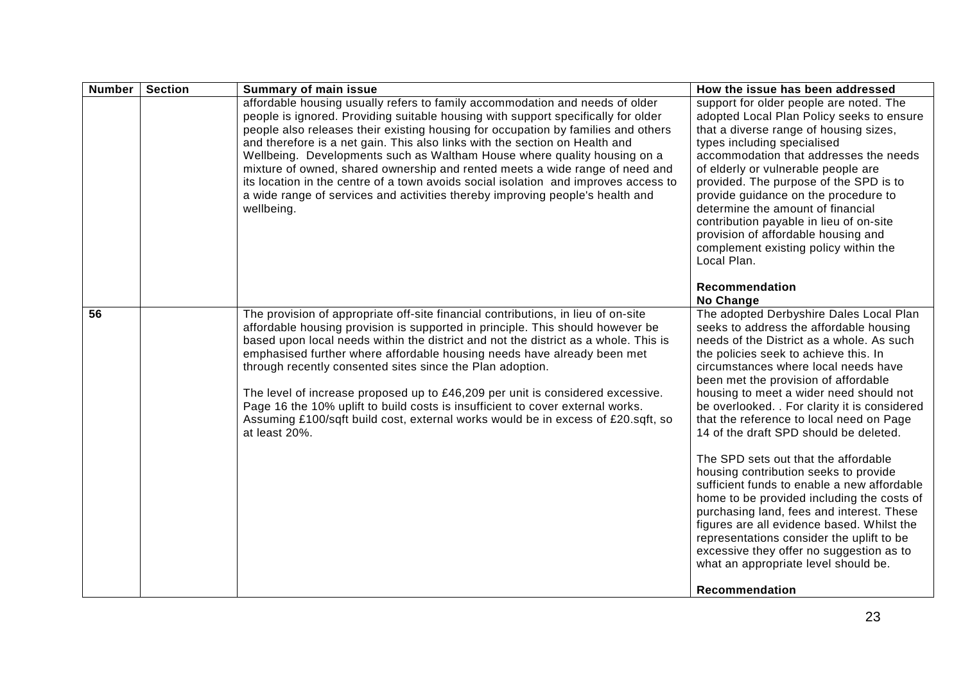| <b>Number</b>   | <b>Section</b> | <b>Summary of main issue</b>                                                                                                                                                                                                                                                                                                                                                                                                                                                                                                                                                                                                                                                            | How the issue has been addressed                                                                                                                                                                                                                                                                                                                                                                                                                                                                                                                                                                                                                                                                                                                                                                                                                                                           |
|-----------------|----------------|-----------------------------------------------------------------------------------------------------------------------------------------------------------------------------------------------------------------------------------------------------------------------------------------------------------------------------------------------------------------------------------------------------------------------------------------------------------------------------------------------------------------------------------------------------------------------------------------------------------------------------------------------------------------------------------------|--------------------------------------------------------------------------------------------------------------------------------------------------------------------------------------------------------------------------------------------------------------------------------------------------------------------------------------------------------------------------------------------------------------------------------------------------------------------------------------------------------------------------------------------------------------------------------------------------------------------------------------------------------------------------------------------------------------------------------------------------------------------------------------------------------------------------------------------------------------------------------------------|
|                 |                | affordable housing usually refers to family accommodation and needs of older<br>people is ignored. Providing suitable housing with support specifically for older<br>people also releases their existing housing for occupation by families and others<br>and therefore is a net gain. This also links with the section on Health and<br>Wellbeing. Developments such as Waltham House where quality housing on a<br>mixture of owned, shared ownership and rented meets a wide range of need and<br>its location in the centre of a town avoids social isolation and improves access to<br>a wide range of services and activities thereby improving people's health and<br>wellbeing. | support for older people are noted. The<br>adopted Local Plan Policy seeks to ensure<br>that a diverse range of housing sizes,<br>types including specialised<br>accommodation that addresses the needs<br>of elderly or vulnerable people are<br>provided. The purpose of the SPD is to<br>provide guidance on the procedure to<br>determine the amount of financial<br>contribution payable in lieu of on-site<br>provision of affordable housing and<br>complement existing policy within the<br>Local Plan.<br>Recommendation                                                                                                                                                                                                                                                                                                                                                          |
| $\overline{56}$ |                | The provision of appropriate off-site financial contributions, in lieu of on-site<br>affordable housing provision is supported in principle. This should however be<br>based upon local needs within the district and not the district as a whole. This is<br>emphasised further where affordable housing needs have already been met<br>through recently consented sites since the Plan adoption.<br>The level of increase proposed up to £46,209 per unit is considered excessive.<br>Page 16 the 10% uplift to build costs is insufficient to cover external works.<br>Assuming £100/sqft build cost, external works would be in excess of £20.sqft, so<br>at least 20%.             | <b>No Change</b><br>The adopted Derbyshire Dales Local Plan<br>seeks to address the affordable housing<br>needs of the District as a whole. As such<br>the policies seek to achieve this. In<br>circumstances where local needs have<br>been met the provision of affordable<br>housing to meet a wider need should not<br>be overlooked. . For clarity it is considered<br>that the reference to local need on Page<br>14 of the draft SPD should be deleted.<br>The SPD sets out that the affordable<br>housing contribution seeks to provide<br>sufficient funds to enable a new affordable<br>home to be provided including the costs of<br>purchasing land, fees and interest. These<br>figures are all evidence based. Whilst the<br>representations consider the uplift to be<br>excessive they offer no suggestion as to<br>what an appropriate level should be.<br>Recommendation |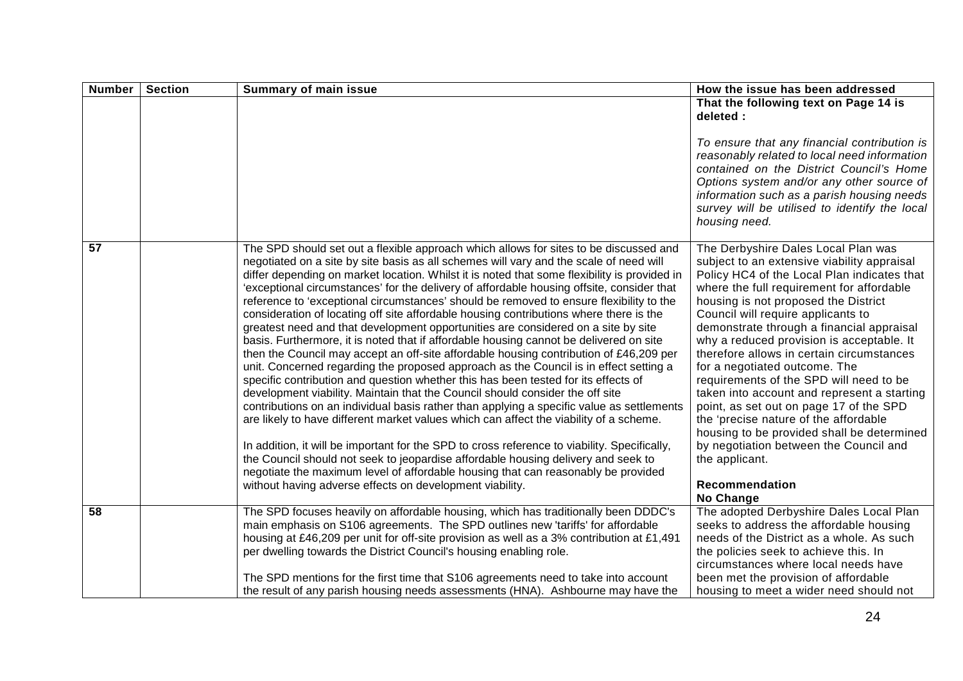| <b>Number</b> | <b>Section</b> | <b>Summary of main issue</b>                                                                                                                                                                                                                                                                                                                                                                                                                                                                                                                                                                                                                                                                                                                                                                                                                                                                                                                                                                                                                                                                                                                                                                                                                                                                                                                                                                                                                                                                                                                                                | How the issue has been addressed                                                                                                                                                                                                                                                                                                                                                                                                                                                                                                                                                                                                                                                                                             |
|---------------|----------------|-----------------------------------------------------------------------------------------------------------------------------------------------------------------------------------------------------------------------------------------------------------------------------------------------------------------------------------------------------------------------------------------------------------------------------------------------------------------------------------------------------------------------------------------------------------------------------------------------------------------------------------------------------------------------------------------------------------------------------------------------------------------------------------------------------------------------------------------------------------------------------------------------------------------------------------------------------------------------------------------------------------------------------------------------------------------------------------------------------------------------------------------------------------------------------------------------------------------------------------------------------------------------------------------------------------------------------------------------------------------------------------------------------------------------------------------------------------------------------------------------------------------------------------------------------------------------------|------------------------------------------------------------------------------------------------------------------------------------------------------------------------------------------------------------------------------------------------------------------------------------------------------------------------------------------------------------------------------------------------------------------------------------------------------------------------------------------------------------------------------------------------------------------------------------------------------------------------------------------------------------------------------------------------------------------------------|
|               |                |                                                                                                                                                                                                                                                                                                                                                                                                                                                                                                                                                                                                                                                                                                                                                                                                                                                                                                                                                                                                                                                                                                                                                                                                                                                                                                                                                                                                                                                                                                                                                                             | That the following text on Page 14 is<br>deleted :                                                                                                                                                                                                                                                                                                                                                                                                                                                                                                                                                                                                                                                                           |
|               |                |                                                                                                                                                                                                                                                                                                                                                                                                                                                                                                                                                                                                                                                                                                                                                                                                                                                                                                                                                                                                                                                                                                                                                                                                                                                                                                                                                                                                                                                                                                                                                                             | To ensure that any financial contribution is<br>reasonably related to local need information<br>contained on the District Council's Home<br>Options system and/or any other source of<br>information such as a parish housing needs<br>survey will be utilised to identify the local<br>housing need.                                                                                                                                                                                                                                                                                                                                                                                                                        |
| 57            |                | The SPD should set out a flexible approach which allows for sites to be discussed and<br>negotiated on a site by site basis as all schemes will vary and the scale of need will<br>differ depending on market location. Whilst it is noted that some flexibility is provided in<br>'exceptional circumstances' for the delivery of affordable housing offsite, consider that<br>reference to 'exceptional circumstances' should be removed to ensure flexibility to the<br>consideration of locating off site affordable housing contributions where there is the<br>greatest need and that development opportunities are considered on a site by site<br>basis. Furthermore, it is noted that if affordable housing cannot be delivered on site<br>then the Council may accept an off-site affordable housing contribution of £46,209 per<br>unit. Concerned regarding the proposed approach as the Council is in effect setting a<br>specific contribution and question whether this has been tested for its effects of<br>development viability. Maintain that the Council should consider the off site<br>contributions on an individual basis rather than applying a specific value as settlements<br>are likely to have different market values which can affect the viability of a scheme.<br>In addition, it will be important for the SPD to cross reference to viability. Specifically,<br>the Council should not seek to jeopardise affordable housing delivery and seek to<br>negotiate the maximum level of affordable housing that can reasonably be provided | The Derbyshire Dales Local Plan was<br>subject to an extensive viability appraisal<br>Policy HC4 of the Local Plan indicates that<br>where the full requirement for affordable<br>housing is not proposed the District<br>Council will require applicants to<br>demonstrate through a financial appraisal<br>why a reduced provision is acceptable. It<br>therefore allows in certain circumstances<br>for a negotiated outcome. The<br>requirements of the SPD will need to be<br>taken into account and represent a starting<br>point, as set out on page 17 of the SPD<br>the 'precise nature of the affordable<br>housing to be provided shall be determined<br>by negotiation between the Council and<br>the applicant. |
|               |                | without having adverse effects on development viability.                                                                                                                                                                                                                                                                                                                                                                                                                                                                                                                                                                                                                                                                                                                                                                                                                                                                                                                                                                                                                                                                                                                                                                                                                                                                                                                                                                                                                                                                                                                    | Recommendation<br>No Change                                                                                                                                                                                                                                                                                                                                                                                                                                                                                                                                                                                                                                                                                                  |
| 58            |                | The SPD focuses heavily on affordable housing, which has traditionally been DDDC's<br>main emphasis on S106 agreements. The SPD outlines new 'tariffs' for affordable<br>housing at £46,209 per unit for off-site provision as well as a 3% contribution at £1,491<br>per dwelling towards the District Council's housing enabling role.                                                                                                                                                                                                                                                                                                                                                                                                                                                                                                                                                                                                                                                                                                                                                                                                                                                                                                                                                                                                                                                                                                                                                                                                                                    | The adopted Derbyshire Dales Local Plan<br>seeks to address the affordable housing<br>needs of the District as a whole. As such<br>the policies seek to achieve this. In<br>circumstances where local needs have                                                                                                                                                                                                                                                                                                                                                                                                                                                                                                             |
|               |                | The SPD mentions for the first time that S106 agreements need to take into account<br>the result of any parish housing needs assessments (HNA). Ashbourne may have the                                                                                                                                                                                                                                                                                                                                                                                                                                                                                                                                                                                                                                                                                                                                                                                                                                                                                                                                                                                                                                                                                                                                                                                                                                                                                                                                                                                                      | been met the provision of affordable<br>housing to meet a wider need should not                                                                                                                                                                                                                                                                                                                                                                                                                                                                                                                                                                                                                                              |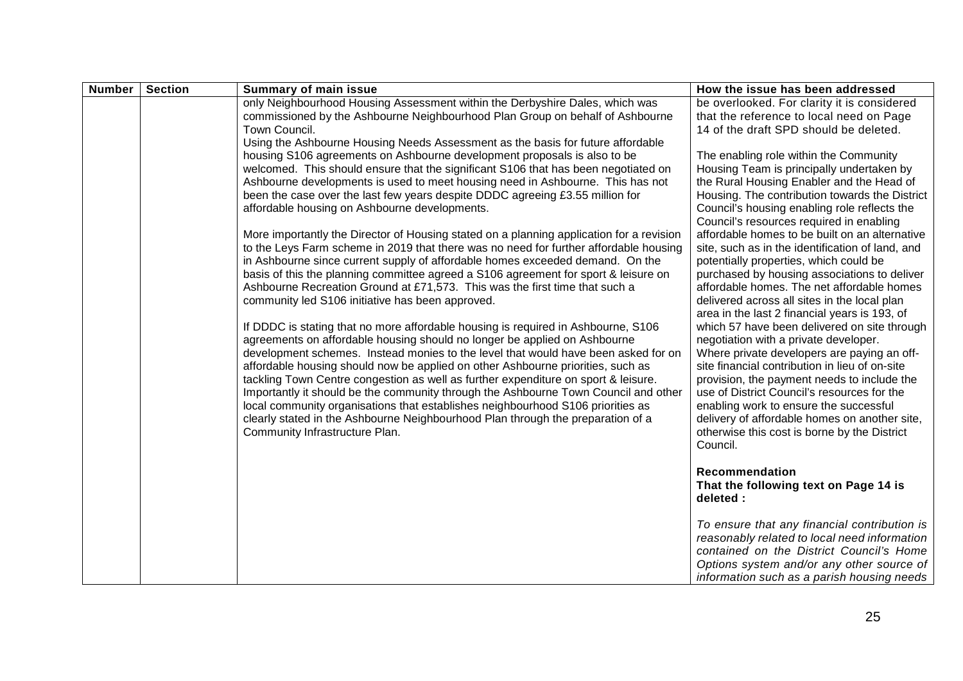| <b>Number</b> | <b>Section</b> | <b>Summary of main issue</b>                                                                                                                                           | How the issue has been addressed                                                              |
|---------------|----------------|------------------------------------------------------------------------------------------------------------------------------------------------------------------------|-----------------------------------------------------------------------------------------------|
|               |                | only Neighbourhood Housing Assessment within the Derbyshire Dales, which was<br>commissioned by the Ashbourne Neighbourhood Plan Group on behalf of Ashbourne          | be overlooked. For clarity it is considered<br>that the reference to local need on Page       |
|               |                | Town Council.                                                                                                                                                          | 14 of the draft SPD should be deleted.                                                        |
|               |                | Using the Ashbourne Housing Needs Assessment as the basis for future affordable                                                                                        |                                                                                               |
|               |                | housing S106 agreements on Ashbourne development proposals is also to be                                                                                               | The enabling role within the Community                                                        |
|               |                | welcomed. This should ensure that the significant S106 that has been negotiated on                                                                                     | Housing Team is principally undertaken by                                                     |
|               |                | Ashbourne developments is used to meet housing need in Ashbourne. This has not                                                                                         | the Rural Housing Enabler and the Head of                                                     |
|               |                | been the case over the last few years despite DDDC agreeing £3.55 million for                                                                                          | Housing. The contribution towards the District                                                |
|               |                | affordable housing on Ashbourne developments.                                                                                                                          | Council's housing enabling role reflects the<br>Council's resources required in enabling      |
|               |                | More importantly the Director of Housing stated on a planning application for a revision                                                                               | affordable homes to be built on an alternative                                                |
|               |                | to the Leys Farm scheme in 2019 that there was no need for further affordable housing                                                                                  | site, such as in the identification of land, and                                              |
|               |                | in Ashbourne since current supply of affordable homes exceeded demand. On the                                                                                          | potentially properties, which could be                                                        |
|               |                | basis of this the planning committee agreed a S106 agreement for sport & leisure on                                                                                    | purchased by housing associations to deliver                                                  |
|               |                | Ashbourne Recreation Ground at £71,573. This was the first time that such a                                                                                            | affordable homes. The net affordable homes                                                    |
|               |                | community led S106 initiative has been approved.                                                                                                                       | delivered across all sites in the local plan<br>area in the last 2 financial years is 193, of |
|               |                | If DDDC is stating that no more affordable housing is required in Ashbourne, S106                                                                                      | which 57 have been delivered on site through                                                  |
|               |                | agreements on affordable housing should no longer be applied on Ashbourne                                                                                              | negotiation with a private developer.                                                         |
|               |                | development schemes. Instead monies to the level that would have been asked for on                                                                                     | Where private developers are paying an off-                                                   |
|               |                | affordable housing should now be applied on other Ashbourne priorities, such as                                                                                        | site financial contribution in lieu of on-site                                                |
|               |                | tackling Town Centre congestion as well as further expenditure on sport & leisure.                                                                                     | provision, the payment needs to include the                                                   |
|               |                | Importantly it should be the community through the Ashbourne Town Council and other<br>local community organisations that establishes neighbourhood S106 priorities as | use of District Council's resources for the<br>enabling work to ensure the successful         |
|               |                | clearly stated in the Ashbourne Neighbourhood Plan through the preparation of a                                                                                        | delivery of affordable homes on another site,                                                 |
|               |                | Community Infrastructure Plan.                                                                                                                                         | otherwise this cost is borne by the District                                                  |
|               |                |                                                                                                                                                                        | Council.                                                                                      |
|               |                |                                                                                                                                                                        |                                                                                               |
|               |                |                                                                                                                                                                        | Recommendation                                                                                |
|               |                |                                                                                                                                                                        | That the following text on Page 14 is<br>deleted :                                            |
|               |                |                                                                                                                                                                        |                                                                                               |
|               |                |                                                                                                                                                                        | To ensure that any financial contribution is                                                  |
|               |                |                                                                                                                                                                        | reasonably related to local need information                                                  |
|               |                |                                                                                                                                                                        | contained on the District Council's Home                                                      |
|               |                |                                                                                                                                                                        | Options system and/or any other source of<br>information such as a parish housing needs       |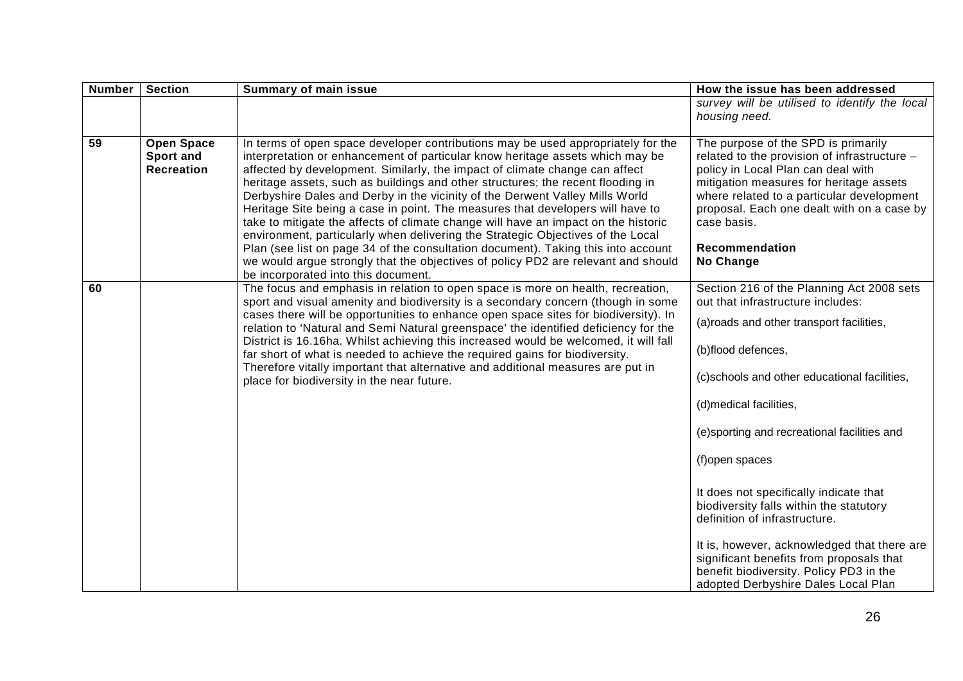| <b>Number</b> | <b>Section</b>                                      | <b>Summary of main issue</b>                                                                                                                                                                                                                                                                                                                                                                                                                                                                                                                                                                                                                                                                                                                                                                                                                                                                    | How the issue has been addressed                                                                                                                                                                                                                                                                                                                                                                                                                                                                                                                                                                |
|---------------|-----------------------------------------------------|-------------------------------------------------------------------------------------------------------------------------------------------------------------------------------------------------------------------------------------------------------------------------------------------------------------------------------------------------------------------------------------------------------------------------------------------------------------------------------------------------------------------------------------------------------------------------------------------------------------------------------------------------------------------------------------------------------------------------------------------------------------------------------------------------------------------------------------------------------------------------------------------------|-------------------------------------------------------------------------------------------------------------------------------------------------------------------------------------------------------------------------------------------------------------------------------------------------------------------------------------------------------------------------------------------------------------------------------------------------------------------------------------------------------------------------------------------------------------------------------------------------|
|               |                                                     |                                                                                                                                                                                                                                                                                                                                                                                                                                                                                                                                                                                                                                                                                                                                                                                                                                                                                                 | survey will be utilised to identify the local<br>housing need.                                                                                                                                                                                                                                                                                                                                                                                                                                                                                                                                  |
| 59            | <b>Open Space</b><br>Sport and<br><b>Recreation</b> | In terms of open space developer contributions may be used appropriately for the<br>interpretation or enhancement of particular know heritage assets which may be<br>affected by development. Similarly, the impact of climate change can affect<br>heritage assets, such as buildings and other structures; the recent flooding in<br>Derbyshire Dales and Derby in the vicinity of the Derwent Valley Mills World<br>Heritage Site being a case in point. The measures that developers will have to<br>take to mitigate the affects of climate change will have an impact on the historic<br>environment, particularly when delivering the Strategic Objectives of the Local<br>Plan (see list on page 34 of the consultation document). Taking this into account<br>we would argue strongly that the objectives of policy PD2 are relevant and should<br>be incorporated into this document. | The purpose of the SPD is primarily<br>related to the provision of infrastructure -<br>policy in Local Plan can deal with<br>mitigation measures for heritage assets<br>where related to a particular development<br>proposal. Each one dealt with on a case by<br>case basis.<br><b>Recommendation</b><br>No Change                                                                                                                                                                                                                                                                            |
| 60            |                                                     | The focus and emphasis in relation to open space is more on health, recreation,<br>sport and visual amenity and biodiversity is a secondary concern (though in some<br>cases there will be opportunities to enhance open space sites for biodiversity). In<br>relation to 'Natural and Semi Natural greenspace' the identified deficiency for the<br>District is 16.16ha. Whilst achieving this increased would be welcomed, it will fall<br>far short of what is needed to achieve the required gains for biodiversity.<br>Therefore vitally important that alternative and additional measures are put in<br>place for biodiversity in the near future.                                                                                                                                                                                                                                       | Section 216 of the Planning Act 2008 sets<br>out that infrastructure includes:<br>(a) roads and other transport facilities,<br>(b)flood defences,<br>(c)schools and other educational facilities,<br>(d)medical facilities,<br>(e)sporting and recreational facilities and<br>(f)open spaces<br>It does not specifically indicate that<br>biodiversity falls within the statutory<br>definition of infrastructure.<br>It is, however, acknowledged that there are<br>significant benefits from proposals that<br>benefit biodiversity. Policy PD3 in the<br>adopted Derbyshire Dales Local Plan |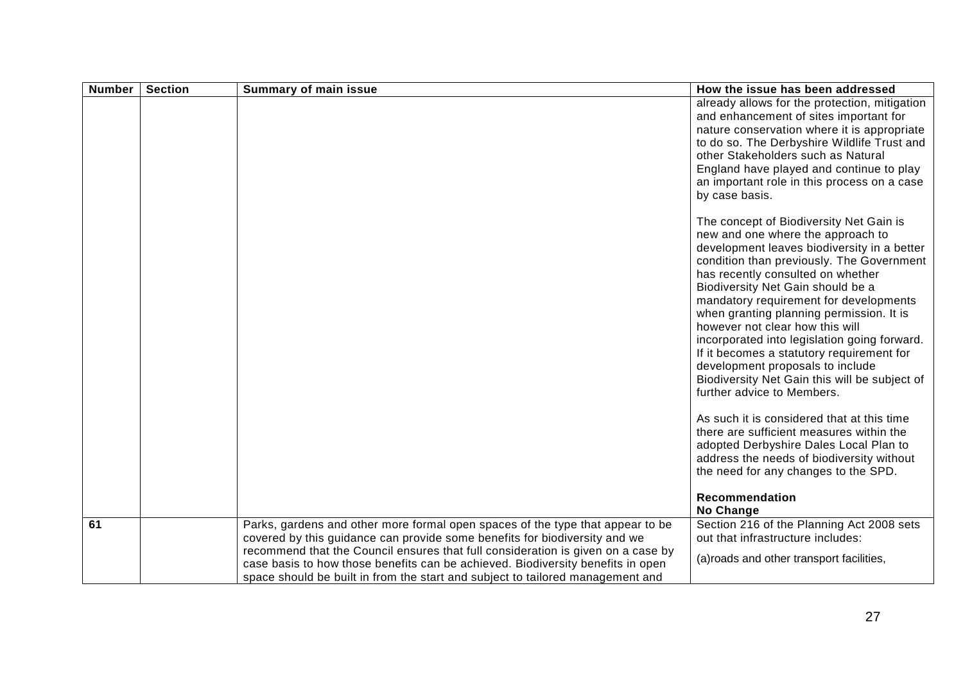| <b>Number</b> | <b>Section</b> | <b>Summary of main issue</b>                                                                                                                                                                                                                                                                                                        | How the issue has been addressed                                                                                                                                                                                                                                                                                                                                                                                                                                                                                                                                                                                                                                                                                                                                             |
|---------------|----------------|-------------------------------------------------------------------------------------------------------------------------------------------------------------------------------------------------------------------------------------------------------------------------------------------------------------------------------------|------------------------------------------------------------------------------------------------------------------------------------------------------------------------------------------------------------------------------------------------------------------------------------------------------------------------------------------------------------------------------------------------------------------------------------------------------------------------------------------------------------------------------------------------------------------------------------------------------------------------------------------------------------------------------------------------------------------------------------------------------------------------------|
|               |                |                                                                                                                                                                                                                                                                                                                                     | already allows for the protection, mitigation<br>and enhancement of sites important for<br>nature conservation where it is appropriate<br>to do so. The Derbyshire Wildlife Trust and<br>other Stakeholders such as Natural<br>England have played and continue to play<br>an important role in this process on a case<br>by case basis.                                                                                                                                                                                                                                                                                                                                                                                                                                     |
|               |                |                                                                                                                                                                                                                                                                                                                                     | The concept of Biodiversity Net Gain is<br>new and one where the approach to<br>development leaves biodiversity in a better<br>condition than previously. The Government<br>has recently consulted on whether<br>Biodiversity Net Gain should be a<br>mandatory requirement for developments<br>when granting planning permission. It is<br>however not clear how this will<br>incorporated into legislation going forward.<br>If it becomes a statutory requirement for<br>development proposals to include<br>Biodiversity Net Gain this will be subject of<br>further advice to Members.<br>As such it is considered that at this time<br>there are sufficient measures within the<br>adopted Derbyshire Dales Local Plan to<br>address the needs of biodiversity without |
|               |                |                                                                                                                                                                                                                                                                                                                                     | the need for any changes to the SPD.<br>Recommendation<br>No Change                                                                                                                                                                                                                                                                                                                                                                                                                                                                                                                                                                                                                                                                                                          |
| 61            |                | Parks, gardens and other more formal open spaces of the type that appear to be<br>covered by this guidance can provide some benefits for biodiversity and we<br>recommend that the Council ensures that full consideration is given on a case by<br>case basis to how those benefits can be achieved. Biodiversity benefits in open | Section 216 of the Planning Act 2008 sets<br>out that infrastructure includes:<br>(a) roads and other transport facilities,                                                                                                                                                                                                                                                                                                                                                                                                                                                                                                                                                                                                                                                  |
|               |                | space should be built in from the start and subject to tailored management and                                                                                                                                                                                                                                                      |                                                                                                                                                                                                                                                                                                                                                                                                                                                                                                                                                                                                                                                                                                                                                                              |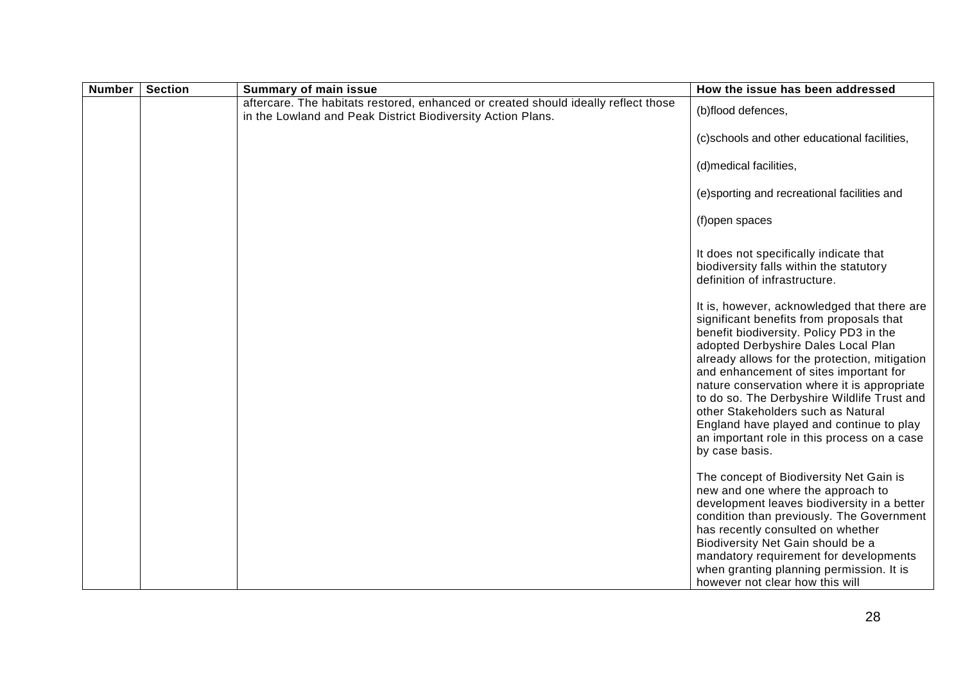| <b>Number</b> | <b>Section</b> | <b>Summary of main issue</b>                                                                                                                      | How the issue has been addressed                                                                                                                                                                                                                                                                                                                                                                                                                                                                                      |
|---------------|----------------|---------------------------------------------------------------------------------------------------------------------------------------------------|-----------------------------------------------------------------------------------------------------------------------------------------------------------------------------------------------------------------------------------------------------------------------------------------------------------------------------------------------------------------------------------------------------------------------------------------------------------------------------------------------------------------------|
|               |                | aftercare. The habitats restored, enhanced or created should ideally reflect those<br>in the Lowland and Peak District Biodiversity Action Plans. | (b)flood defences,                                                                                                                                                                                                                                                                                                                                                                                                                                                                                                    |
|               |                |                                                                                                                                                   | (c)schools and other educational facilities,                                                                                                                                                                                                                                                                                                                                                                                                                                                                          |
|               |                |                                                                                                                                                   | (d)medical facilities,                                                                                                                                                                                                                                                                                                                                                                                                                                                                                                |
|               |                |                                                                                                                                                   | (e)sporting and recreational facilities and                                                                                                                                                                                                                                                                                                                                                                                                                                                                           |
|               |                |                                                                                                                                                   | (f)open spaces                                                                                                                                                                                                                                                                                                                                                                                                                                                                                                        |
|               |                |                                                                                                                                                   | It does not specifically indicate that<br>biodiversity falls within the statutory<br>definition of infrastructure.                                                                                                                                                                                                                                                                                                                                                                                                    |
|               |                |                                                                                                                                                   | It is, however, acknowledged that there are<br>significant benefits from proposals that<br>benefit biodiversity. Policy PD3 in the<br>adopted Derbyshire Dales Local Plan<br>already allows for the protection, mitigation<br>and enhancement of sites important for<br>nature conservation where it is appropriate<br>to do so. The Derbyshire Wildlife Trust and<br>other Stakeholders such as Natural<br>England have played and continue to play<br>an important role in this process on a case<br>by case basis. |
|               |                |                                                                                                                                                   | The concept of Biodiversity Net Gain is<br>new and one where the approach to<br>development leaves biodiversity in a better<br>condition than previously. The Government<br>has recently consulted on whether<br>Biodiversity Net Gain should be a<br>mandatory requirement for developments<br>when granting planning permission. It is<br>however not clear how this will                                                                                                                                           |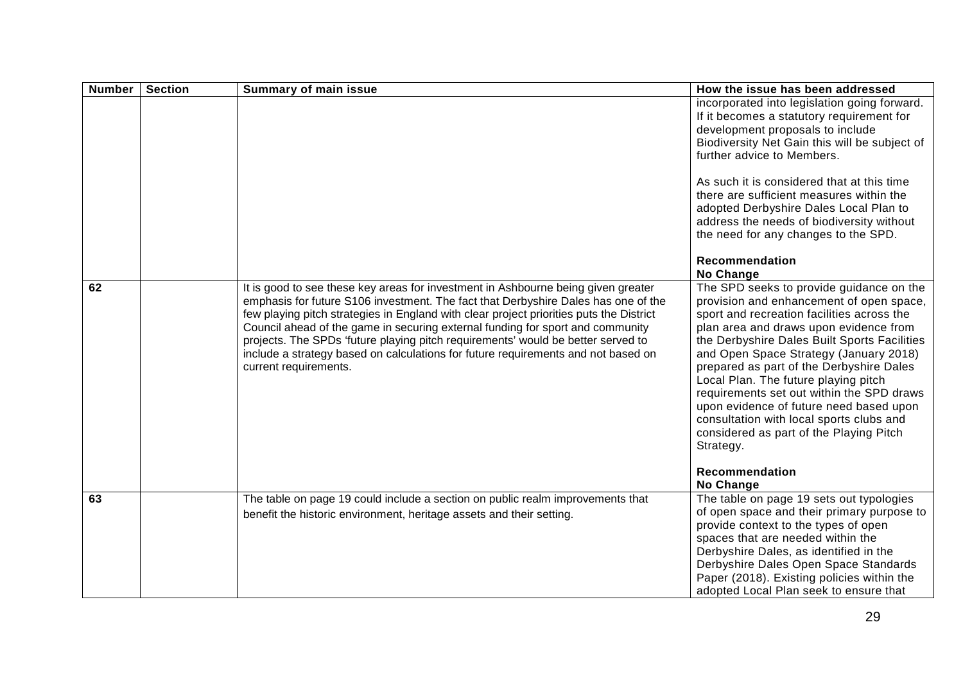| <b>Number</b> | <b>Section</b> | <b>Summary of main issue</b>                                                                                                                                                                                                                                                                                                                                                                                                                                                                                                                           | How the issue has been addressed                                                                                                                                                                                                                                                                                                                                                                                                                                                                                                                                         |
|---------------|----------------|--------------------------------------------------------------------------------------------------------------------------------------------------------------------------------------------------------------------------------------------------------------------------------------------------------------------------------------------------------------------------------------------------------------------------------------------------------------------------------------------------------------------------------------------------------|--------------------------------------------------------------------------------------------------------------------------------------------------------------------------------------------------------------------------------------------------------------------------------------------------------------------------------------------------------------------------------------------------------------------------------------------------------------------------------------------------------------------------------------------------------------------------|
|               |                |                                                                                                                                                                                                                                                                                                                                                                                                                                                                                                                                                        | incorporated into legislation going forward.<br>If it becomes a statutory requirement for<br>development proposals to include<br>Biodiversity Net Gain this will be subject of<br>further advice to Members.                                                                                                                                                                                                                                                                                                                                                             |
|               |                |                                                                                                                                                                                                                                                                                                                                                                                                                                                                                                                                                        | As such it is considered that at this time<br>there are sufficient measures within the<br>adopted Derbyshire Dales Local Plan to<br>address the needs of biodiversity without<br>the need for any changes to the SPD.                                                                                                                                                                                                                                                                                                                                                    |
|               |                |                                                                                                                                                                                                                                                                                                                                                                                                                                                                                                                                                        | Recommendation<br>No Change                                                                                                                                                                                                                                                                                                                                                                                                                                                                                                                                              |
| 62            |                | It is good to see these key areas for investment in Ashbourne being given greater<br>emphasis for future S106 investment. The fact that Derbyshire Dales has one of the<br>few playing pitch strategies in England with clear project priorities puts the District<br>Council ahead of the game in securing external funding for sport and community<br>projects. The SPDs 'future playing pitch requirements' would be better served to<br>include a strategy based on calculations for future requirements and not based on<br>current requirements. | The SPD seeks to provide guidance on the<br>provision and enhancement of open space,<br>sport and recreation facilities across the<br>plan area and draws upon evidence from<br>the Derbyshire Dales Built Sports Facilities<br>and Open Space Strategy (January 2018)<br>prepared as part of the Derbyshire Dales<br>Local Plan. The future playing pitch<br>requirements set out within the SPD draws<br>upon evidence of future need based upon<br>consultation with local sports clubs and<br>considered as part of the Playing Pitch<br>Strategy.<br>Recommendation |
| 63            |                | The table on page 19 could include a section on public realm improvements that<br>benefit the historic environment, heritage assets and their setting.                                                                                                                                                                                                                                                                                                                                                                                                 | No Change<br>The table on page 19 sets out typologies<br>of open space and their primary purpose to<br>provide context to the types of open<br>spaces that are needed within the<br>Derbyshire Dales, as identified in the<br>Derbyshire Dales Open Space Standards<br>Paper (2018). Existing policies within the<br>adopted Local Plan seek to ensure that                                                                                                                                                                                                              |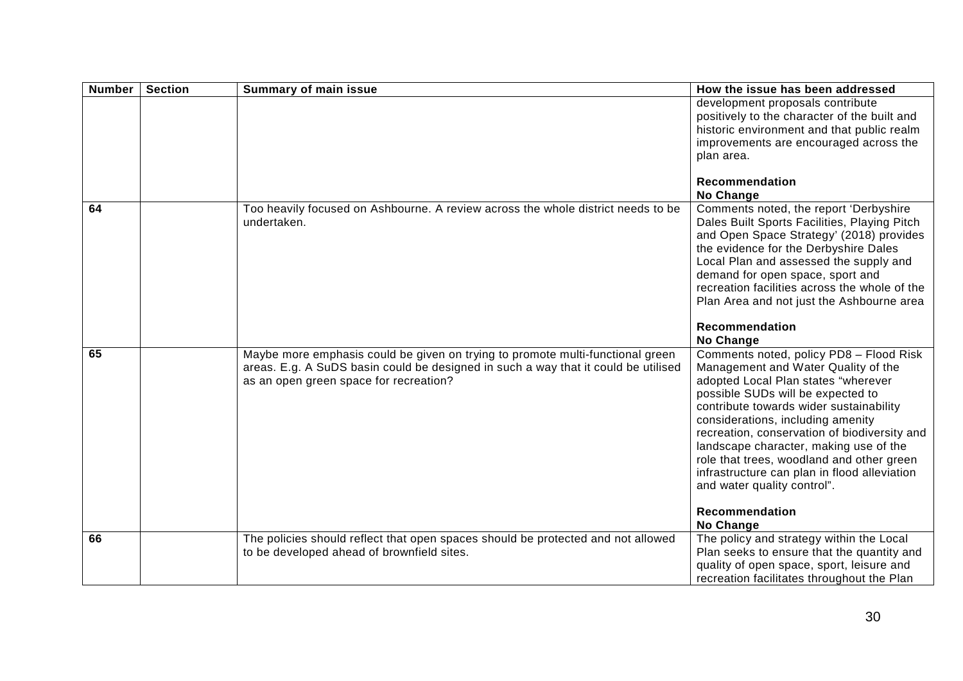| <b>Number</b> | <b>Section</b> | <b>Summary of main issue</b>                                                                                                                                                                                   | How the issue has been addressed                                                                                                                                                                                                                                                                                                                                                                                                                                                   |
|---------------|----------------|----------------------------------------------------------------------------------------------------------------------------------------------------------------------------------------------------------------|------------------------------------------------------------------------------------------------------------------------------------------------------------------------------------------------------------------------------------------------------------------------------------------------------------------------------------------------------------------------------------------------------------------------------------------------------------------------------------|
|               |                |                                                                                                                                                                                                                | development proposals contribute<br>positively to the character of the built and<br>historic environment and that public realm<br>improvements are encouraged across the<br>plan area.                                                                                                                                                                                                                                                                                             |
|               |                |                                                                                                                                                                                                                | <b>Recommendation</b><br>No Change                                                                                                                                                                                                                                                                                                                                                                                                                                                 |
| 64            |                | Too heavily focused on Ashbourne. A review across the whole district needs to be<br>undertaken.                                                                                                                | Comments noted, the report 'Derbyshire<br>Dales Built Sports Facilities, Playing Pitch<br>and Open Space Strategy' (2018) provides<br>the evidence for the Derbyshire Dales<br>Local Plan and assessed the supply and<br>demand for open space, sport and<br>recreation facilities across the whole of the<br>Plan Area and not just the Ashbourne area                                                                                                                            |
|               |                |                                                                                                                                                                                                                | Recommendation<br><b>No Change</b>                                                                                                                                                                                                                                                                                                                                                                                                                                                 |
| 65            |                | Maybe more emphasis could be given on trying to promote multi-functional green<br>areas. E.g. A SuDS basin could be designed in such a way that it could be utilised<br>as an open green space for recreation? | Comments noted, policy PD8 - Flood Risk<br>Management and Water Quality of the<br>adopted Local Plan states "wherever<br>possible SUDs will be expected to<br>contribute towards wider sustainability<br>considerations, including amenity<br>recreation, conservation of biodiversity and<br>landscape character, making use of the<br>role that trees, woodland and other green<br>infrastructure can plan in flood alleviation<br>and water quality control".<br>Recommendation |
|               |                |                                                                                                                                                                                                                | No Change                                                                                                                                                                                                                                                                                                                                                                                                                                                                          |
| 66            |                | The policies should reflect that open spaces should be protected and not allowed<br>to be developed ahead of brownfield sites.                                                                                 | The policy and strategy within the Local<br>Plan seeks to ensure that the quantity and<br>quality of open space, sport, leisure and<br>recreation facilitates throughout the Plan                                                                                                                                                                                                                                                                                                  |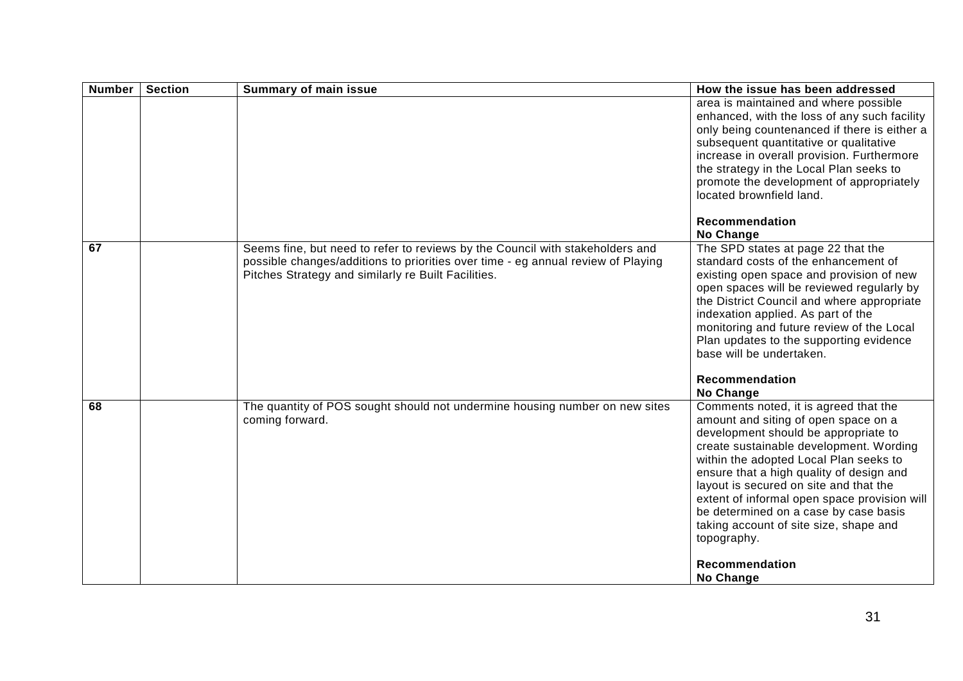| <b>Number</b> | <b>Section</b> | <b>Summary of main issue</b>                                                                                                                                                                                             | How the issue has been addressed                                                                                                                                                                                                                                                                                                                                                                                                                                                  |
|---------------|----------------|--------------------------------------------------------------------------------------------------------------------------------------------------------------------------------------------------------------------------|-----------------------------------------------------------------------------------------------------------------------------------------------------------------------------------------------------------------------------------------------------------------------------------------------------------------------------------------------------------------------------------------------------------------------------------------------------------------------------------|
|               |                |                                                                                                                                                                                                                          | area is maintained and where possible<br>enhanced, with the loss of any such facility<br>only being countenanced if there is either a<br>subsequent quantitative or qualitative<br>increase in overall provision. Furthermore<br>the strategy in the Local Plan seeks to<br>promote the development of appropriately<br>located brownfield land.                                                                                                                                  |
|               |                |                                                                                                                                                                                                                          | Recommendation<br>No Change                                                                                                                                                                                                                                                                                                                                                                                                                                                       |
| 67            |                | Seems fine, but need to refer to reviews by the Council with stakeholders and<br>possible changes/additions to priorities over time - eg annual review of Playing<br>Pitches Strategy and similarly re Built Facilities. | The SPD states at page 22 that the<br>standard costs of the enhancement of<br>existing open space and provision of new<br>open spaces will be reviewed regularly by<br>the District Council and where appropriate<br>indexation applied. As part of the<br>monitoring and future review of the Local<br>Plan updates to the supporting evidence<br>base will be undertaken.<br>Recommendation<br>No Change                                                                        |
| 68            |                | The quantity of POS sought should not undermine housing number on new sites<br>coming forward.                                                                                                                           | Comments noted, it is agreed that the<br>amount and siting of open space on a<br>development should be appropriate to<br>create sustainable development. Wording<br>within the adopted Local Plan seeks to<br>ensure that a high quality of design and<br>layout is secured on site and that the<br>extent of informal open space provision will<br>be determined on a case by case basis<br>taking account of site size, shape and<br>topography.<br>Recommendation<br>No Change |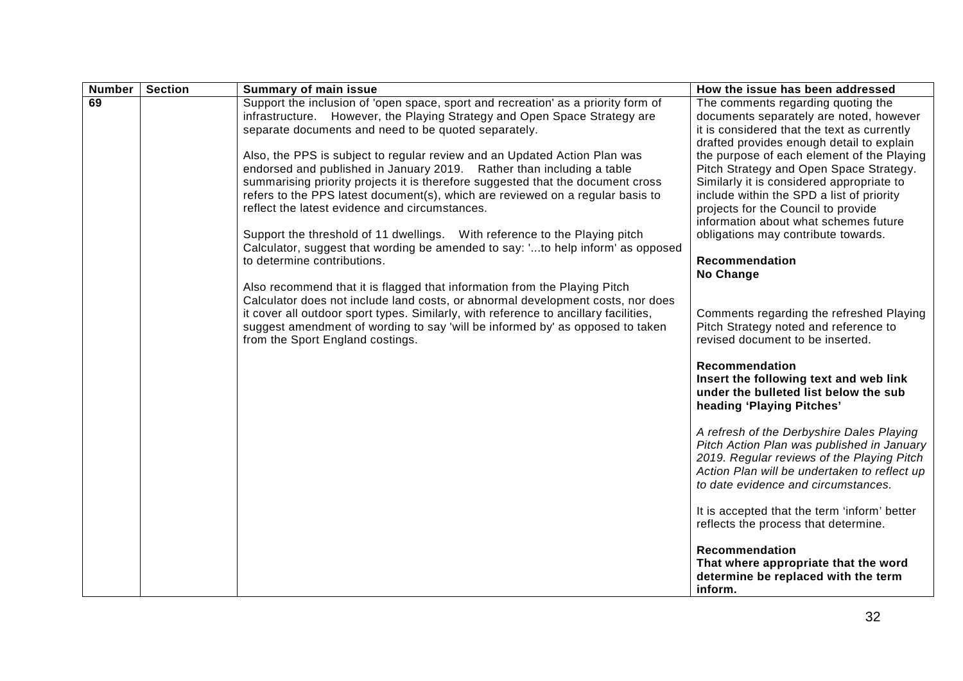| <b>Number</b> | <b>Section</b> | <b>Summary of main issue</b>                                                                                      | How the issue has been addressed                                                  |
|---------------|----------------|-------------------------------------------------------------------------------------------------------------------|-----------------------------------------------------------------------------------|
| 69            |                | Support the inclusion of 'open space, sport and recreation' as a priority form of                                 | The comments regarding quoting the                                                |
|               |                | infrastructure. However, the Playing Strategy and Open Space Strategy are                                         | documents separately are noted, however                                           |
|               |                | separate documents and need to be quoted separately.                                                              | it is considered that the text as currently                                       |
|               |                |                                                                                                                   | drafted provides enough detail to explain                                         |
|               |                | Also, the PPS is subject to regular review and an Updated Action Plan was                                         | the purpose of each element of the Playing                                        |
|               |                | endorsed and published in January 2019. Rather than including a table                                             | Pitch Strategy and Open Space Strategy.                                           |
|               |                | summarising priority projects it is therefore suggested that the document cross                                   | Similarly it is considered appropriate to                                         |
|               |                | refers to the PPS latest document(s), which are reviewed on a regular basis to                                    | include within the SPD a list of priority                                         |
|               |                | reflect the latest evidence and circumstances.                                                                    | projects for the Council to provide                                               |
|               |                |                                                                                                                   | information about what schemes future                                             |
|               |                | Support the threshold of 11 dwellings.  With reference to the Playing pitch                                       | obligations may contribute towards.                                               |
|               |                | Calculator, suggest that wording be amended to say: 'to help inform' as opposed                                   |                                                                                   |
|               |                | to determine contributions.                                                                                       | Recommendation                                                                    |
|               |                |                                                                                                                   | No Change                                                                         |
|               |                | Also recommend that it is flagged that information from the Playing Pitch                                         |                                                                                   |
|               |                | Calculator does not include land costs, or abnormal development costs, nor does                                   |                                                                                   |
|               |                | it cover all outdoor sport types. Similarly, with reference to ancillary facilities,                              | Comments regarding the refreshed Playing<br>Pitch Strategy noted and reference to |
|               |                | suggest amendment of wording to say 'will be informed by' as opposed to taken<br>from the Sport England costings. | revised document to be inserted.                                                  |
|               |                |                                                                                                                   |                                                                                   |
|               |                |                                                                                                                   | Recommendation                                                                    |
|               |                |                                                                                                                   | Insert the following text and web link                                            |
|               |                |                                                                                                                   | under the bulleted list below the sub                                             |
|               |                |                                                                                                                   | heading 'Playing Pitches'                                                         |
|               |                |                                                                                                                   |                                                                                   |
|               |                |                                                                                                                   | A refresh of the Derbyshire Dales Playing                                         |
|               |                |                                                                                                                   | Pitch Action Plan was published in January                                        |
|               |                |                                                                                                                   | 2019. Regular reviews of the Playing Pitch                                        |
|               |                |                                                                                                                   | Action Plan will be undertaken to reflect up                                      |
|               |                |                                                                                                                   | to date evidence and circumstances.                                               |
|               |                |                                                                                                                   |                                                                                   |
|               |                |                                                                                                                   | It is accepted that the term 'inform' better                                      |
|               |                |                                                                                                                   | reflects the process that determine.                                              |
|               |                |                                                                                                                   |                                                                                   |
|               |                |                                                                                                                   | Recommendation                                                                    |
|               |                |                                                                                                                   | That where appropriate that the word                                              |
|               |                |                                                                                                                   | determine be replaced with the term                                               |
|               |                |                                                                                                                   | inform.                                                                           |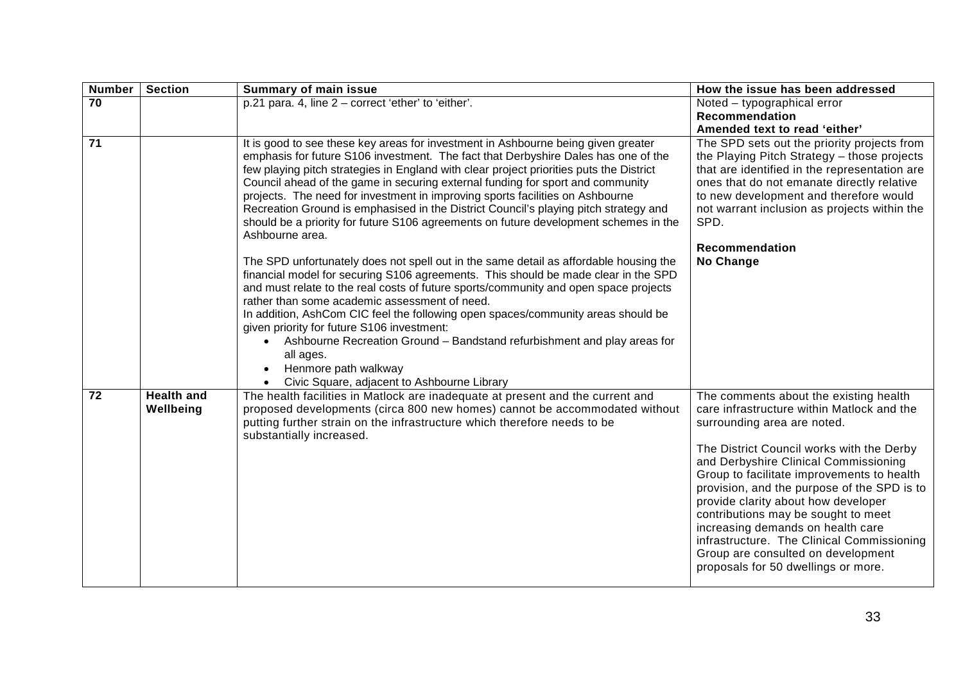| <b>Number</b>   | <b>Section</b>                 | <b>Summary of main issue</b>                                                                                                                                                                                                                                                                                                                                                                                                                                                                                                                                                                                                                                                                                                                                                                                                                                                                                                                                                                                                                                                                                                                                                                                                                                       | How the issue has been addressed                                                                                                                                                                                                                                                                                                                                                                                                                                                                                                                     |
|-----------------|--------------------------------|--------------------------------------------------------------------------------------------------------------------------------------------------------------------------------------------------------------------------------------------------------------------------------------------------------------------------------------------------------------------------------------------------------------------------------------------------------------------------------------------------------------------------------------------------------------------------------------------------------------------------------------------------------------------------------------------------------------------------------------------------------------------------------------------------------------------------------------------------------------------------------------------------------------------------------------------------------------------------------------------------------------------------------------------------------------------------------------------------------------------------------------------------------------------------------------------------------------------------------------------------------------------|------------------------------------------------------------------------------------------------------------------------------------------------------------------------------------------------------------------------------------------------------------------------------------------------------------------------------------------------------------------------------------------------------------------------------------------------------------------------------------------------------------------------------------------------------|
| 70              |                                | p.21 para. 4, line 2 - correct 'ether' to 'either'.                                                                                                                                                                                                                                                                                                                                                                                                                                                                                                                                                                                                                                                                                                                                                                                                                                                                                                                                                                                                                                                                                                                                                                                                                | Noted – typographical error<br>Recommendation<br>Amended text to read 'either'                                                                                                                                                                                                                                                                                                                                                                                                                                                                       |
| $\overline{71}$ |                                | It is good to see these key areas for investment in Ashbourne being given greater<br>emphasis for future S106 investment. The fact that Derbyshire Dales has one of the<br>few playing pitch strategies in England with clear project priorities puts the District<br>Council ahead of the game in securing external funding for sport and community<br>projects. The need for investment in improving sports facilities on Ashbourne<br>Recreation Ground is emphasised in the District Council's playing pitch strategy and<br>should be a priority for future S106 agreements on future development schemes in the<br>Ashbourne area.<br>The SPD unfortunately does not spell out in the same detail as affordable housing the<br>financial model for securing S106 agreements. This should be made clear in the SPD<br>and must relate to the real costs of future sports/community and open space projects<br>rather than some academic assessment of need.<br>In addition, AshCom CIC feel the following open spaces/community areas should be<br>given priority for future S106 investment:<br>Ashbourne Recreation Ground - Bandstand refurbishment and play areas for<br>all ages.<br>Henmore path walkway<br>Civic Square, adjacent to Ashbourne Library | The SPD sets out the priority projects from<br>the Playing Pitch Strategy - those projects<br>that are identified in the representation are<br>ones that do not emanate directly relative<br>to new development and therefore would<br>not warrant inclusion as projects within the<br>SPD.<br>Recommendation<br>No Change                                                                                                                                                                                                                           |
| 72              | <b>Health and</b><br>Wellbeing | The health facilities in Matlock are inadequate at present and the current and<br>proposed developments (circa 800 new homes) cannot be accommodated without<br>putting further strain on the infrastructure which therefore needs to be<br>substantially increased.                                                                                                                                                                                                                                                                                                                                                                                                                                                                                                                                                                                                                                                                                                                                                                                                                                                                                                                                                                                               | The comments about the existing health<br>care infrastructure within Matlock and the<br>surrounding area are noted.<br>The District Council works with the Derby<br>and Derbyshire Clinical Commissioning<br>Group to facilitate improvements to health<br>provision, and the purpose of the SPD is to<br>provide clarity about how developer<br>contributions may be sought to meet<br>increasing demands on health care<br>infrastructure. The Clinical Commissioning<br>Group are consulted on development<br>proposals for 50 dwellings or more. |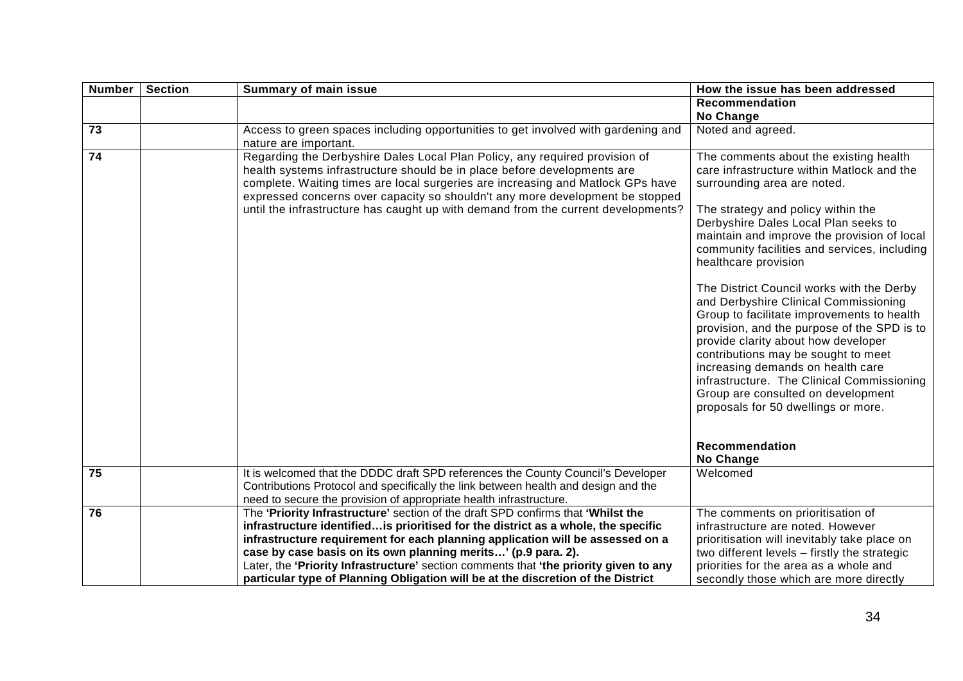| <b>Number</b>   | <b>Section</b> | <b>Summary of main issue</b>                                                                                                                                                                                                                                                                                                                                                                                     | How the issue has been addressed                                                                                                                                                                                                                                                                                                                                                                                                                                                                                                                                                                                                                                                                                                                          |
|-----------------|----------------|------------------------------------------------------------------------------------------------------------------------------------------------------------------------------------------------------------------------------------------------------------------------------------------------------------------------------------------------------------------------------------------------------------------|-----------------------------------------------------------------------------------------------------------------------------------------------------------------------------------------------------------------------------------------------------------------------------------------------------------------------------------------------------------------------------------------------------------------------------------------------------------------------------------------------------------------------------------------------------------------------------------------------------------------------------------------------------------------------------------------------------------------------------------------------------------|
|                 |                |                                                                                                                                                                                                                                                                                                                                                                                                                  | <b>Recommendation</b>                                                                                                                                                                                                                                                                                                                                                                                                                                                                                                                                                                                                                                                                                                                                     |
|                 |                |                                                                                                                                                                                                                                                                                                                                                                                                                  | No Change                                                                                                                                                                                                                                                                                                                                                                                                                                                                                                                                                                                                                                                                                                                                                 |
| $\overline{73}$ |                | Access to green spaces including opportunities to get involved with gardening and                                                                                                                                                                                                                                                                                                                                | Noted and agreed.                                                                                                                                                                                                                                                                                                                                                                                                                                                                                                                                                                                                                                                                                                                                         |
|                 |                | nature are important.                                                                                                                                                                                                                                                                                                                                                                                            |                                                                                                                                                                                                                                                                                                                                                                                                                                                                                                                                                                                                                                                                                                                                                           |
| $\overline{74}$ |                | Regarding the Derbyshire Dales Local Plan Policy, any required provision of<br>health systems infrastructure should be in place before developments are<br>complete. Waiting times are local surgeries are increasing and Matlock GPs have<br>expressed concerns over capacity so shouldn't any more development be stopped<br>until the infrastructure has caught up with demand from the current developments? | The comments about the existing health<br>care infrastructure within Matlock and the<br>surrounding area are noted.<br>The strategy and policy within the<br>Derbyshire Dales Local Plan seeks to<br>maintain and improve the provision of local<br>community facilities and services, including<br>healthcare provision<br>The District Council works with the Derby<br>and Derbyshire Clinical Commissioning<br>Group to facilitate improvements to health<br>provision, and the purpose of the SPD is to<br>provide clarity about how developer<br>contributions may be sought to meet<br>increasing demands on health care<br>infrastructure. The Clinical Commissioning<br>Group are consulted on development<br>proposals for 50 dwellings or more. |
|                 |                |                                                                                                                                                                                                                                                                                                                                                                                                                  | Recommendation                                                                                                                                                                                                                                                                                                                                                                                                                                                                                                                                                                                                                                                                                                                                            |
|                 |                |                                                                                                                                                                                                                                                                                                                                                                                                                  | No Change                                                                                                                                                                                                                                                                                                                                                                                                                                                                                                                                                                                                                                                                                                                                                 |
| 75              |                | It is welcomed that the DDDC draft SPD references the County Council's Developer<br>Contributions Protocol and specifically the link between health and design and the                                                                                                                                                                                                                                           | Welcomed                                                                                                                                                                                                                                                                                                                                                                                                                                                                                                                                                                                                                                                                                                                                                  |
|                 |                | need to secure the provision of appropriate health infrastructure.                                                                                                                                                                                                                                                                                                                                               |                                                                                                                                                                                                                                                                                                                                                                                                                                                                                                                                                                                                                                                                                                                                                           |
| 76              |                | The 'Priority Infrastructure' section of the draft SPD confirms that 'Whilst the                                                                                                                                                                                                                                                                                                                                 | The comments on prioritisation of                                                                                                                                                                                                                                                                                                                                                                                                                                                                                                                                                                                                                                                                                                                         |
|                 |                | infrastructure identifiedis prioritised for the district as a whole, the specific                                                                                                                                                                                                                                                                                                                                | infrastructure are noted. However                                                                                                                                                                                                                                                                                                                                                                                                                                                                                                                                                                                                                                                                                                                         |
|                 |                | infrastructure requirement for each planning application will be assessed on a                                                                                                                                                                                                                                                                                                                                   | prioritisation will inevitably take place on                                                                                                                                                                                                                                                                                                                                                                                                                                                                                                                                                                                                                                                                                                              |
|                 |                | case by case basis on its own planning merits' (p.9 para. 2).                                                                                                                                                                                                                                                                                                                                                    | two different levels - firstly the strategic                                                                                                                                                                                                                                                                                                                                                                                                                                                                                                                                                                                                                                                                                                              |
|                 |                | Later, the 'Priority Infrastructure' section comments that 'the priority given to any                                                                                                                                                                                                                                                                                                                            | priorities for the area as a whole and                                                                                                                                                                                                                                                                                                                                                                                                                                                                                                                                                                                                                                                                                                                    |
|                 |                | particular type of Planning Obligation will be at the discretion of the District                                                                                                                                                                                                                                                                                                                                 | secondly those which are more directly                                                                                                                                                                                                                                                                                                                                                                                                                                                                                                                                                                                                                                                                                                                    |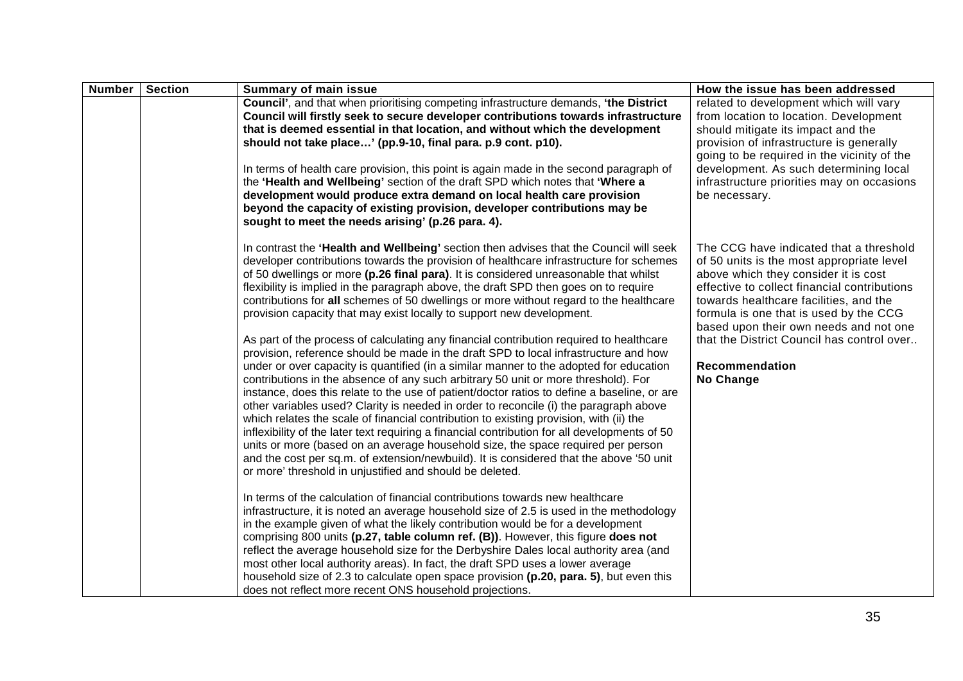| Number | <b>Section</b> | <b>Summary of main issue</b>                                                                                                                                                                                                                                                                                                                                                                                                                                                                                                                                                                                                                                                                                                                                                                                                                                                                                                                                                                                                                                                                                                                                                                                                                                                                                                                                                                                                                                                                                                                                                                                                                                                                                                                                                                                                                                                                                                                                                                                                                                                                                                                                                                                             | How the issue has been addressed                                                                                                                                                                                                                                                                                                                                                        |
|--------|----------------|--------------------------------------------------------------------------------------------------------------------------------------------------------------------------------------------------------------------------------------------------------------------------------------------------------------------------------------------------------------------------------------------------------------------------------------------------------------------------------------------------------------------------------------------------------------------------------------------------------------------------------------------------------------------------------------------------------------------------------------------------------------------------------------------------------------------------------------------------------------------------------------------------------------------------------------------------------------------------------------------------------------------------------------------------------------------------------------------------------------------------------------------------------------------------------------------------------------------------------------------------------------------------------------------------------------------------------------------------------------------------------------------------------------------------------------------------------------------------------------------------------------------------------------------------------------------------------------------------------------------------------------------------------------------------------------------------------------------------------------------------------------------------------------------------------------------------------------------------------------------------------------------------------------------------------------------------------------------------------------------------------------------------------------------------------------------------------------------------------------------------------------------------------------------------------------------------------------------------|-----------------------------------------------------------------------------------------------------------------------------------------------------------------------------------------------------------------------------------------------------------------------------------------------------------------------------------------------------------------------------------------|
|        |                | Council', and that when prioritising competing infrastructure demands, 'the District<br>Council will firstly seek to secure developer contributions towards infrastructure<br>that is deemed essential in that location, and without which the development<br>should not take place' (pp.9-10, final para. p.9 cont. p10).<br>In terms of health care provision, this point is again made in the second paragraph of<br>the 'Health and Wellbeing' section of the draft SPD which notes that 'Where a<br>development would produce extra demand on local health care provision<br>beyond the capacity of existing provision, developer contributions may be<br>sought to meet the needs arising' (p.26 para. 4).                                                                                                                                                                                                                                                                                                                                                                                                                                                                                                                                                                                                                                                                                                                                                                                                                                                                                                                                                                                                                                                                                                                                                                                                                                                                                                                                                                                                                                                                                                         | related to development which will vary<br>from location to location. Development<br>should mitigate its impact and the<br>provision of infrastructure is generally<br>going to be required in the vicinity of the<br>development. As such determining local<br>infrastructure priorities may on occasions<br>be necessary.                                                              |
|        |                | In contrast the 'Health and Wellbeing' section then advises that the Council will seek<br>developer contributions towards the provision of healthcare infrastructure for schemes<br>of 50 dwellings or more (p.26 final para). It is considered unreasonable that whilst<br>flexibility is implied in the paragraph above, the draft SPD then goes on to require<br>contributions for all schemes of 50 dwellings or more without regard to the healthcare<br>provision capacity that may exist locally to support new development.<br>As part of the process of calculating any financial contribution required to healthcare<br>provision, reference should be made in the draft SPD to local infrastructure and how<br>under or over capacity is quantified (in a similar manner to the adopted for education<br>contributions in the absence of any such arbitrary 50 unit or more threshold). For<br>instance, does this relate to the use of patient/doctor ratios to define a baseline, or are<br>other variables used? Clarity is needed in order to reconcile (i) the paragraph above<br>which relates the scale of financial contribution to existing provision, with (ii) the<br>inflexibility of the later text requiring a financial contribution for all developments of 50<br>units or more (based on an average household size, the space required per person<br>and the cost per sq.m. of extension/newbuild). It is considered that the above '50 unit<br>or more' threshold in unjustified and should be deleted.<br>In terms of the calculation of financial contributions towards new healthcare<br>infrastructure, it is noted an average household size of 2.5 is used in the methodology<br>in the example given of what the likely contribution would be for a development<br>comprising 800 units (p.27, table column ref. (B)). However, this figure does not<br>reflect the average household size for the Derbyshire Dales local authority area (and<br>most other local authority areas). In fact, the draft SPD uses a lower average<br>household size of 2.3 to calculate open space provision (p.20, para. 5), but even this<br>does not reflect more recent ONS household projections. | The CCG have indicated that a threshold<br>of 50 units is the most appropriate level<br>above which they consider it is cost<br>effective to collect financial contributions<br>towards healthcare facilities, and the<br>formula is one that is used by the CCG<br>based upon their own needs and not one<br>that the District Council has control over<br>Recommendation<br>No Change |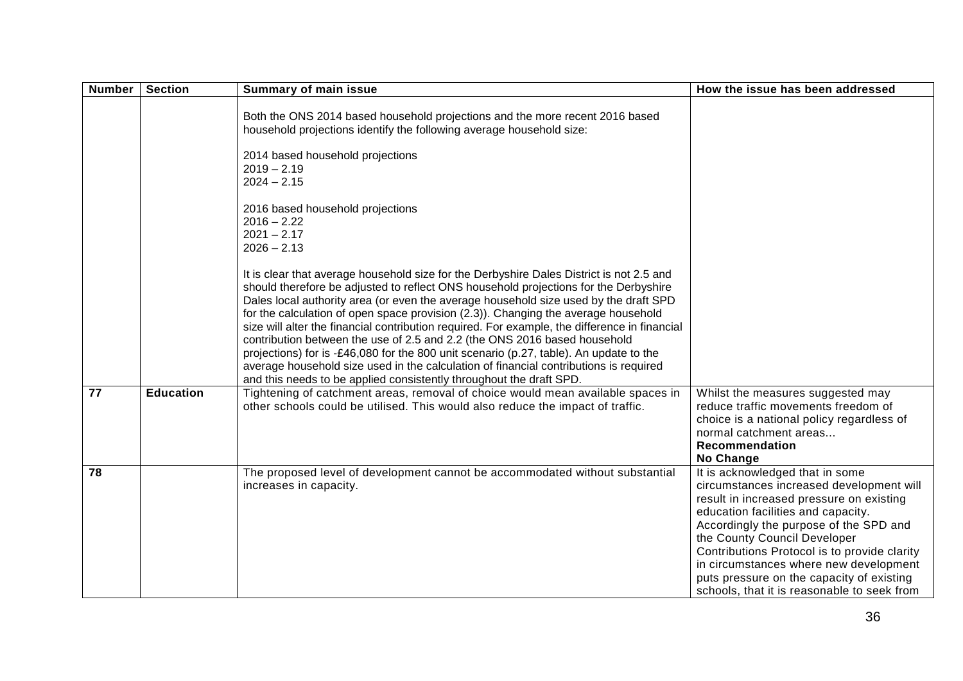| <b>Number</b>   | <b>Section</b>   | <b>Summary of main issue</b>                                                                                                                                                                                                                                                                                                                                                                                                                                                                                                                                                                                                                                                                                                                                                                           | How the issue has been addressed                                                                                                                                                                                                                                                                                                                                                                                              |
|-----------------|------------------|--------------------------------------------------------------------------------------------------------------------------------------------------------------------------------------------------------------------------------------------------------------------------------------------------------------------------------------------------------------------------------------------------------------------------------------------------------------------------------------------------------------------------------------------------------------------------------------------------------------------------------------------------------------------------------------------------------------------------------------------------------------------------------------------------------|-------------------------------------------------------------------------------------------------------------------------------------------------------------------------------------------------------------------------------------------------------------------------------------------------------------------------------------------------------------------------------------------------------------------------------|
|                 |                  | Both the ONS 2014 based household projections and the more recent 2016 based<br>household projections identify the following average household size:<br>2014 based household projections<br>$2019 - 2.19$<br>$2024 - 2.15$                                                                                                                                                                                                                                                                                                                                                                                                                                                                                                                                                                             |                                                                                                                                                                                                                                                                                                                                                                                                                               |
|                 |                  | 2016 based household projections<br>$2016 - 2.22$<br>$2021 - 2.17$<br>$2026 - 2.13$                                                                                                                                                                                                                                                                                                                                                                                                                                                                                                                                                                                                                                                                                                                    |                                                                                                                                                                                                                                                                                                                                                                                                                               |
|                 |                  | It is clear that average household size for the Derbyshire Dales District is not 2.5 and<br>should therefore be adjusted to reflect ONS household projections for the Derbyshire<br>Dales local authority area (or even the average household size used by the draft SPD<br>for the calculation of open space provision (2.3)). Changing the average household<br>size will alter the financial contribution required. For example, the difference in financial<br>contribution between the use of 2.5 and 2.2 (the ONS 2016 based household<br>projections) for is -£46,080 for the 800 unit scenario (p.27, table). An update to the<br>average household size used in the calculation of financial contributions is required<br>and this needs to be applied consistently throughout the draft SPD. |                                                                                                                                                                                                                                                                                                                                                                                                                               |
| 77              | <b>Education</b> | Tightening of catchment areas, removal of choice would mean available spaces in<br>other schools could be utilised. This would also reduce the impact of traffic.                                                                                                                                                                                                                                                                                                                                                                                                                                                                                                                                                                                                                                      | Whilst the measures suggested may<br>reduce traffic movements freedom of<br>choice is a national policy regardless of<br>normal catchment areas<br>Recommendation<br>No Change                                                                                                                                                                                                                                                |
| $\overline{78}$ |                  | The proposed level of development cannot be accommodated without substantial<br>increases in capacity.                                                                                                                                                                                                                                                                                                                                                                                                                                                                                                                                                                                                                                                                                                 | It is acknowledged that in some<br>circumstances increased development will<br>result in increased pressure on existing<br>education facilities and capacity.<br>Accordingly the purpose of the SPD and<br>the County Council Developer<br>Contributions Protocol is to provide clarity<br>in circumstances where new development<br>puts pressure on the capacity of existing<br>schools, that it is reasonable to seek from |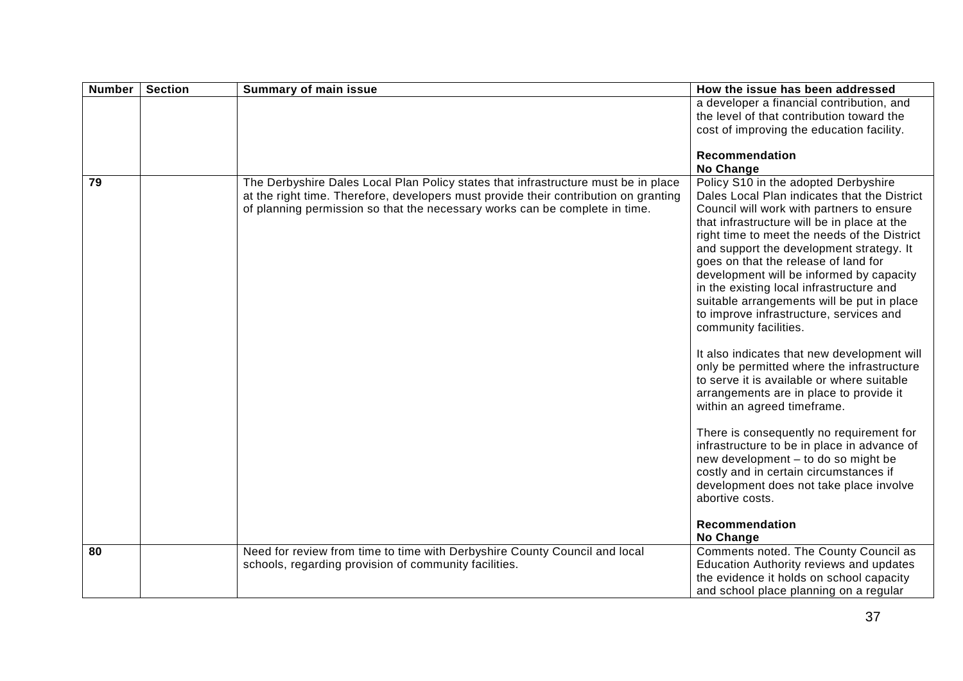| <b>Number</b> | <b>Section</b> | <b>Summary of main issue</b>                                                                                                                                                                                                                              | How the issue has been addressed                                                                                                                                                                                                                                                                                                                                                                                                                                                                                                                                                                                                                                                                                                                                                                                                                                                                                                                                                                                |
|---------------|----------------|-----------------------------------------------------------------------------------------------------------------------------------------------------------------------------------------------------------------------------------------------------------|-----------------------------------------------------------------------------------------------------------------------------------------------------------------------------------------------------------------------------------------------------------------------------------------------------------------------------------------------------------------------------------------------------------------------------------------------------------------------------------------------------------------------------------------------------------------------------------------------------------------------------------------------------------------------------------------------------------------------------------------------------------------------------------------------------------------------------------------------------------------------------------------------------------------------------------------------------------------------------------------------------------------|
|               |                |                                                                                                                                                                                                                                                           | a developer a financial contribution, and<br>the level of that contribution toward the<br>cost of improving the education facility.                                                                                                                                                                                                                                                                                                                                                                                                                                                                                                                                                                                                                                                                                                                                                                                                                                                                             |
|               |                |                                                                                                                                                                                                                                                           | <b>Recommendation</b>                                                                                                                                                                                                                                                                                                                                                                                                                                                                                                                                                                                                                                                                                                                                                                                                                                                                                                                                                                                           |
|               |                |                                                                                                                                                                                                                                                           | No Change                                                                                                                                                                                                                                                                                                                                                                                                                                                                                                                                                                                                                                                                                                                                                                                                                                                                                                                                                                                                       |
| 79            |                | The Derbyshire Dales Local Plan Policy states that infrastructure must be in place<br>at the right time. Therefore, developers must provide their contribution on granting<br>of planning permission so that the necessary works can be complete in time. | Policy S10 in the adopted Derbyshire<br>Dales Local Plan indicates that the District<br>Council will work with partners to ensure<br>that infrastructure will be in place at the<br>right time to meet the needs of the District<br>and support the development strategy. It<br>goes on that the release of land for<br>development will be informed by capacity<br>in the existing local infrastructure and<br>suitable arrangements will be put in place<br>to improve infrastructure, services and<br>community facilities.<br>It also indicates that new development will<br>only be permitted where the infrastructure<br>to serve it is available or where suitable<br>arrangements are in place to provide it<br>within an agreed timeframe.<br>There is consequently no requirement for<br>infrastructure to be in place in advance of<br>new development - to do so might be<br>costly and in certain circumstances if<br>development does not take place involve<br>abortive costs.<br>Recommendation |
| 80            |                | Need for review from time to time with Derbyshire County Council and local                                                                                                                                                                                | <b>No Change</b><br>Comments noted. The County Council as                                                                                                                                                                                                                                                                                                                                                                                                                                                                                                                                                                                                                                                                                                                                                                                                                                                                                                                                                       |
|               |                | schools, regarding provision of community facilities.                                                                                                                                                                                                     | <b>Education Authority reviews and updates</b>                                                                                                                                                                                                                                                                                                                                                                                                                                                                                                                                                                                                                                                                                                                                                                                                                                                                                                                                                                  |
|               |                |                                                                                                                                                                                                                                                           | the evidence it holds on school capacity                                                                                                                                                                                                                                                                                                                                                                                                                                                                                                                                                                                                                                                                                                                                                                                                                                                                                                                                                                        |
|               |                |                                                                                                                                                                                                                                                           | and school place planning on a regular                                                                                                                                                                                                                                                                                                                                                                                                                                                                                                                                                                                                                                                                                                                                                                                                                                                                                                                                                                          |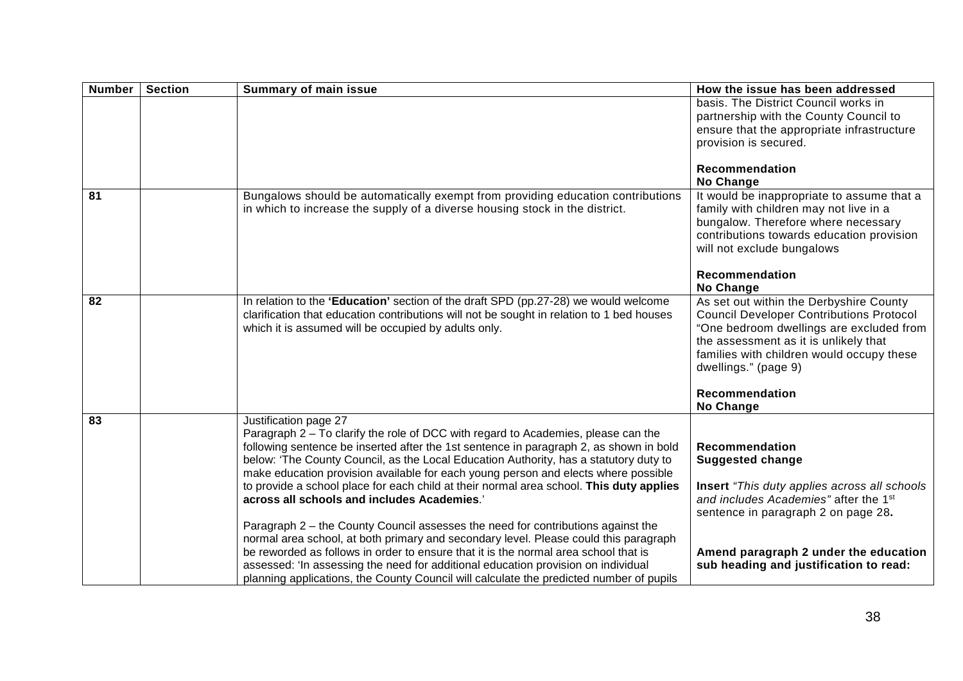| <b>Number</b>   | <b>Section</b> | <b>Summary of main issue</b>                                                                                                                                                                                                                                                                                                                                                                                                                                                                                                                                                                                                                                                                                                                                                                                                                                                                                                                                                     | How the issue has been addressed                                                                                                                                                                                                                                                           |
|-----------------|----------------|----------------------------------------------------------------------------------------------------------------------------------------------------------------------------------------------------------------------------------------------------------------------------------------------------------------------------------------------------------------------------------------------------------------------------------------------------------------------------------------------------------------------------------------------------------------------------------------------------------------------------------------------------------------------------------------------------------------------------------------------------------------------------------------------------------------------------------------------------------------------------------------------------------------------------------------------------------------------------------|--------------------------------------------------------------------------------------------------------------------------------------------------------------------------------------------------------------------------------------------------------------------------------------------|
|                 |                |                                                                                                                                                                                                                                                                                                                                                                                                                                                                                                                                                                                                                                                                                                                                                                                                                                                                                                                                                                                  | basis. The District Council works in<br>partnership with the County Council to<br>ensure that the appropriate infrastructure<br>provision is secured.                                                                                                                                      |
|                 |                |                                                                                                                                                                                                                                                                                                                                                                                                                                                                                                                                                                                                                                                                                                                                                                                                                                                                                                                                                                                  | <b>Recommendation</b><br>No Change                                                                                                                                                                                                                                                         |
| 81              |                | Bungalows should be automatically exempt from providing education contributions<br>in which to increase the supply of a diverse housing stock in the district.                                                                                                                                                                                                                                                                                                                                                                                                                                                                                                                                                                                                                                                                                                                                                                                                                   | It would be inappropriate to assume that a<br>family with children may not live in a<br>bungalow. Therefore where necessary<br>contributions towards education provision<br>will not exclude bungalows<br>Recommendation<br><b>No Change</b>                                               |
| 82              |                | In relation to the 'Education' section of the draft SPD (pp.27-28) we would welcome<br>clarification that education contributions will not be sought in relation to 1 bed houses<br>which it is assumed will be occupied by adults only.                                                                                                                                                                                                                                                                                                                                                                                                                                                                                                                                                                                                                                                                                                                                         | As set out within the Derbyshire County<br><b>Council Developer Contributions Protocol</b><br>"One bedroom dwellings are excluded from<br>the assessment as it is unlikely that<br>families with children would occupy these<br>dwellings." (page 9)<br>Recommendation<br><b>No Change</b> |
| $\overline{83}$ |                | Justification page 27<br>Paragraph 2 – To clarify the role of DCC with regard to Academies, please can the<br>following sentence be inserted after the 1st sentence in paragraph 2, as shown in bold<br>below: 'The County Council, as the Local Education Authority, has a statutory duty to<br>make education provision available for each young person and elects where possible<br>to provide a school place for each child at their normal area school. This duty applies<br>across all schools and includes Academies.'<br>Paragraph 2 - the County Council assesses the need for contributions against the<br>normal area school, at both primary and secondary level. Please could this paragraph<br>be reworded as follows in order to ensure that it is the normal area school that is<br>assessed: 'In assessing the need for additional education provision on individual<br>planning applications, the County Council will calculate the predicted number of pupils | <b>Recommendation</b><br><b>Suggested change</b><br><b>Insert</b> "This duty applies across all schools<br>and includes Academies" after the 1st<br>sentence in paragraph 2 on page 28.<br>Amend paragraph 2 under the education<br>sub heading and justification to read:                 |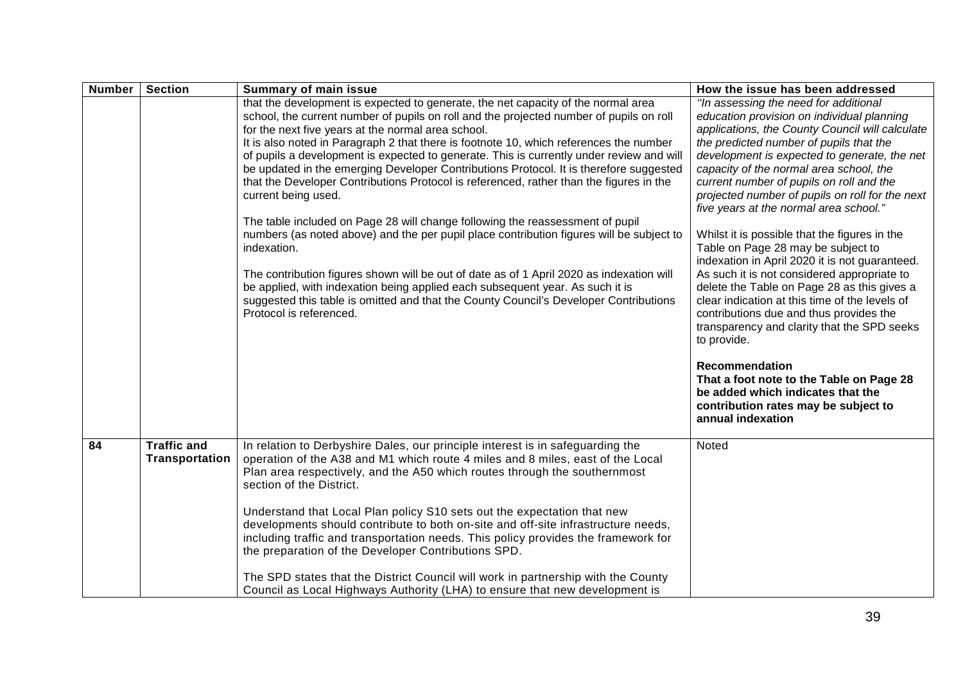| <b>Number</b>   | <b>Section</b>                       | <b>Summary of main issue</b>                                                                                                                                                                                                                                                                                                 | How the issue has been addressed                                                                                                                                                                                                                      |
|-----------------|--------------------------------------|------------------------------------------------------------------------------------------------------------------------------------------------------------------------------------------------------------------------------------------------------------------------------------------------------------------------------|-------------------------------------------------------------------------------------------------------------------------------------------------------------------------------------------------------------------------------------------------------|
|                 |                                      | that the development is expected to generate, the net capacity of the normal area<br>school, the current number of pupils on roll and the projected number of pupils on roll<br>for the next five years at the normal area school.<br>It is also noted in Paragraph 2 that there is footnote 10, which references the number | "In assessing the need for additional<br>education provision on individual planning<br>applications, the County Council will calculate<br>the predicted number of pupils that the                                                                     |
|                 |                                      | of pupils a development is expected to generate. This is currently under review and will<br>be updated in the emerging Developer Contributions Protocol. It is therefore suggested<br>that the Developer Contributions Protocol is referenced, rather than the figures in the<br>current being used.                         | development is expected to generate, the net<br>capacity of the normal area school, the<br>current number of pupils on roll and the<br>projected number of pupils on roll for the next<br>five years at the normal area school."                      |
|                 |                                      | The table included on Page 28 will change following the reassessment of pupil<br>numbers (as noted above) and the per pupil place contribution figures will be subject to<br>indexation.                                                                                                                                     | Whilst it is possible that the figures in the<br>Table on Page 28 may be subject to<br>indexation in April 2020 it is not guaranteed.                                                                                                                 |
|                 |                                      | The contribution figures shown will be out of date as of 1 April 2020 as indexation will<br>be applied, with indexation being applied each subsequent year. As such it is<br>suggested this table is omitted and that the County Council's Developer Contributions<br>Protocol is referenced.                                | As such it is not considered appropriate to<br>delete the Table on Page 28 as this gives a<br>clear indication at this time of the levels of<br>contributions due and thus provides the<br>transparency and clarity that the SPD seeks<br>to provide. |
|                 |                                      |                                                                                                                                                                                                                                                                                                                              | Recommendation<br>That a foot note to the Table on Page 28<br>be added which indicates that the<br>contribution rates may be subject to<br>annual indexation                                                                                          |
| $\overline{84}$ | <b>Traffic and</b><br>Transportation | In relation to Derbyshire Dales, our principle interest is in safeguarding the<br>operation of the A38 and M1 which route 4 miles and 8 miles, east of the Local<br>Plan area respectively, and the A50 which routes through the southernmost<br>section of the District.                                                    | Noted                                                                                                                                                                                                                                                 |
|                 |                                      | Understand that Local Plan policy S10 sets out the expectation that new<br>developments should contribute to both on-site and off-site infrastructure needs,<br>including traffic and transportation needs. This policy provides the framework for<br>the preparation of the Developer Contributions SPD.                    |                                                                                                                                                                                                                                                       |
|                 |                                      | The SPD states that the District Council will work in partnership with the County<br>Council as Local Highways Authority (LHA) to ensure that new development is                                                                                                                                                             |                                                                                                                                                                                                                                                       |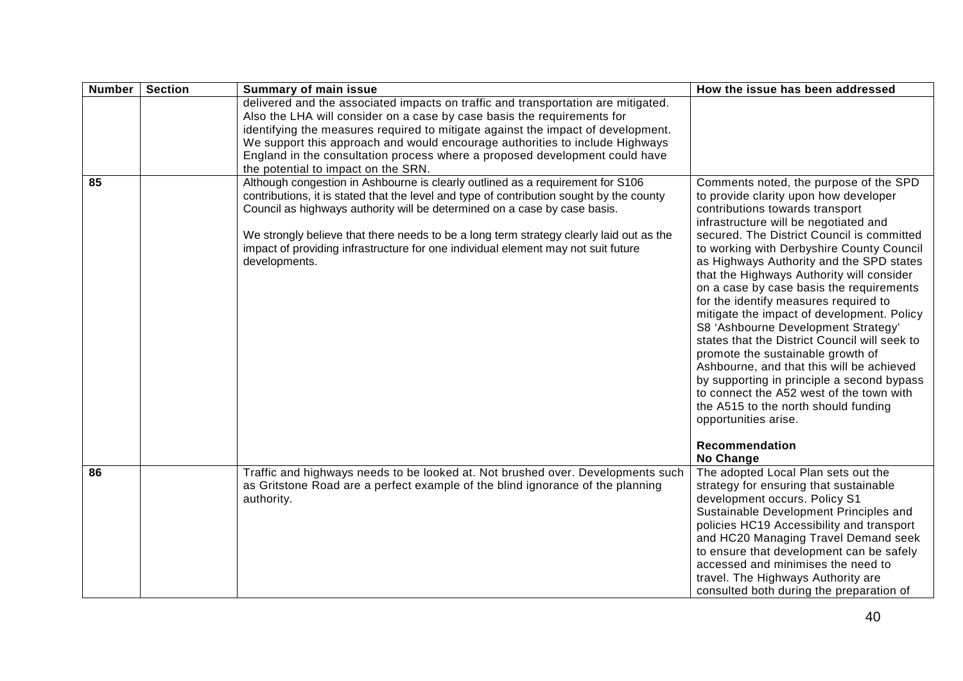| <b>Number</b> | <b>Section</b> | <b>Summary of main issue</b>                                                                                                                                                                                                                                                                                                                                                                                                                             | How the issue has been addressed                                                                                                                                                                                                                                                                                                                                                                                                                                                                                                                                                                                                                                                                                                                                                                                                         |
|---------------|----------------|----------------------------------------------------------------------------------------------------------------------------------------------------------------------------------------------------------------------------------------------------------------------------------------------------------------------------------------------------------------------------------------------------------------------------------------------------------|------------------------------------------------------------------------------------------------------------------------------------------------------------------------------------------------------------------------------------------------------------------------------------------------------------------------------------------------------------------------------------------------------------------------------------------------------------------------------------------------------------------------------------------------------------------------------------------------------------------------------------------------------------------------------------------------------------------------------------------------------------------------------------------------------------------------------------------|
|               |                | delivered and the associated impacts on traffic and transportation are mitigated.<br>Also the LHA will consider on a case by case basis the requirements for<br>identifying the measures required to mitigate against the impact of development.<br>We support this approach and would encourage authorities to include Highways<br>England in the consultation process where a proposed development could have<br>the potential to impact on the SRN.   |                                                                                                                                                                                                                                                                                                                                                                                                                                                                                                                                                                                                                                                                                                                                                                                                                                          |
| 85            |                | Although congestion in Ashbourne is clearly outlined as a requirement for S106<br>contributions, it is stated that the level and type of contribution sought by the county<br>Council as highways authority will be determined on a case by case basis.<br>We strongly believe that there needs to be a long term strategy clearly laid out as the<br>impact of providing infrastructure for one individual element may not suit future<br>developments. | Comments noted, the purpose of the SPD<br>to provide clarity upon how developer<br>contributions towards transport<br>infrastructure will be negotiated and<br>secured. The District Council is committed<br>to working with Derbyshire County Council<br>as Highways Authority and the SPD states<br>that the Highways Authority will consider<br>on a case by case basis the requirements<br>for the identify measures required to<br>mitigate the impact of development. Policy<br>S8 'Ashbourne Development Strategy'<br>states that the District Council will seek to<br>promote the sustainable growth of<br>Ashbourne, and that this will be achieved<br>by supporting in principle a second bypass<br>to connect the A52 west of the town with<br>the A515 to the north should funding<br>opportunities arise.<br>Recommendation |
|               |                |                                                                                                                                                                                                                                                                                                                                                                                                                                                          | No Change                                                                                                                                                                                                                                                                                                                                                                                                                                                                                                                                                                                                                                                                                                                                                                                                                                |
| 86            |                | Traffic and highways needs to be looked at. Not brushed over. Developments such<br>as Gritstone Road are a perfect example of the blind ignorance of the planning<br>authority.                                                                                                                                                                                                                                                                          | The adopted Local Plan sets out the<br>strategy for ensuring that sustainable<br>development occurs. Policy S1<br>Sustainable Development Principles and<br>policies HC19 Accessibility and transport<br>and HC20 Managing Travel Demand seek<br>to ensure that development can be safely<br>accessed and minimises the need to<br>travel. The Highways Authority are<br>consulted both during the preparation of                                                                                                                                                                                                                                                                                                                                                                                                                        |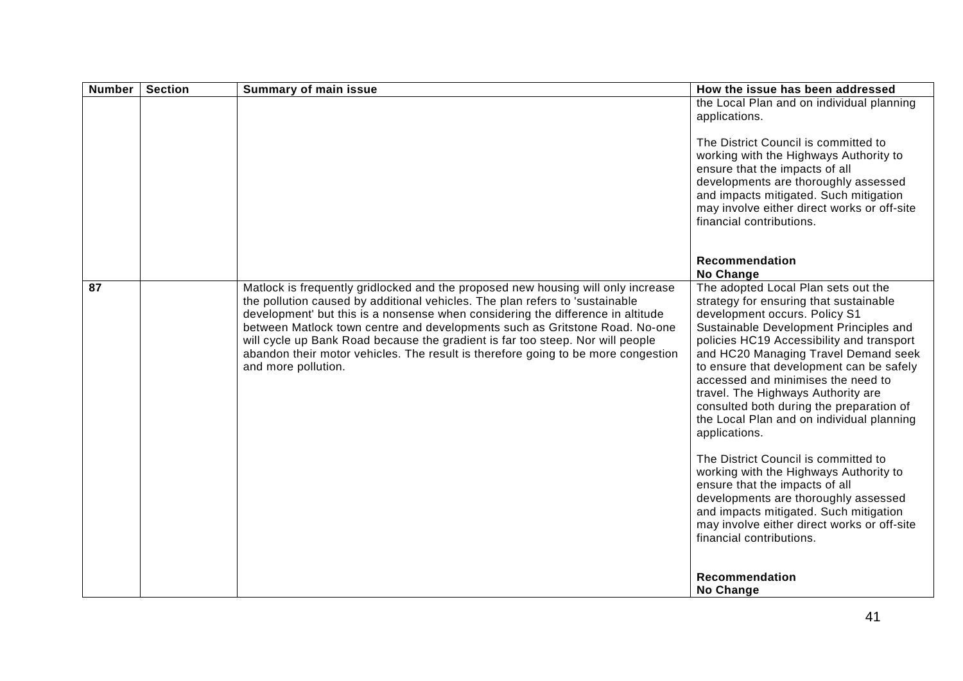| <b>Number</b> | <b>Section</b> | <b>Summary of main issue</b>                                                                                                                                                                                                                                                                                                                                                                                                                                                                                                     | How the issue has been addressed                                                                                                                                                                                                                                                                                                                                                                                                                                                                                                                                                                                                                                                                                                                                 |
|---------------|----------------|----------------------------------------------------------------------------------------------------------------------------------------------------------------------------------------------------------------------------------------------------------------------------------------------------------------------------------------------------------------------------------------------------------------------------------------------------------------------------------------------------------------------------------|------------------------------------------------------------------------------------------------------------------------------------------------------------------------------------------------------------------------------------------------------------------------------------------------------------------------------------------------------------------------------------------------------------------------------------------------------------------------------------------------------------------------------------------------------------------------------------------------------------------------------------------------------------------------------------------------------------------------------------------------------------------|
|               |                |                                                                                                                                                                                                                                                                                                                                                                                                                                                                                                                                  | the Local Plan and on individual planning<br>applications.                                                                                                                                                                                                                                                                                                                                                                                                                                                                                                                                                                                                                                                                                                       |
|               |                |                                                                                                                                                                                                                                                                                                                                                                                                                                                                                                                                  | The District Council is committed to<br>working with the Highways Authority to<br>ensure that the impacts of all<br>developments are thoroughly assessed<br>and impacts mitigated. Such mitigation<br>may involve either direct works or off-site<br>financial contributions.                                                                                                                                                                                                                                                                                                                                                                                                                                                                                    |
|               |                |                                                                                                                                                                                                                                                                                                                                                                                                                                                                                                                                  | <b>Recommendation</b><br><b>No Change</b>                                                                                                                                                                                                                                                                                                                                                                                                                                                                                                                                                                                                                                                                                                                        |
| 87            |                | Matlock is frequently gridlocked and the proposed new housing will only increase<br>the pollution caused by additional vehicles. The plan refers to 'sustainable<br>development' but this is a nonsense when considering the difference in altitude<br>between Matlock town centre and developments such as Gritstone Road. No-one<br>will cycle up Bank Road because the gradient is far too steep. Nor will people<br>abandon their motor vehicles. The result is therefore going to be more congestion<br>and more pollution. | The adopted Local Plan sets out the<br>strategy for ensuring that sustainable<br>development occurs. Policy S1<br>Sustainable Development Principles and<br>policies HC19 Accessibility and transport<br>and HC20 Managing Travel Demand seek<br>to ensure that development can be safely<br>accessed and minimises the need to<br>travel. The Highways Authority are<br>consulted both during the preparation of<br>the Local Plan and on individual planning<br>applications.<br>The District Council is committed to<br>working with the Highways Authority to<br>ensure that the impacts of all<br>developments are thoroughly assessed<br>and impacts mitigated. Such mitigation<br>may involve either direct works or off-site<br>financial contributions. |
|               |                |                                                                                                                                                                                                                                                                                                                                                                                                                                                                                                                                  | Recommendation<br>No Change                                                                                                                                                                                                                                                                                                                                                                                                                                                                                                                                                                                                                                                                                                                                      |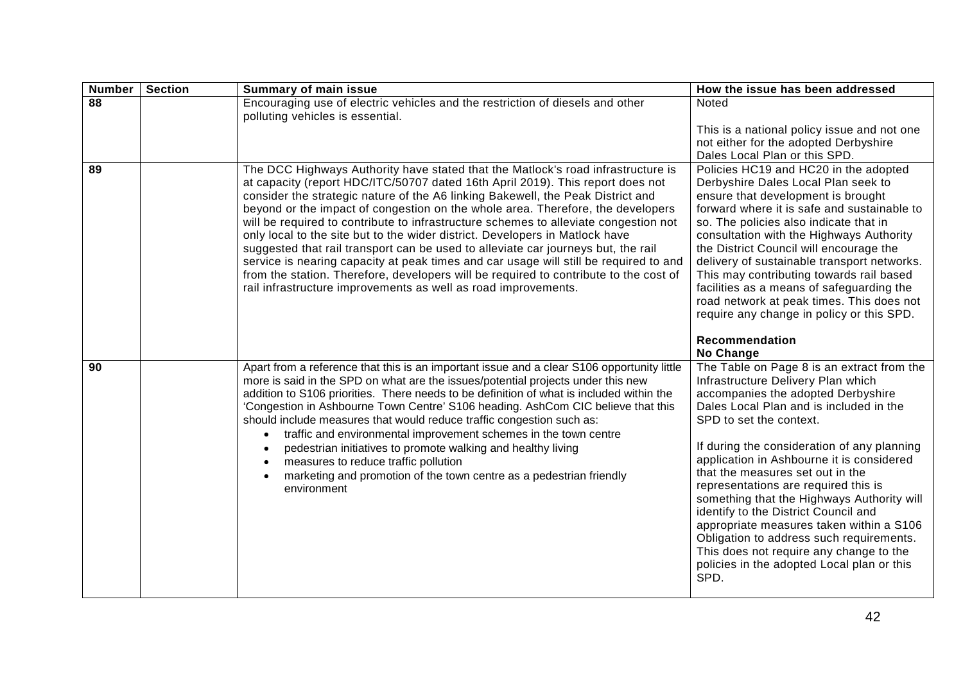| <b>Number</b> | <b>Section</b> | <b>Summary of main issue</b>                                                                                                                                                                                                                                                                                                                                                                                                                                                                                                                                                                                                                                                                                                                                                                                                                              | How the issue has been addressed                                                                                                                                                                                                                                                                                                                                                                                                                                                                                                                                                                                                                    |
|---------------|----------------|-----------------------------------------------------------------------------------------------------------------------------------------------------------------------------------------------------------------------------------------------------------------------------------------------------------------------------------------------------------------------------------------------------------------------------------------------------------------------------------------------------------------------------------------------------------------------------------------------------------------------------------------------------------------------------------------------------------------------------------------------------------------------------------------------------------------------------------------------------------|-----------------------------------------------------------------------------------------------------------------------------------------------------------------------------------------------------------------------------------------------------------------------------------------------------------------------------------------------------------------------------------------------------------------------------------------------------------------------------------------------------------------------------------------------------------------------------------------------------------------------------------------------------|
| 88            |                | Encouraging use of electric vehicles and the restriction of diesels and other<br>polluting vehicles is essential.                                                                                                                                                                                                                                                                                                                                                                                                                                                                                                                                                                                                                                                                                                                                         | Noted                                                                                                                                                                                                                                                                                                                                                                                                                                                                                                                                                                                                                                               |
|               |                |                                                                                                                                                                                                                                                                                                                                                                                                                                                                                                                                                                                                                                                                                                                                                                                                                                                           | This is a national policy issue and not one<br>not either for the adopted Derbyshire<br>Dales Local Plan or this SPD.                                                                                                                                                                                                                                                                                                                                                                                                                                                                                                                               |
| 89            |                | The DCC Highways Authority have stated that the Matlock's road infrastructure is<br>at capacity (report HDC/ITC/50707 dated 16th April 2019). This report does not<br>consider the strategic nature of the A6 linking Bakewell, the Peak District and<br>beyond or the impact of congestion on the whole area. Therefore, the developers<br>will be required to contribute to infrastructure schemes to alleviate congestion not<br>only local to the site but to the wider district. Developers in Matlock have<br>suggested that rail transport can be used to alleviate car journeys but, the rail<br>service is nearing capacity at peak times and car usage will still be required to and<br>from the station. Therefore, developers will be required to contribute to the cost of<br>rail infrastructure improvements as well as road improvements. | Policies HC19 and HC20 in the adopted<br>Derbyshire Dales Local Plan seek to<br>ensure that development is brought<br>forward where it is safe and sustainable to<br>so. The policies also indicate that in<br>consultation with the Highways Authority<br>the District Council will encourage the<br>delivery of sustainable transport networks.<br>This may contributing towards rail based<br>facilities as a means of safeguarding the<br>road network at peak times. This does not<br>require any change in policy or this SPD.                                                                                                                |
|               |                |                                                                                                                                                                                                                                                                                                                                                                                                                                                                                                                                                                                                                                                                                                                                                                                                                                                           | Recommendation<br>No Change                                                                                                                                                                                                                                                                                                                                                                                                                                                                                                                                                                                                                         |
| 90            |                | Apart from a reference that this is an important issue and a clear S106 opportunity little<br>more is said in the SPD on what are the issues/potential projects under this new<br>addition to S106 priorities. There needs to be definition of what is included within the<br>'Congestion in Ashbourne Town Centre' S106 heading. AshCom CIC believe that this<br>should include measures that would reduce traffic congestion such as:<br>traffic and environmental improvement schemes in the town centre<br>pedestrian initiatives to promote walking and healthy living<br>measures to reduce traffic pollution<br>marketing and promotion of the town centre as a pedestrian friendly<br>environment                                                                                                                                                 | The Table on Page 8 is an extract from the<br>Infrastructure Delivery Plan which<br>accompanies the adopted Derbyshire<br>Dales Local Plan and is included in the<br>SPD to set the context.<br>If during the consideration of any planning<br>application in Ashbourne it is considered<br>that the measures set out in the<br>representations are required this is<br>something that the Highways Authority will<br>identify to the District Council and<br>appropriate measures taken within a S106<br>Obligation to address such requirements.<br>This does not require any change to the<br>policies in the adopted Local plan or this<br>SPD. |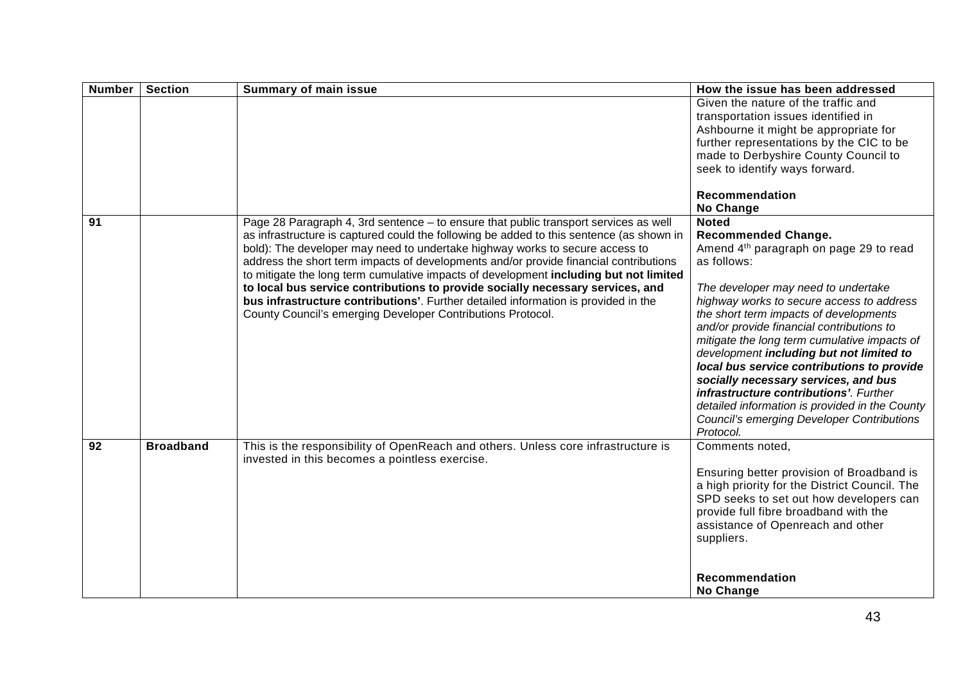| <b>Number</b> | <b>Section</b>   | <b>Summary of main issue</b>                                                                                                                                                                                                                                                                                                                                                                                                                                                                                                                                                                                                                                                              | How the issue has been addressed                                                                                                                                                                                                                                                                                                                                                                                                                                                                                                                                                                                                                        |
|---------------|------------------|-------------------------------------------------------------------------------------------------------------------------------------------------------------------------------------------------------------------------------------------------------------------------------------------------------------------------------------------------------------------------------------------------------------------------------------------------------------------------------------------------------------------------------------------------------------------------------------------------------------------------------------------------------------------------------------------|---------------------------------------------------------------------------------------------------------------------------------------------------------------------------------------------------------------------------------------------------------------------------------------------------------------------------------------------------------------------------------------------------------------------------------------------------------------------------------------------------------------------------------------------------------------------------------------------------------------------------------------------------------|
|               |                  |                                                                                                                                                                                                                                                                                                                                                                                                                                                                                                                                                                                                                                                                                           | Given the nature of the traffic and<br>transportation issues identified in<br>Ashbourne it might be appropriate for<br>further representations by the CIC to be<br>made to Derbyshire County Council to<br>seek to identify ways forward.<br>Recommendation                                                                                                                                                                                                                                                                                                                                                                                             |
| 91            |                  | Page 28 Paragraph 4, 3rd sentence - to ensure that public transport services as well<br>as infrastructure is captured could the following be added to this sentence (as shown in<br>bold): The developer may need to undertake highway works to secure access to<br>address the short term impacts of developments and/or provide financial contributions<br>to mitigate the long term cumulative impacts of development including but not limited<br>to local bus service contributions to provide socially necessary services, and<br>bus infrastructure contributions'. Further detailed information is provided in the<br>County Council's emerging Developer Contributions Protocol. | No Change<br><b>Noted</b><br><b>Recommended Change.</b><br>Amend 4 <sup>th</sup> paragraph on page 29 to read<br>as follows:<br>The developer may need to undertake<br>highway works to secure access to address<br>the short term impacts of developments<br>and/or provide financial contributions to<br>mitigate the long term cumulative impacts of<br>development including but not limited to<br>local bus service contributions to provide<br>socially necessary services, and bus<br>infrastructure contributions'. Further<br>detailed information is provided in the County<br><b>Council's emerging Developer Contributions</b><br>Protocol. |
| 92            | <b>Broadband</b> | This is the responsibility of OpenReach and others. Unless core infrastructure is<br>invested in this becomes a pointless exercise.                                                                                                                                                                                                                                                                                                                                                                                                                                                                                                                                                       | Comments noted,<br>Ensuring better provision of Broadband is<br>a high priority for the District Council. The<br>SPD seeks to set out how developers can<br>provide full fibre broadband with the<br>assistance of Openreach and other<br>suppliers.<br><b>Recommendation</b><br>No Change                                                                                                                                                                                                                                                                                                                                                              |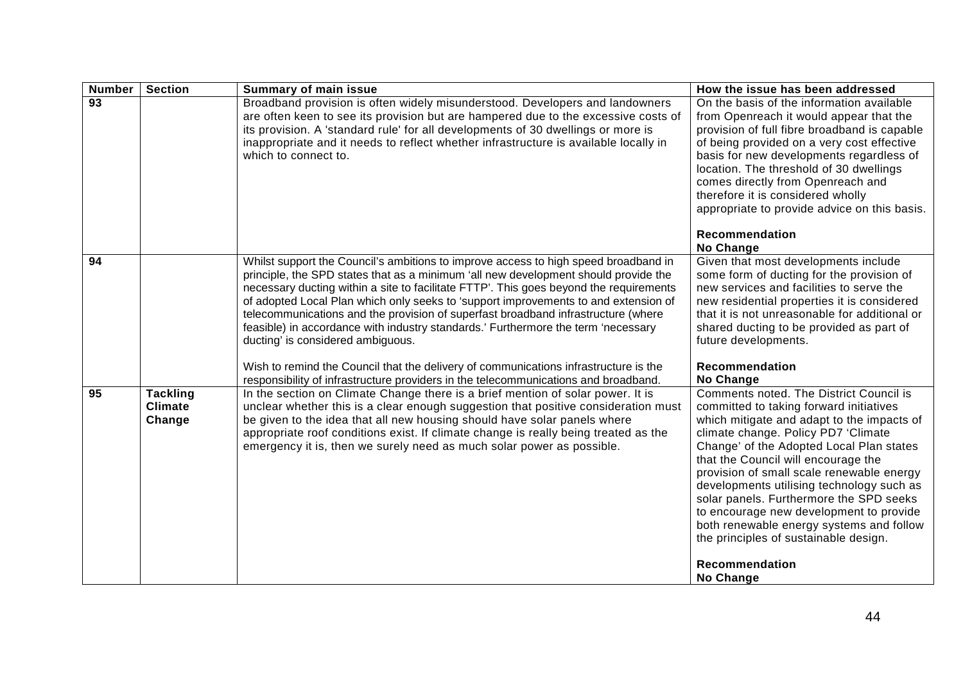| <b>Number</b>   | <b>Section</b>                              | <b>Summary of main issue</b>                                                                                                                                                                                                                                                                                                                                                                                                                                                                                                                                                                                                                                                                                                                              | How the issue has been addressed                                                                                                                                                                                                                                                                                                                                                                                                                                                                                                                                      |
|-----------------|---------------------------------------------|-----------------------------------------------------------------------------------------------------------------------------------------------------------------------------------------------------------------------------------------------------------------------------------------------------------------------------------------------------------------------------------------------------------------------------------------------------------------------------------------------------------------------------------------------------------------------------------------------------------------------------------------------------------------------------------------------------------------------------------------------------------|-----------------------------------------------------------------------------------------------------------------------------------------------------------------------------------------------------------------------------------------------------------------------------------------------------------------------------------------------------------------------------------------------------------------------------------------------------------------------------------------------------------------------------------------------------------------------|
| $\overline{93}$ |                                             | Broadband provision is often widely misunderstood. Developers and landowners<br>are often keen to see its provision but are hampered due to the excessive costs of<br>its provision. A 'standard rule' for all developments of 30 dwellings or more is<br>inappropriate and it needs to reflect whether infrastructure is available locally in<br>which to connect to.                                                                                                                                                                                                                                                                                                                                                                                    | On the basis of the information available<br>from Openreach it would appear that the<br>provision of full fibre broadband is capable<br>of being provided on a very cost effective<br>basis for new developments regardless of<br>location. The threshold of 30 dwellings<br>comes directly from Openreach and<br>therefore it is considered wholly<br>appropriate to provide advice on this basis.<br><b>Recommendation</b>                                                                                                                                          |
| 94              |                                             | Whilst support the Council's ambitions to improve access to high speed broadband in<br>principle, the SPD states that as a minimum 'all new development should provide the<br>necessary ducting within a site to facilitate FTTP'. This goes beyond the requirements<br>of adopted Local Plan which only seeks to 'support improvements to and extension of<br>telecommunications and the provision of superfast broadband infrastructure (where<br>feasible) in accordance with industry standards.' Furthermore the term 'necessary<br>ducting' is considered ambiguous.<br>Wish to remind the Council that the delivery of communications infrastructure is the<br>responsibility of infrastructure providers in the telecommunications and broadband. | <b>No Change</b><br>Given that most developments include<br>some form of ducting for the provision of<br>new services and facilities to serve the<br>new residential properties it is considered<br>that it is not unreasonable for additional or<br>shared ducting to be provided as part of<br>future developments.<br><b>Recommendation</b><br>No Change                                                                                                                                                                                                           |
| $\overline{95}$ | <b>Tackling</b><br><b>Climate</b><br>Change | In the section on Climate Change there is a brief mention of solar power. It is<br>unclear whether this is a clear enough suggestion that positive consideration must<br>be given to the idea that all new housing should have solar panels where<br>appropriate roof conditions exist. If climate change is really being treated as the<br>emergency it is, then we surely need as much solar power as possible.                                                                                                                                                                                                                                                                                                                                         | Comments noted. The District Council is<br>committed to taking forward initiatives<br>which mitigate and adapt to the impacts of<br>climate change. Policy PD7 'Climate<br>Change' of the Adopted Local Plan states<br>that the Council will encourage the<br>provision of small scale renewable energy<br>developments utilising technology such as<br>solar panels. Furthermore the SPD seeks<br>to encourage new development to provide<br>both renewable energy systems and follow<br>the principles of sustainable design.<br><b>Recommendation</b><br>No Change |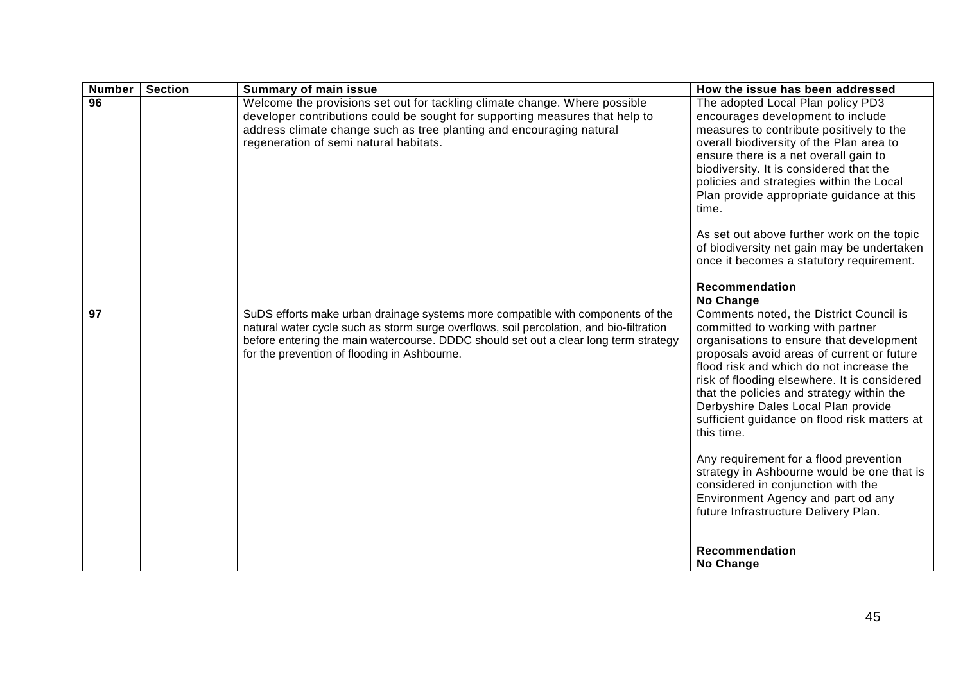| <b>Number</b>   | <b>Section</b> | <b>Summary of main issue</b>                                                                                                                                                                                                                                                                                       | How the issue has been addressed                                                                                                                                                                                                                                                                                                                                                                                                                                                                                                                                                                                                                                |
|-----------------|----------------|--------------------------------------------------------------------------------------------------------------------------------------------------------------------------------------------------------------------------------------------------------------------------------------------------------------------|-----------------------------------------------------------------------------------------------------------------------------------------------------------------------------------------------------------------------------------------------------------------------------------------------------------------------------------------------------------------------------------------------------------------------------------------------------------------------------------------------------------------------------------------------------------------------------------------------------------------------------------------------------------------|
| $\overline{96}$ |                | Welcome the provisions set out for tackling climate change. Where possible<br>developer contributions could be sought for supporting measures that help to<br>address climate change such as tree planting and encouraging natural<br>regeneration of semi natural habitats.                                       | The adopted Local Plan policy PD3<br>encourages development to include<br>measures to contribute positively to the<br>overall biodiversity of the Plan area to<br>ensure there is a net overall gain to<br>biodiversity. It is considered that the<br>policies and strategies within the Local<br>Plan provide appropriate guidance at this<br>time.<br>As set out above further work on the topic<br>of biodiversity net gain may be undertaken<br>once it becomes a statutory requirement.<br>Recommendation<br><b>No Change</b>                                                                                                                              |
| 97              |                | SuDS efforts make urban drainage systems more compatible with components of the<br>natural water cycle such as storm surge overflows, soil percolation, and bio-filtration<br>before entering the main watercourse. DDDC should set out a clear long term strategy<br>for the prevention of flooding in Ashbourne. | Comments noted, the District Council is<br>committed to working with partner<br>organisations to ensure that development<br>proposals avoid areas of current or future<br>flood risk and which do not increase the<br>risk of flooding elsewhere. It is considered<br>that the policies and strategy within the<br>Derbyshire Dales Local Plan provide<br>sufficient guidance on flood risk matters at<br>this time.<br>Any requirement for a flood prevention<br>strategy in Ashbourne would be one that is<br>considered in conjunction with the<br>Environment Agency and part od any<br>future Infrastructure Delivery Plan.<br>Recommendation<br>No Change |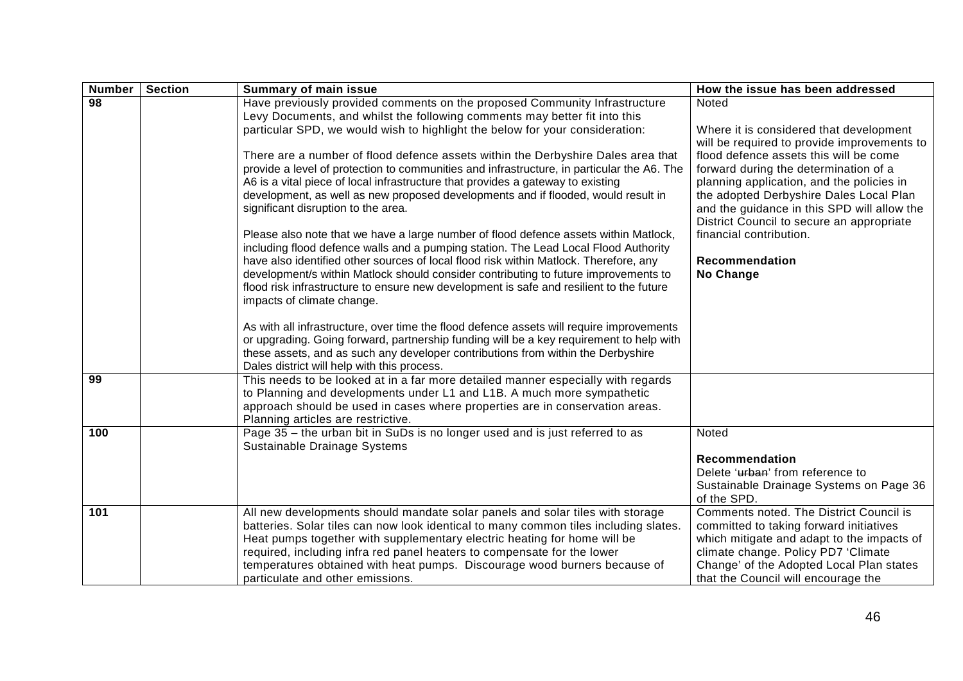| <b>Number</b>   | <b>Section</b> | <b>Summary of main issue</b>                                                                                                                                                                                                                                                                                                                                                                                                                  | How the issue has been addressed                                                                                                                                                                                                                           |
|-----------------|----------------|-----------------------------------------------------------------------------------------------------------------------------------------------------------------------------------------------------------------------------------------------------------------------------------------------------------------------------------------------------------------------------------------------------------------------------------------------|------------------------------------------------------------------------------------------------------------------------------------------------------------------------------------------------------------------------------------------------------------|
| $\overline{98}$ |                | Have previously provided comments on the proposed Community Infrastructure<br>Levy Documents, and whilst the following comments may better fit into this<br>particular SPD, we would wish to highlight the below for your consideration:<br>There are a number of flood defence assets within the Derbyshire Dales area that<br>provide a level of protection to communities and infrastructure, in particular the A6. The                    | Noted<br>Where it is considered that development<br>will be required to provide improvements to<br>flood defence assets this will be come<br>forward during the determination of a                                                                         |
|                 |                | A6 is a vital piece of local infrastructure that provides a gateway to existing<br>development, as well as new proposed developments and if flooded, would result in<br>significant disruption to the area.<br>Please also note that we have a large number of flood defence assets within Matlock,                                                                                                                                           | planning application, and the policies in<br>the adopted Derbyshire Dales Local Plan<br>and the guidance in this SPD will allow the<br>District Council to secure an appropriate<br>financial contribution.                                                |
|                 |                | including flood defence walls and a pumping station. The Lead Local Flood Authority<br>have also identified other sources of local flood risk within Matlock. Therefore, any<br>development/s within Matlock should consider contributing to future improvements to<br>flood risk infrastructure to ensure new development is safe and resilient to the future<br>impacts of climate change.                                                  | Recommendation<br>No Change                                                                                                                                                                                                                                |
|                 |                | As with all infrastructure, over time the flood defence assets will require improvements<br>or upgrading. Going forward, partnership funding will be a key requirement to help with<br>these assets, and as such any developer contributions from within the Derbyshire<br>Dales district will help with this process.                                                                                                                        |                                                                                                                                                                                                                                                            |
| 99              |                | This needs to be looked at in a far more detailed manner especially with regards<br>to Planning and developments under L1 and L1B. A much more sympathetic<br>approach should be used in cases where properties are in conservation areas.<br>Planning articles are restrictive.                                                                                                                                                              |                                                                                                                                                                                                                                                            |
| 100             |                | Page 35 - the urban bit in SuDs is no longer used and is just referred to as<br>Sustainable Drainage Systems                                                                                                                                                                                                                                                                                                                                  | Noted<br><b>Recommendation</b><br>Delete 'urban' from reference to<br>Sustainable Drainage Systems on Page 36<br>of the SPD.                                                                                                                               |
| 101             |                | All new developments should mandate solar panels and solar tiles with storage<br>batteries. Solar tiles can now look identical to many common tiles including slates.<br>Heat pumps together with supplementary electric heating for home will be<br>required, including infra red panel heaters to compensate for the lower<br>temperatures obtained with heat pumps. Discourage wood burners because of<br>particulate and other emissions. | Comments noted. The District Council is<br>committed to taking forward initiatives<br>which mitigate and adapt to the impacts of<br>climate change. Policy PD7 'Climate<br>Change' of the Adopted Local Plan states<br>that the Council will encourage the |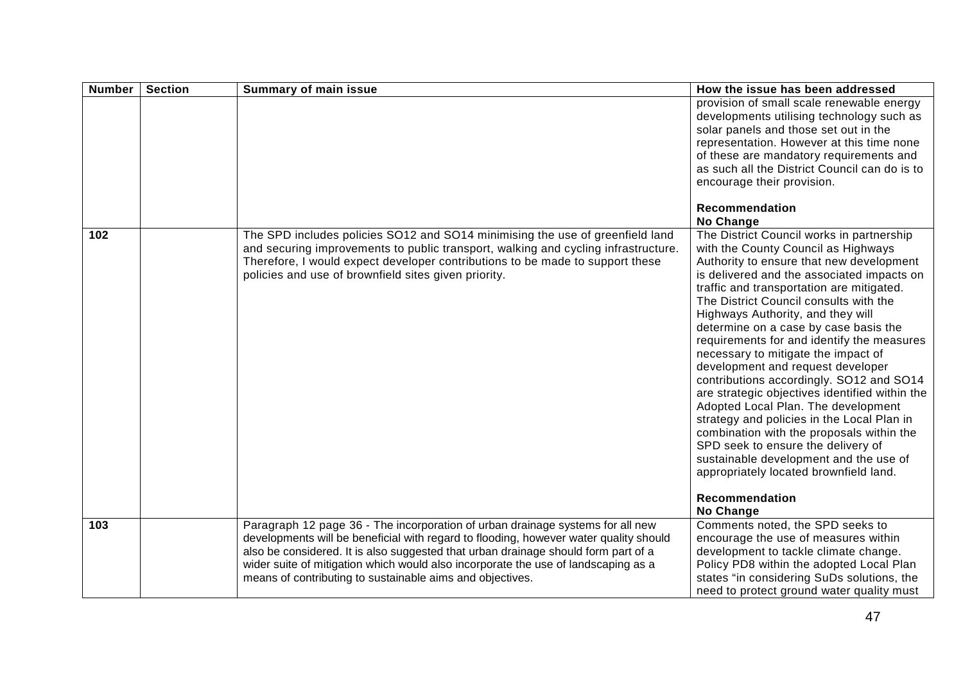| <b>Number</b> | <b>Section</b> | <b>Summary of main issue</b>                                                                                                                                                                                                                                                                                                                                                                                     | How the issue has been addressed                                                                                                                                                                                                                                                                                                                                                                                                                                                                                                                                                                                                                                                                                                                                                                                                                                   |
|---------------|----------------|------------------------------------------------------------------------------------------------------------------------------------------------------------------------------------------------------------------------------------------------------------------------------------------------------------------------------------------------------------------------------------------------------------------|--------------------------------------------------------------------------------------------------------------------------------------------------------------------------------------------------------------------------------------------------------------------------------------------------------------------------------------------------------------------------------------------------------------------------------------------------------------------------------------------------------------------------------------------------------------------------------------------------------------------------------------------------------------------------------------------------------------------------------------------------------------------------------------------------------------------------------------------------------------------|
|               |                |                                                                                                                                                                                                                                                                                                                                                                                                                  | provision of small scale renewable energy<br>developments utilising technology such as<br>solar panels and those set out in the<br>representation. However at this time none<br>of these are mandatory requirements and<br>as such all the District Council can do is to<br>encourage their provision.                                                                                                                                                                                                                                                                                                                                                                                                                                                                                                                                                             |
|               |                |                                                                                                                                                                                                                                                                                                                                                                                                                  | Recommendation<br>No Change                                                                                                                                                                                                                                                                                                                                                                                                                                                                                                                                                                                                                                                                                                                                                                                                                                        |
| 102           |                | The SPD includes policies SO12 and SO14 minimising the use of greenfield land<br>and securing improvements to public transport, walking and cycling infrastructure.<br>Therefore, I would expect developer contributions to be made to support these<br>policies and use of brownfield sites given priority.                                                                                                     | The District Council works in partnership<br>with the County Council as Highways<br>Authority to ensure that new development<br>is delivered and the associated impacts on<br>traffic and transportation are mitigated.<br>The District Council consults with the<br>Highways Authority, and they will<br>determine on a case by case basis the<br>requirements for and identify the measures<br>necessary to mitigate the impact of<br>development and request developer<br>contributions accordingly. SO12 and SO14<br>are strategic objectives identified within the<br>Adopted Local Plan. The development<br>strategy and policies in the Local Plan in<br>combination with the proposals within the<br>SPD seek to ensure the delivery of<br>sustainable development and the use of<br>appropriately located brownfield land.<br>Recommendation<br>No Change |
| 103           |                | Paragraph 12 page 36 - The incorporation of urban drainage systems for all new<br>developments will be beneficial with regard to flooding, however water quality should<br>also be considered. It is also suggested that urban drainage should form part of a<br>wider suite of mitigation which would also incorporate the use of landscaping as a<br>means of contributing to sustainable aims and objectives. | Comments noted, the SPD seeks to<br>encourage the use of measures within<br>development to tackle climate change.<br>Policy PD8 within the adopted Local Plan<br>states "in considering SuDs solutions, the                                                                                                                                                                                                                                                                                                                                                                                                                                                                                                                                                                                                                                                        |
|               |                |                                                                                                                                                                                                                                                                                                                                                                                                                  | need to protect ground water quality must                                                                                                                                                                                                                                                                                                                                                                                                                                                                                                                                                                                                                                                                                                                                                                                                                          |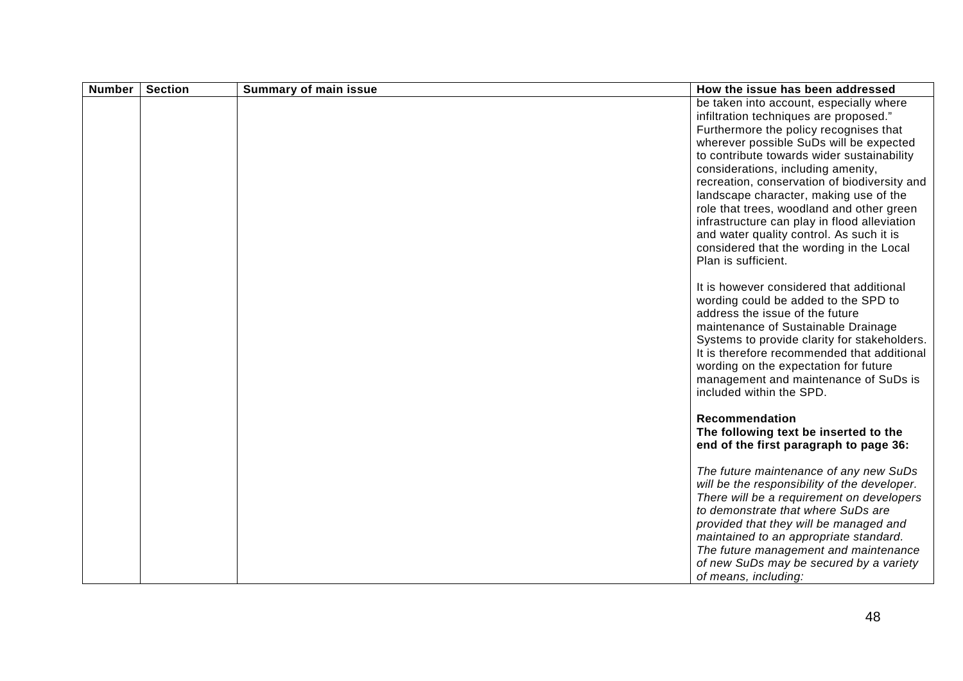| <b>Number</b> | <b>Section</b> | <b>Summary of main issue</b> | How the issue has been addressed                                                                                                                                                                                                                                                                                                                                                                                                                                                                                                                                 |
|---------------|----------------|------------------------------|------------------------------------------------------------------------------------------------------------------------------------------------------------------------------------------------------------------------------------------------------------------------------------------------------------------------------------------------------------------------------------------------------------------------------------------------------------------------------------------------------------------------------------------------------------------|
|               |                |                              | be taken into account, especially where<br>infiltration techniques are proposed."<br>Furthermore the policy recognises that<br>wherever possible SuDs will be expected<br>to contribute towards wider sustainability<br>considerations, including amenity,<br>recreation, conservation of biodiversity and<br>landscape character, making use of the<br>role that trees, woodland and other green<br>infrastructure can play in flood alleviation<br>and water quality control. As such it is<br>considered that the wording in the Local<br>Plan is sufficient. |
|               |                |                              | It is however considered that additional<br>wording could be added to the SPD to<br>address the issue of the future<br>maintenance of Sustainable Drainage<br>Systems to provide clarity for stakeholders.<br>It is therefore recommended that additional<br>wording on the expectation for future<br>management and maintenance of SuDs is<br>included within the SPD.                                                                                                                                                                                          |
|               |                |                              | Recommendation<br>The following text be inserted to the<br>end of the first paragraph to page 36:                                                                                                                                                                                                                                                                                                                                                                                                                                                                |
|               |                |                              | The future maintenance of any new SuDs<br>will be the responsibility of the developer.<br>There will be a requirement on developers<br>to demonstrate that where SuDs are<br>provided that they will be managed and<br>maintained to an appropriate standard.<br>The future management and maintenance<br>of new SuDs may be secured by a variety<br>of means, including:                                                                                                                                                                                        |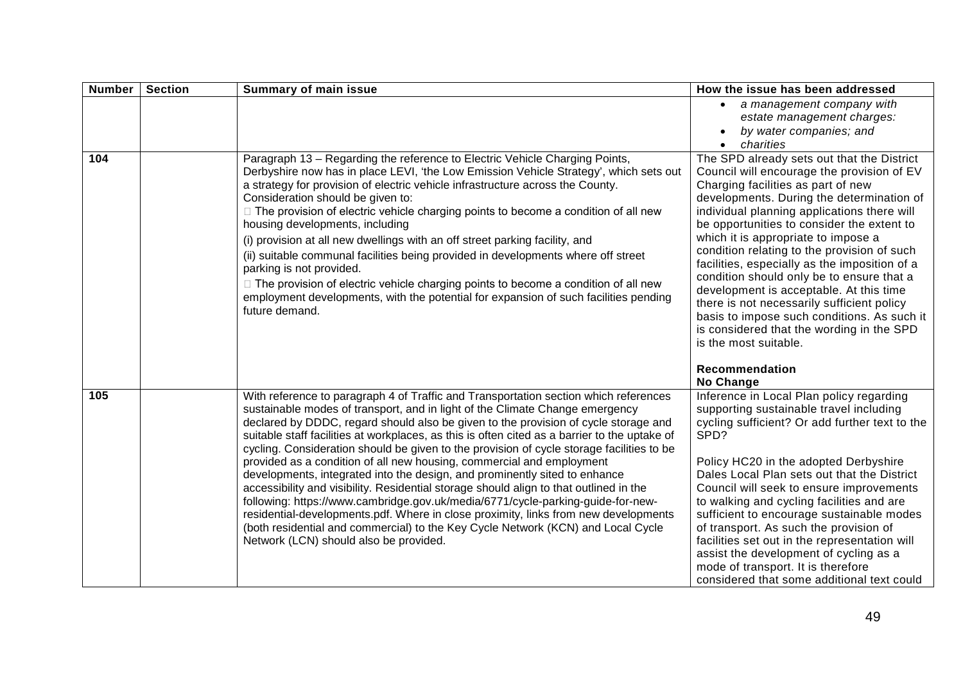| <b>Number</b> | <b>Section</b> | <b>Summary of main issue</b>                                                                                                                                                                                                                                                                                                                                                                                                                                                                                                                                                                                                                                                                                                                                                                                                                                                                                                                                                                                       | How the issue has been addressed                                                                                                                                                                                                                                                                                                                                                                                                                                                                                                                                                                     |
|---------------|----------------|--------------------------------------------------------------------------------------------------------------------------------------------------------------------------------------------------------------------------------------------------------------------------------------------------------------------------------------------------------------------------------------------------------------------------------------------------------------------------------------------------------------------------------------------------------------------------------------------------------------------------------------------------------------------------------------------------------------------------------------------------------------------------------------------------------------------------------------------------------------------------------------------------------------------------------------------------------------------------------------------------------------------|------------------------------------------------------------------------------------------------------------------------------------------------------------------------------------------------------------------------------------------------------------------------------------------------------------------------------------------------------------------------------------------------------------------------------------------------------------------------------------------------------------------------------------------------------------------------------------------------------|
| 104           |                | Paragraph 13 - Regarding the reference to Electric Vehicle Charging Points,<br>Derbyshire now has in place LEVI, 'the Low Emission Vehicle Strategy', which sets out<br>a strategy for provision of electric vehicle infrastructure across the County.<br>Consideration should be given to:<br>□ The provision of electric vehicle charging points to become a condition of all new<br>housing developments, including                                                                                                                                                                                                                                                                                                                                                                                                                                                                                                                                                                                             | a management company with<br>estate management charges:<br>by water companies; and<br>charities<br>$\bullet$<br>The SPD already sets out that the District<br>Council will encourage the provision of EV<br>Charging facilities as part of new<br>developments. During the determination of<br>individual planning applications there will<br>be opportunities to consider the extent to                                                                                                                                                                                                             |
|               |                | (i) provision at all new dwellings with an off street parking facility, and<br>(ii) suitable communal facilities being provided in developments where off street<br>parking is not provided.<br>□ The provision of electric vehicle charging points to become a condition of all new<br>employment developments, with the potential for expansion of such facilities pending<br>future demand.                                                                                                                                                                                                                                                                                                                                                                                                                                                                                                                                                                                                                     | which it is appropriate to impose a<br>condition relating to the provision of such<br>facilities, especially as the imposition of a<br>condition should only be to ensure that a<br>development is acceptable. At this time<br>there is not necessarily sufficient policy<br>basis to impose such conditions. As such it<br>is considered that the wording in the SPD<br>is the most suitable.<br>Recommendation<br>No Change                                                                                                                                                                        |
| 105           |                | With reference to paragraph 4 of Traffic and Transportation section which references<br>sustainable modes of transport, and in light of the Climate Change emergency<br>declared by DDDC, regard should also be given to the provision of cycle storage and<br>suitable staff facilities at workplaces, as this is often cited as a barrier to the uptake of<br>cycling. Consideration should be given to the provision of cycle storage facilities to be<br>provided as a condition of all new housing, commercial and employment<br>developments, integrated into the design, and prominently sited to enhance<br>accessibility and visibility. Residential storage should align to that outlined in the<br>following: https://www.cambridge.gov.uk/media/6771/cycle-parking-guide-for-new-<br>residential-developments.pdf. Where in close proximity, links from new developments<br>(both residential and commercial) to the Key Cycle Network (KCN) and Local Cycle<br>Network (LCN) should also be provided. | Inference in Local Plan policy regarding<br>supporting sustainable travel including<br>cycling sufficient? Or add further text to the<br>SPD?<br>Policy HC20 in the adopted Derbyshire<br>Dales Local Plan sets out that the District<br>Council will seek to ensure improvements<br>to walking and cycling facilities and are<br>sufficient to encourage sustainable modes<br>of transport. As such the provision of<br>facilities set out in the representation will<br>assist the development of cycling as a<br>mode of transport. It is therefore<br>considered that some additional text could |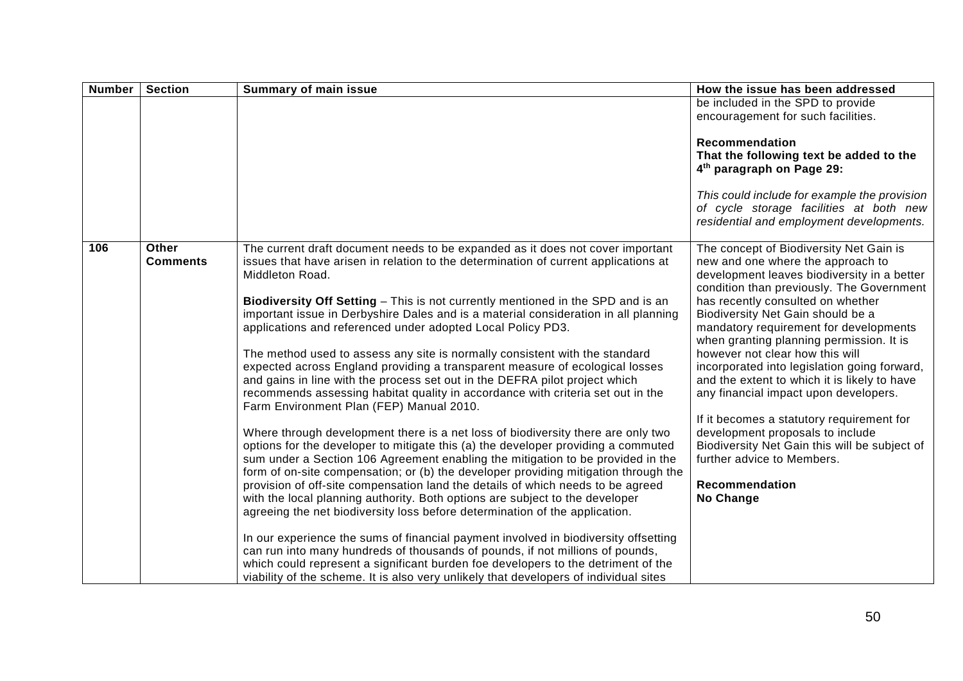| <b>Number</b> | <b>Section</b>                  | <b>Summary of main issue</b>                                                                                                                                                                                                                                                                                                                                                                                                                                                                                                                                                                      | How the issue has been addressed                                                                                                                                                            |
|---------------|---------------------------------|---------------------------------------------------------------------------------------------------------------------------------------------------------------------------------------------------------------------------------------------------------------------------------------------------------------------------------------------------------------------------------------------------------------------------------------------------------------------------------------------------------------------------------------------------------------------------------------------------|---------------------------------------------------------------------------------------------------------------------------------------------------------------------------------------------|
|               |                                 |                                                                                                                                                                                                                                                                                                                                                                                                                                                                                                                                                                                                   | be included in the SPD to provide<br>encouragement for such facilities.                                                                                                                     |
|               |                                 |                                                                                                                                                                                                                                                                                                                                                                                                                                                                                                                                                                                                   | Recommendation<br>That the following text be added to the<br>4 <sup>th</sup> paragraph on Page 29:                                                                                          |
|               |                                 |                                                                                                                                                                                                                                                                                                                                                                                                                                                                                                                                                                                                   | This could include for example the provision<br>of cycle storage facilities at both new<br>residential and employment developments.                                                         |
| 106           | <b>Other</b><br><b>Comments</b> | The current draft document needs to be expanded as it does not cover important<br>issues that have arisen in relation to the determination of current applications at<br>Middleton Road.                                                                                                                                                                                                                                                                                                                                                                                                          | The concept of Biodiversity Net Gain is<br>new and one where the approach to<br>development leaves biodiversity in a better<br>condition than previously. The Government                    |
|               |                                 | Biodiversity Off Setting - This is not currently mentioned in the SPD and is an<br>important issue in Derbyshire Dales and is a material consideration in all planning<br>applications and referenced under adopted Local Policy PD3.                                                                                                                                                                                                                                                                                                                                                             | has recently consulted on whether<br>Biodiversity Net Gain should be a<br>mandatory requirement for developments<br>when granting planning permission. It is                                |
|               |                                 | The method used to assess any site is normally consistent with the standard<br>expected across England providing a transparent measure of ecological losses<br>and gains in line with the process set out in the DEFRA pilot project which<br>recommends assessing habitat quality in accordance with criteria set out in the<br>Farm Environment Plan (FEP) Manual 2010.                                                                                                                                                                                                                         | however not clear how this will<br>incorporated into legislation going forward,<br>and the extent to which it is likely to have<br>any financial impact upon developers.                    |
|               |                                 | Where through development there is a net loss of biodiversity there are only two<br>options for the developer to mitigate this (a) the developer providing a commuted<br>sum under a Section 106 Agreement enabling the mitigation to be provided in the<br>form of on-site compensation; or (b) the developer providing mitigation through the<br>provision of off-site compensation land the details of which needs to be agreed<br>with the local planning authority. Both options are subject to the developer<br>agreeing the net biodiversity loss before determination of the application. | If it becomes a statutory requirement for<br>development proposals to include<br>Biodiversity Net Gain this will be subject of<br>further advice to Members.<br>Recommendation<br>No Change |
|               |                                 | In our experience the sums of financial payment involved in biodiversity offsetting<br>can run into many hundreds of thousands of pounds, if not millions of pounds,<br>which could represent a significant burden foe developers to the detriment of the<br>viability of the scheme. It is also very unlikely that developers of individual sites                                                                                                                                                                                                                                                |                                                                                                                                                                                             |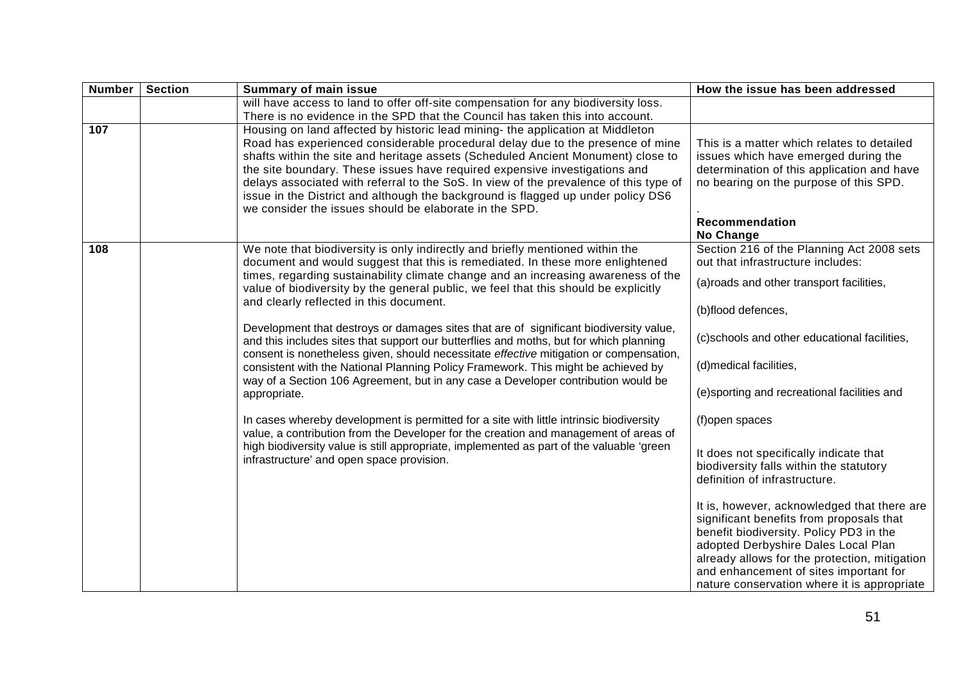| <b>Number</b> | <b>Section</b> | <b>Summary of main issue</b>                                                                                                                                                                                                                                                                                                                                                                                                                                                                                                                                              | How the issue has been addressed                                                                                                                                                                                                                                                                                    |
|---------------|----------------|---------------------------------------------------------------------------------------------------------------------------------------------------------------------------------------------------------------------------------------------------------------------------------------------------------------------------------------------------------------------------------------------------------------------------------------------------------------------------------------------------------------------------------------------------------------------------|---------------------------------------------------------------------------------------------------------------------------------------------------------------------------------------------------------------------------------------------------------------------------------------------------------------------|
|               |                | will have access to land to offer off-site compensation for any biodiversity loss.<br>There is no evidence in the SPD that the Council has taken this into account.                                                                                                                                                                                                                                                                                                                                                                                                       |                                                                                                                                                                                                                                                                                                                     |
| 107           |                | Housing on land affected by historic lead mining- the application at Middleton<br>Road has experienced considerable procedural delay due to the presence of mine<br>shafts within the site and heritage assets (Scheduled Ancient Monument) close to<br>the site boundary. These issues have required expensive investigations and<br>delays associated with referral to the SoS. In view of the prevalence of this type of<br>issue in the District and although the background is flagged up under policy DS6<br>we consider the issues should be elaborate in the SPD. | This is a matter which relates to detailed<br>issues which have emerged during the<br>determination of this application and have<br>no bearing on the purpose of this SPD.<br><b>Recommendation</b><br>No Change                                                                                                    |
| 108           |                | We note that biodiversity is only indirectly and briefly mentioned within the<br>document and would suggest that this is remediated. In these more enlightened<br>times, regarding sustainability climate change and an increasing awareness of the<br>value of biodiversity by the general public, we feel that this should be explicitly<br>and clearly reflected in this document.                                                                                                                                                                                     | Section 216 of the Planning Act 2008 sets<br>out that infrastructure includes:<br>(a) roads and other transport facilities,<br>(b)flood defences,                                                                                                                                                                   |
|               |                | Development that destroys or damages sites that are of significant biodiversity value,<br>and this includes sites that support our butterflies and moths, but for which planning<br>consent is nonetheless given, should necessitate effective mitigation or compensation,<br>consistent with the National Planning Policy Framework. This might be achieved by<br>way of a Section 106 Agreement, but in any case a Developer contribution would be<br>appropriate.                                                                                                      | (c)schools and other educational facilities,<br>(d)medical facilities,<br>(e)sporting and recreational facilities and                                                                                                                                                                                               |
|               |                | In cases whereby development is permitted for a site with little intrinsic biodiversity<br>value, a contribution from the Developer for the creation and management of areas of<br>high biodiversity value is still appropriate, implemented as part of the valuable 'green<br>infrastructure' and open space provision.                                                                                                                                                                                                                                                  | (f)open spaces<br>It does not specifically indicate that<br>biodiversity falls within the statutory<br>definition of infrastructure.                                                                                                                                                                                |
|               |                |                                                                                                                                                                                                                                                                                                                                                                                                                                                                                                                                                                           | It is, however, acknowledged that there are<br>significant benefits from proposals that<br>benefit biodiversity. Policy PD3 in the<br>adopted Derbyshire Dales Local Plan<br>already allows for the protection, mitigation<br>and enhancement of sites important for<br>nature conservation where it is appropriate |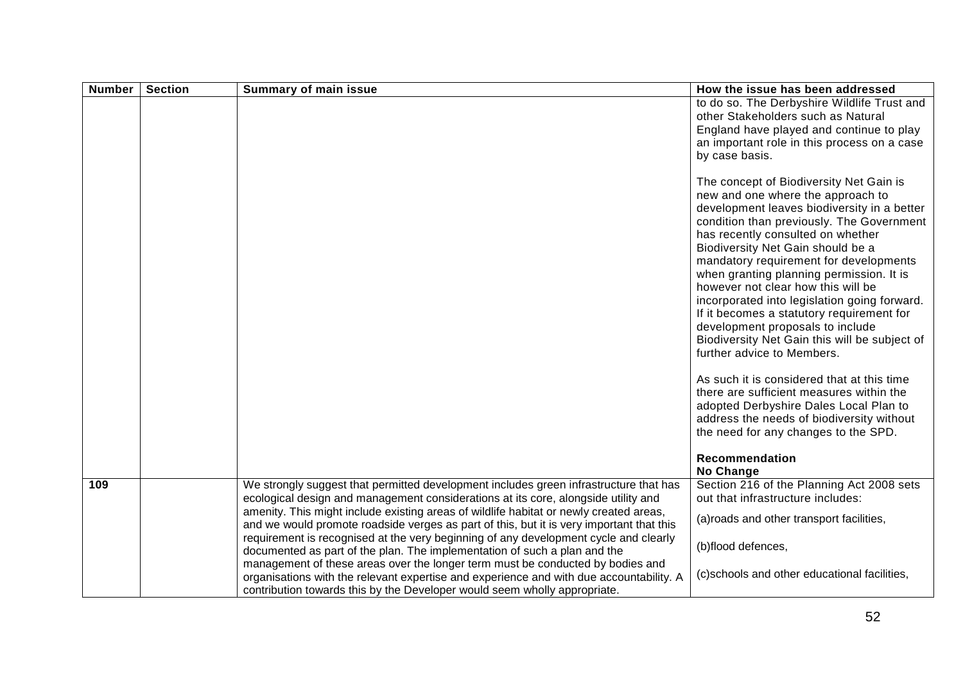| <b>Number</b> | <b>Section</b> | <b>Summary of main issue</b>                                                                                                                                                                                                                                                                                                                                                                                                                                                                                                                                                                                                                                                                                        | How the issue has been addressed                                                                                                                                                                                                                                                                                                                                                                                                                                                                                                                                                                                                                                                                                                                                                                                                                       |
|---------------|----------------|---------------------------------------------------------------------------------------------------------------------------------------------------------------------------------------------------------------------------------------------------------------------------------------------------------------------------------------------------------------------------------------------------------------------------------------------------------------------------------------------------------------------------------------------------------------------------------------------------------------------------------------------------------------------------------------------------------------------|--------------------------------------------------------------------------------------------------------------------------------------------------------------------------------------------------------------------------------------------------------------------------------------------------------------------------------------------------------------------------------------------------------------------------------------------------------------------------------------------------------------------------------------------------------------------------------------------------------------------------------------------------------------------------------------------------------------------------------------------------------------------------------------------------------------------------------------------------------|
|               |                |                                                                                                                                                                                                                                                                                                                                                                                                                                                                                                                                                                                                                                                                                                                     | to do so. The Derbyshire Wildlife Trust and<br>other Stakeholders such as Natural<br>England have played and continue to play<br>an important role in this process on a case<br>by case basis.                                                                                                                                                                                                                                                                                                                                                                                                                                                                                                                                                                                                                                                         |
|               |                |                                                                                                                                                                                                                                                                                                                                                                                                                                                                                                                                                                                                                                                                                                                     | The concept of Biodiversity Net Gain is<br>new and one where the approach to<br>development leaves biodiversity in a better<br>condition than previously. The Government<br>has recently consulted on whether<br>Biodiversity Net Gain should be a<br>mandatory requirement for developments<br>when granting planning permission. It is<br>however not clear how this will be<br>incorporated into legislation going forward.<br>If it becomes a statutory requirement for<br>development proposals to include<br>Biodiversity Net Gain this will be subject of<br>further advice to Members.<br>As such it is considered that at this time<br>there are sufficient measures within the<br>adopted Derbyshire Dales Local Plan to<br>address the needs of biodiversity without<br>the need for any changes to the SPD.<br>Recommendation<br>No Change |
| 109           |                | We strongly suggest that permitted development includes green infrastructure that has<br>ecological design and management considerations at its core, alongside utility and<br>amenity. This might include existing areas of wildlife habitat or newly created areas,<br>and we would promote roadside verges as part of this, but it is very important that this<br>requirement is recognised at the very beginning of any development cycle and clearly<br>documented as part of the plan. The implementation of such a plan and the<br>management of these areas over the longer term must be conducted by bodies and<br>organisations with the relevant expertise and experience and with due accountability. A | Section 216 of the Planning Act 2008 sets<br>out that infrastructure includes:<br>(a) roads and other transport facilities,<br>(b)flood defences,<br>(c)schools and other educational facilities,                                                                                                                                                                                                                                                                                                                                                                                                                                                                                                                                                                                                                                                      |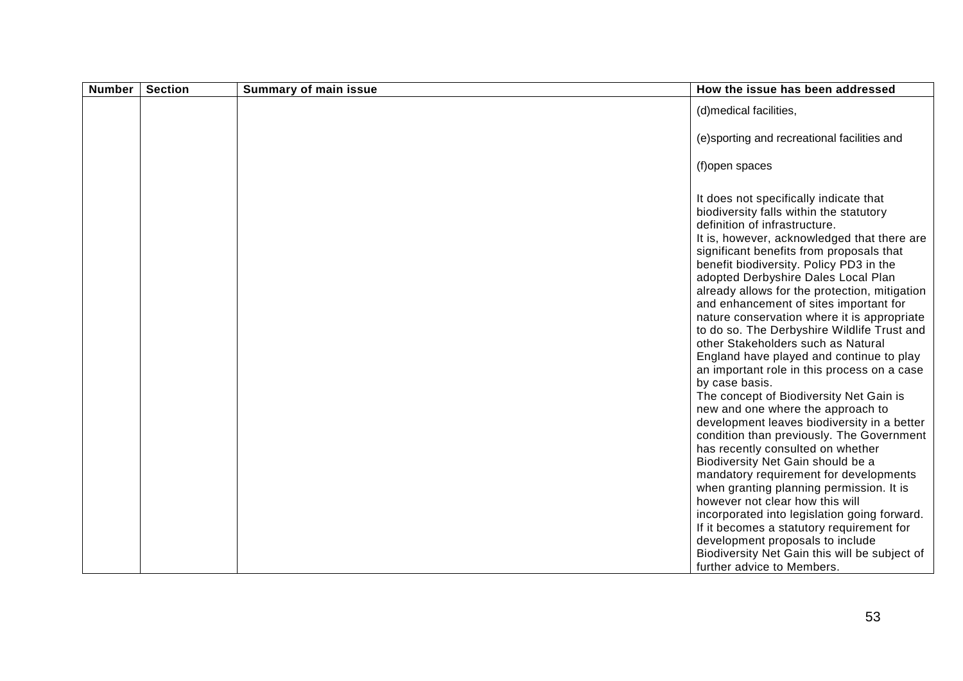| <b>Number</b> | <b>Section</b> | <b>Summary of main issue</b> | How the issue has been addressed                                                                                                                                                                                                                                                                                                                                                                                                                                                                                                                                                                                                                                                                                                                                                                                                                                                                                                                                                                                                                                                                                                                                                                             |
|---------------|----------------|------------------------------|--------------------------------------------------------------------------------------------------------------------------------------------------------------------------------------------------------------------------------------------------------------------------------------------------------------------------------------------------------------------------------------------------------------------------------------------------------------------------------------------------------------------------------------------------------------------------------------------------------------------------------------------------------------------------------------------------------------------------------------------------------------------------------------------------------------------------------------------------------------------------------------------------------------------------------------------------------------------------------------------------------------------------------------------------------------------------------------------------------------------------------------------------------------------------------------------------------------|
|               |                |                              | (d)medical facilities,                                                                                                                                                                                                                                                                                                                                                                                                                                                                                                                                                                                                                                                                                                                                                                                                                                                                                                                                                                                                                                                                                                                                                                                       |
|               |                |                              | (e)sporting and recreational facilities and                                                                                                                                                                                                                                                                                                                                                                                                                                                                                                                                                                                                                                                                                                                                                                                                                                                                                                                                                                                                                                                                                                                                                                  |
|               |                |                              | (f)open spaces                                                                                                                                                                                                                                                                                                                                                                                                                                                                                                                                                                                                                                                                                                                                                                                                                                                                                                                                                                                                                                                                                                                                                                                               |
|               |                |                              | It does not specifically indicate that<br>biodiversity falls within the statutory<br>definition of infrastructure.<br>It is, however, acknowledged that there are<br>significant benefits from proposals that<br>benefit biodiversity. Policy PD3 in the<br>adopted Derbyshire Dales Local Plan<br>already allows for the protection, mitigation<br>and enhancement of sites important for<br>nature conservation where it is appropriate<br>to do so. The Derbyshire Wildlife Trust and<br>other Stakeholders such as Natural<br>England have played and continue to play<br>an important role in this process on a case<br>by case basis.<br>The concept of Biodiversity Net Gain is<br>new and one where the approach to<br>development leaves biodiversity in a better<br>condition than previously. The Government<br>has recently consulted on whether<br>Biodiversity Net Gain should be a<br>mandatory requirement for developments<br>when granting planning permission. It is<br>however not clear how this will<br>incorporated into legislation going forward.<br>If it becomes a statutory requirement for<br>development proposals to include<br>Biodiversity Net Gain this will be subject of |
|               |                |                              | further advice to Members.                                                                                                                                                                                                                                                                                                                                                                                                                                                                                                                                                                                                                                                                                                                                                                                                                                                                                                                                                                                                                                                                                                                                                                                   |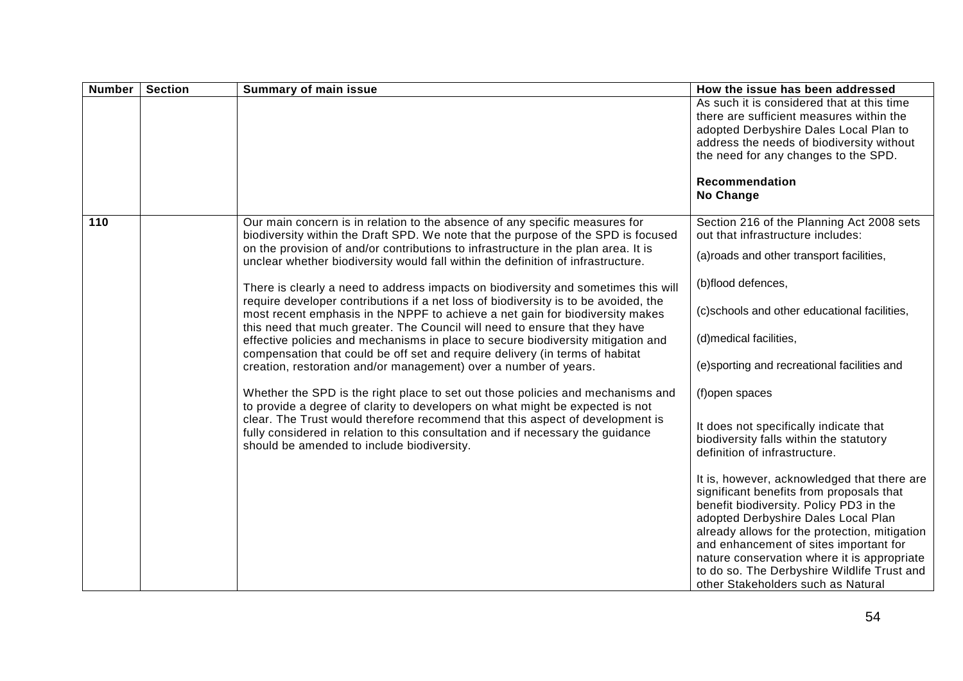| <b>Number</b> | <b>Section</b> | <b>Summary of main issue</b>                                                                                                                                                                                                                                                                                                                                                                                                                                                                                                                                                                                                                                                                                                                                                | How the issue has been addressed                                                                                                                                                                                                                                                                                                                                                                                                                                                                                                                                                                |
|---------------|----------------|-----------------------------------------------------------------------------------------------------------------------------------------------------------------------------------------------------------------------------------------------------------------------------------------------------------------------------------------------------------------------------------------------------------------------------------------------------------------------------------------------------------------------------------------------------------------------------------------------------------------------------------------------------------------------------------------------------------------------------------------------------------------------------|-------------------------------------------------------------------------------------------------------------------------------------------------------------------------------------------------------------------------------------------------------------------------------------------------------------------------------------------------------------------------------------------------------------------------------------------------------------------------------------------------------------------------------------------------------------------------------------------------|
|               |                |                                                                                                                                                                                                                                                                                                                                                                                                                                                                                                                                                                                                                                                                                                                                                                             | As such it is considered that at this time<br>there are sufficient measures within the<br>adopted Derbyshire Dales Local Plan to<br>address the needs of biodiversity without<br>the need for any changes to the SPD.                                                                                                                                                                                                                                                                                                                                                                           |
|               |                |                                                                                                                                                                                                                                                                                                                                                                                                                                                                                                                                                                                                                                                                                                                                                                             | Recommendation<br>No Change                                                                                                                                                                                                                                                                                                                                                                                                                                                                                                                                                                     |
| 110           |                | Our main concern is in relation to the absence of any specific measures for<br>biodiversity within the Draft SPD. We note that the purpose of the SPD is focused<br>on the provision of and/or contributions to infrastructure in the plan area. It is<br>unclear whether biodiversity would fall within the definition of infrastructure.<br>There is clearly a need to address impacts on biodiversity and sometimes this will<br>require developer contributions if a net loss of biodiversity is to be avoided, the<br>most recent emphasis in the NPPF to achieve a net gain for biodiversity makes<br>this need that much greater. The Council will need to ensure that they have<br>effective policies and mechanisms in place to secure biodiversity mitigation and | Section 216 of the Planning Act 2008 sets<br>out that infrastructure includes:<br>(a) roads and other transport facilities,<br>(b)flood defences,<br>(c)schools and other educational facilities,<br>(d) medical facilities,                                                                                                                                                                                                                                                                                                                                                                    |
|               |                | compensation that could be off set and require delivery (in terms of habitat<br>creation, restoration and/or management) over a number of years.<br>Whether the SPD is the right place to set out those policies and mechanisms and<br>to provide a degree of clarity to developers on what might be expected is not<br>clear. The Trust would therefore recommend that this aspect of development is<br>fully considered in relation to this consultation and if necessary the guidance<br>should be amended to include biodiversity.                                                                                                                                                                                                                                      | (e)sporting and recreational facilities and<br>(f)open spaces<br>It does not specifically indicate that<br>biodiversity falls within the statutory<br>definition of infrastructure.<br>It is, however, acknowledged that there are<br>significant benefits from proposals that<br>benefit biodiversity. Policy PD3 in the<br>adopted Derbyshire Dales Local Plan<br>already allows for the protection, mitigation<br>and enhancement of sites important for<br>nature conservation where it is appropriate<br>to do so. The Derbyshire Wildlife Trust and<br>other Stakeholders such as Natural |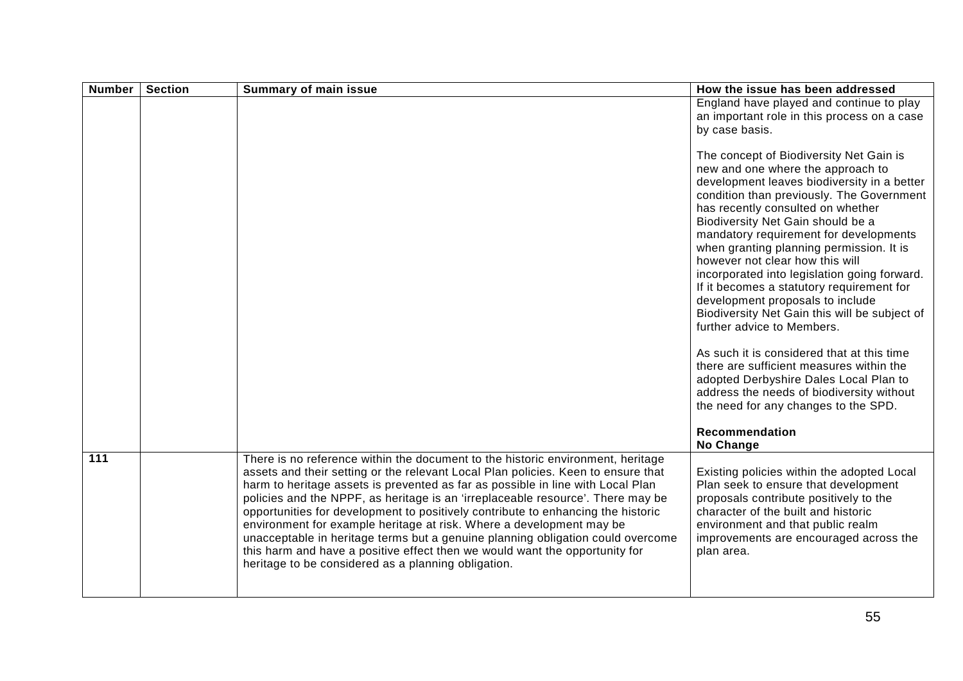| <b>Number</b> | <b>Section</b> | <b>Summary of main issue</b>                                                                                                                                                                                                                                                                                                                                                                                                                                                                                                                                                                                                                                                                                                    | How the issue has been addressed                                                                                                                                                                                                                                                                                                                                                                                                                                                                                                                                                                                                                                                                                                                                                                                                       |
|---------------|----------------|---------------------------------------------------------------------------------------------------------------------------------------------------------------------------------------------------------------------------------------------------------------------------------------------------------------------------------------------------------------------------------------------------------------------------------------------------------------------------------------------------------------------------------------------------------------------------------------------------------------------------------------------------------------------------------------------------------------------------------|----------------------------------------------------------------------------------------------------------------------------------------------------------------------------------------------------------------------------------------------------------------------------------------------------------------------------------------------------------------------------------------------------------------------------------------------------------------------------------------------------------------------------------------------------------------------------------------------------------------------------------------------------------------------------------------------------------------------------------------------------------------------------------------------------------------------------------------|
|               |                |                                                                                                                                                                                                                                                                                                                                                                                                                                                                                                                                                                                                                                                                                                                                 | England have played and continue to play<br>an important role in this process on a case<br>by case basis.                                                                                                                                                                                                                                                                                                                                                                                                                                                                                                                                                                                                                                                                                                                              |
|               |                |                                                                                                                                                                                                                                                                                                                                                                                                                                                                                                                                                                                                                                                                                                                                 | The concept of Biodiversity Net Gain is<br>new and one where the approach to<br>development leaves biodiversity in a better<br>condition than previously. The Government<br>has recently consulted on whether<br>Biodiversity Net Gain should be a<br>mandatory requirement for developments<br>when granting planning permission. It is<br>however not clear how this will<br>incorporated into legislation going forward.<br>If it becomes a statutory requirement for<br>development proposals to include<br>Biodiversity Net Gain this will be subject of<br>further advice to Members.<br>As such it is considered that at this time<br>there are sufficient measures within the<br>adopted Derbyshire Dales Local Plan to<br>address the needs of biodiversity without<br>the need for any changes to the SPD.<br>Recommendation |
| 111           |                | There is no reference within the document to the historic environment, heritage<br>assets and their setting or the relevant Local Plan policies. Keen to ensure that<br>harm to heritage assets is prevented as far as possible in line with Local Plan<br>policies and the NPPF, as heritage is an 'irreplaceable resource'. There may be<br>opportunities for development to positively contribute to enhancing the historic<br>environment for example heritage at risk. Where a development may be<br>unacceptable in heritage terms but a genuine planning obligation could overcome<br>this harm and have a positive effect then we would want the opportunity for<br>heritage to be considered as a planning obligation. | No Change<br>Existing policies within the adopted Local<br>Plan seek to ensure that development<br>proposals contribute positively to the<br>character of the built and historic<br>environment and that public realm<br>improvements are encouraged across the<br>plan area.                                                                                                                                                                                                                                                                                                                                                                                                                                                                                                                                                          |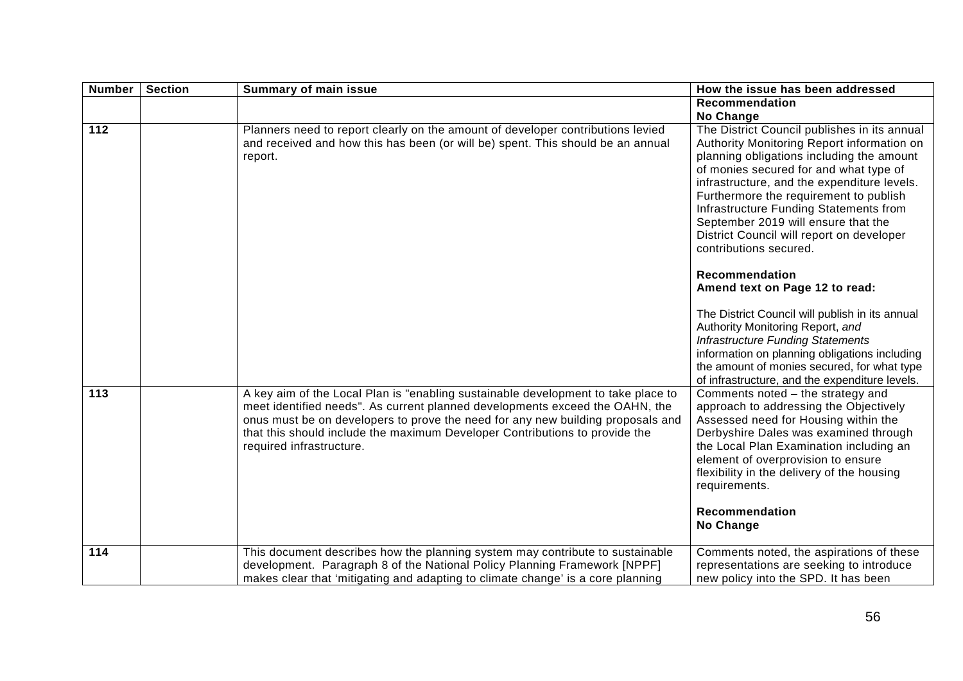| <b>Number</b> | <b>Section</b> | <b>Summary of main issue</b>                                                                                                                                                                                                                                                                                                                                    | How the issue has been addressed                                                                                                                                                                                                                                                                                                                                                                                                                                                                                                                                                                                                                                                                                                                                            |
|---------------|----------------|-----------------------------------------------------------------------------------------------------------------------------------------------------------------------------------------------------------------------------------------------------------------------------------------------------------------------------------------------------------------|-----------------------------------------------------------------------------------------------------------------------------------------------------------------------------------------------------------------------------------------------------------------------------------------------------------------------------------------------------------------------------------------------------------------------------------------------------------------------------------------------------------------------------------------------------------------------------------------------------------------------------------------------------------------------------------------------------------------------------------------------------------------------------|
|               |                |                                                                                                                                                                                                                                                                                                                                                                 | Recommendation<br>No Change                                                                                                                                                                                                                                                                                                                                                                                                                                                                                                                                                                                                                                                                                                                                                 |
| 112           |                | Planners need to report clearly on the amount of developer contributions levied<br>and received and how this has been (or will be) spent. This should be an annual<br>report.                                                                                                                                                                                   | The District Council publishes in its annual<br>Authority Monitoring Report information on<br>planning obligations including the amount<br>of monies secured for and what type of<br>infrastructure, and the expenditure levels.<br>Furthermore the requirement to publish<br>Infrastructure Funding Statements from<br>September 2019 will ensure that the<br>District Council will report on developer<br>contributions secured.<br>Recommendation<br>Amend text on Page 12 to read:<br>The District Council will publish in its annual<br>Authority Monitoring Report, and<br><b>Infrastructure Funding Statements</b><br>information on planning obligations including<br>the amount of monies secured, for what type<br>of infrastructure, and the expenditure levels. |
| 113           |                | A key aim of the Local Plan is "enabling sustainable development to take place to<br>meet identified needs". As current planned developments exceed the OAHN, the<br>onus must be on developers to prove the need for any new building proposals and<br>that this should include the maximum Developer Contributions to provide the<br>required infrastructure. | Comments noted - the strategy and<br>approach to addressing the Objectively<br>Assessed need for Housing within the<br>Derbyshire Dales was examined through<br>the Local Plan Examination including an<br>element of overprovision to ensure<br>flexibility in the delivery of the housing<br>requirements.<br>Recommendation<br>No Change                                                                                                                                                                                                                                                                                                                                                                                                                                 |
| 114           |                | This document describes how the planning system may contribute to sustainable<br>development. Paragraph 8 of the National Policy Planning Framework [NPPF]<br>makes clear that 'mitigating and adapting to climate change' is a core planning                                                                                                                   | Comments noted, the aspirations of these<br>representations are seeking to introduce<br>new policy into the SPD. It has been                                                                                                                                                                                                                                                                                                                                                                                                                                                                                                                                                                                                                                                |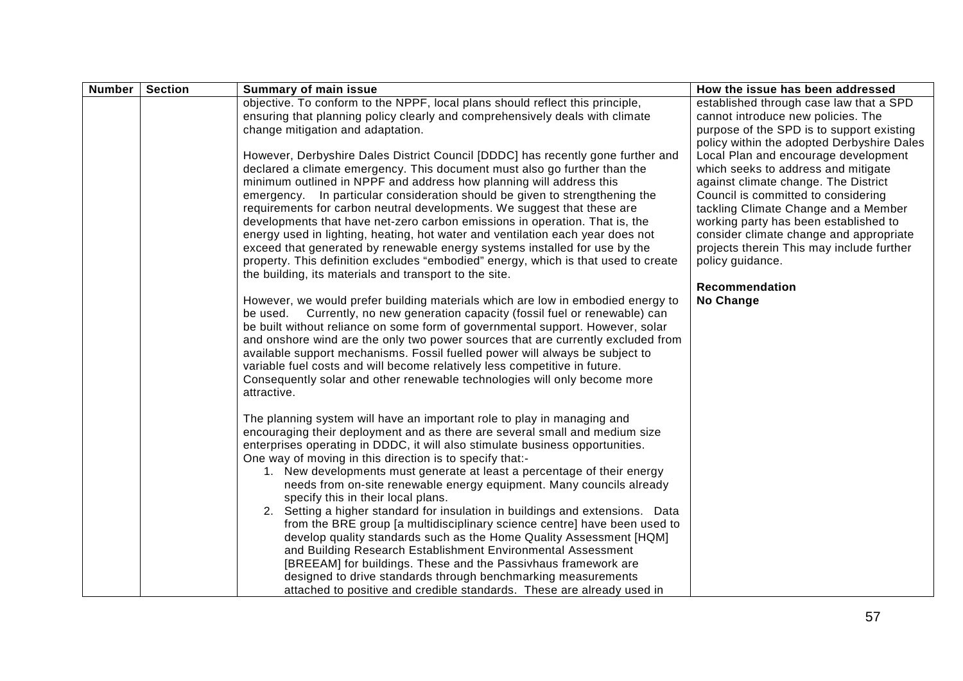| <b>Number</b> | <b>Section</b> | <b>Summary of main issue</b>                                                                                                                                     | How the issue has been addressed           |
|---------------|----------------|------------------------------------------------------------------------------------------------------------------------------------------------------------------|--------------------------------------------|
|               |                | objective. To conform to the NPPF, local plans should reflect this principle,                                                                                    | established through case law that a SPD    |
|               |                | ensuring that planning policy clearly and comprehensively deals with climate                                                                                     | cannot introduce new policies. The         |
|               |                | change mitigation and adaptation.                                                                                                                                | purpose of the SPD is to support existing  |
|               |                |                                                                                                                                                                  | policy within the adopted Derbyshire Dales |
|               |                | However, Derbyshire Dales District Council [DDDC] has recently gone further and                                                                                  | Local Plan and encourage development       |
|               |                | declared a climate emergency. This document must also go further than the                                                                                        | which seeks to address and mitigate        |
|               |                | minimum outlined in NPPF and address how planning will address this                                                                                              | against climate change. The District       |
|               |                | emergency. In particular consideration should be given to strengthening the                                                                                      | Council is committed to considering        |
|               |                | requirements for carbon neutral developments. We suggest that these are                                                                                          | tackling Climate Change and a Member       |
|               |                | developments that have net-zero carbon emissions in operation. That is, the                                                                                      | working party has been established to      |
|               |                | energy used in lighting, heating, hot water and ventilation each year does not                                                                                   | consider climate change and appropriate    |
|               |                | exceed that generated by renewable energy systems installed for use by the                                                                                       | projects therein This may include further  |
|               |                | property. This definition excludes "embodied" energy, which is that used to create                                                                               | policy guidance.                           |
|               |                | the building, its materials and transport to the site.                                                                                                           | Recommendation                             |
|               |                |                                                                                                                                                                  | No Change                                  |
|               |                | However, we would prefer building materials which are low in embodied energy to<br>be used. Currently, no new generation capacity (fossil fuel or renewable) can |                                            |
|               |                | be built without reliance on some form of governmental support. However, solar                                                                                   |                                            |
|               |                | and onshore wind are the only two power sources that are currently excluded from                                                                                 |                                            |
|               |                | available support mechanisms. Fossil fuelled power will always be subject to                                                                                     |                                            |
|               |                | variable fuel costs and will become relatively less competitive in future.                                                                                       |                                            |
|               |                | Consequently solar and other renewable technologies will only become more                                                                                        |                                            |
|               |                | attractive.                                                                                                                                                      |                                            |
|               |                |                                                                                                                                                                  |                                            |
|               |                | The planning system will have an important role to play in managing and                                                                                          |                                            |
|               |                | encouraging their deployment and as there are several small and medium size                                                                                      |                                            |
|               |                | enterprises operating in DDDC, it will also stimulate business opportunities.                                                                                    |                                            |
|               |                | One way of moving in this direction is to specify that:-                                                                                                         |                                            |
|               |                | 1. New developments must generate at least a percentage of their energy                                                                                          |                                            |
|               |                | needs from on-site renewable energy equipment. Many councils already                                                                                             |                                            |
|               |                | specify this in their local plans.                                                                                                                               |                                            |
|               |                | 2. Setting a higher standard for insulation in buildings and extensions. Data                                                                                    |                                            |
|               |                | from the BRE group [a multidisciplinary science centre] have been used to                                                                                        |                                            |
|               |                | develop quality standards such as the Home Quality Assessment [HQM]                                                                                              |                                            |
|               |                | and Building Research Establishment Environmental Assessment                                                                                                     |                                            |
|               |                | [BREEAM] for buildings. These and the Passivhaus framework are                                                                                                   |                                            |
|               |                | designed to drive standards through benchmarking measurements                                                                                                    |                                            |
|               |                | attached to positive and credible standards. These are already used in                                                                                           |                                            |